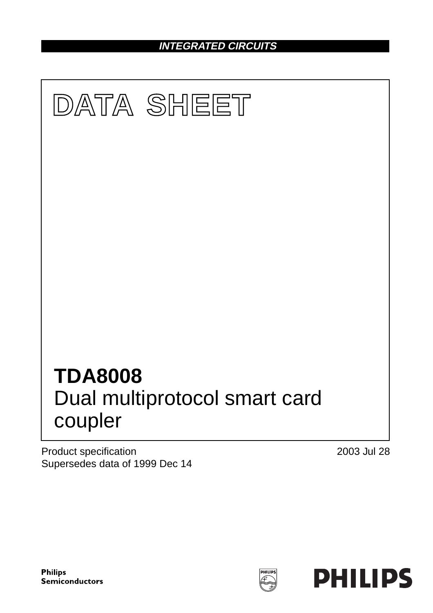**INTEGRATED CIRCUITS**



Product specification Supersedes data of 1999 Dec 14 2003 Jul 28

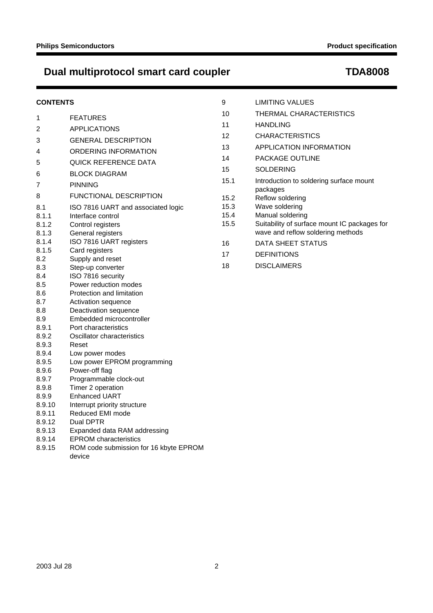# **CONTENTS**

| 1      | <b>FEATURES</b>                        |
|--------|----------------------------------------|
| 2      | <b>APPLICATIONS</b>                    |
| 3      | <b>GENERAL DESCRIPTION</b>             |
| 4      | ORDERING INFORMATION                   |
| 5      | QUICK REFERENCE DATA                   |
| 6      | <b>BLOCK DIAGRAM</b>                   |
| 7      | <b>PINNING</b>                         |
| 8      | <b>FUNCTIONAL DESCRIPTION</b>          |
| 8.1    | ISO 7816 UART and associated logic     |
| 8.1.1  | Interface control                      |
| 8.1.2  | Control registers                      |
| 8.1.3  | General registers                      |
| 8.1.4  | ISO 7816 UART registers                |
| 8.1.5  | Card registers                         |
| 8.2    | Supply and reset                       |
| 8.3    | Step-up converter                      |
| 8.4    | ISO 7816 security                      |
| 8.5    | Power reduction modes                  |
| 8.6    | Protection and limitation              |
| 8.7    | Activation sequence                    |
| 8.8    | Deactivation sequence                  |
| 8.9    | Embedded microcontroller               |
| 8.9.1  | Port characteristics                   |
| 8.9.2  | Oscillator characteristics             |
| 8.9.3  | Reset                                  |
| 8.9.4  | Low power modes                        |
| 8.9.5  | Low power EPROM programming            |
| 8.9.6  | Power-off flag                         |
| 8.9.7  | Programmable clock-out                 |
| 8.9.8  | Timer 2 operation                      |
| 8.9.9  | <b>Enhanced UART</b>                   |
| 8.9.10 | Interrupt priority structure           |
| 8.9.11 | Reduced EMI mode                       |
| 8.9.12 | Dual DPTR                              |
| 8.9.13 | Expanded data RAM addressing           |
| 8.9.14 | <b>EPROM</b> characteristics           |
| 8.9.15 | ROM code submission for 16 kbyte EPROM |

| 9    | <b>LIMITING VALUES</b>                                                            |
|------|-----------------------------------------------------------------------------------|
| 10   | THERMAL CHARACTERISTICS                                                           |
| 11   | <b>HANDLING</b>                                                                   |
| 12   | <b>CHARACTERISTICS</b>                                                            |
| 13   | <b>APPLICATION INFORMATION</b>                                                    |
| 14   | <b>PACKAGE OUTLINE</b>                                                            |
| 15   | <b>SOLDERING</b>                                                                  |
| 15.1 | Introduction to soldering surface mount<br>packages                               |
| 15.2 | Reflow soldering                                                                  |
| 15.3 | Wave soldering                                                                    |
| 15.4 | Manual soldering                                                                  |
| 15.5 | Suitability of surface mount IC packages for<br>wave and reflow soldering methods |
| 16   | DATA SHEET STATUS                                                                 |
| 17   | <b>DEFINITIONS</b>                                                                |
| 18   | <b>DISCLAIMERS</b>                                                                |
|      |                                                                                   |
|      |                                                                                   |

device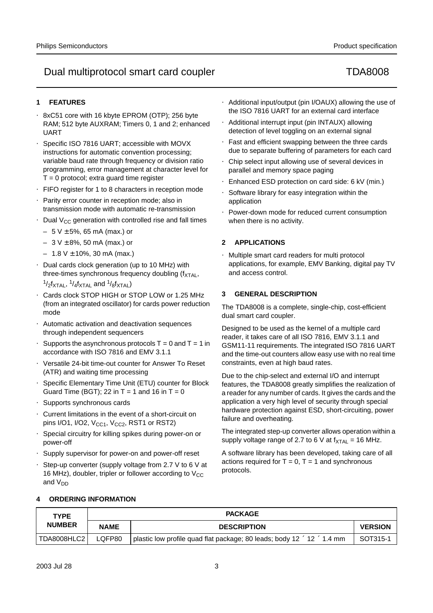# **1 FEATURES**

- 8xC51 core with 16 kbyte EPROM (OTP); 256 byte RAM; 512 byte AUXRAM; Timers 0, 1 and 2; enhanced UART
- Specific ISO 7816 UART; accessible with MOVX instructions for automatic convention processing; variable baud rate through frequency or division ratio programming, error management at character level for  $T = 0$  protocol; extra guard time register
- FIFO register for 1 to 8 characters in reception mode
- Parity error counter in reception mode; also in transmission mode with automatic re-transmission
- Dual  $V_{CC}$  generation with controlled rise and fall times
	- $-5V \pm 5%$ , 65 mA (max.) or
	- $-3$  V  $\pm$  8%, 50 mA (max.) or
	- $-1.8$  V  $\pm$  10%, 30 mA (max.)
- Dual cards clock generation (up to 10 MHz) with three-times synchronous frequency doubling  $(f_{\text{XTAL}})$ ,  $1/2$ f $_{\text{YTA}}$ ,  $1/4$ f $_{\text{YTA}}$  and  $1/8$ f $_{\text{YTA}}$ )
- Cards clock STOP HIGH or STOP LOW or 1.25 MHz (from an integrated oscillator) for cards power reduction mode
- Automatic activation and deactivation sequences through independent sequencers
- Supports the asynchronous protocols  $T = 0$  and  $T = 1$  in accordance with ISO 7816 and EMV 3.1.1
- Versatile 24-bit time-out counter for Answer To Reset (ATR) and waiting time processing
- Specific Elementary Time Unit (ETU) counter for Block Guard Time (BGT); 22 in  $T = 1$  and 16 in  $T = 0$
- Supports synchronous cards
- Current limitations in the event of a short-circuit on pins I/O1, I/O2,  $V_{CC1}$ ,  $V_{CC2}$ , RST1 or RST2)
- Special circuitry for killing spikes during power-on or power-off
- Supply supervisor for power-on and power-off reset
- Step-up converter (supply voltage from 2.7 V to 6 V at 16 MHz), doubler, tripler or follower according to  $V_{CC}$ and V<sub>DD</sub>
- Additional input/output (pin I/OAUX) allowing the use of the ISO 7816 UART for an external card interface
- Additional interrupt input (pin INTAUX) allowing detection of level toggling on an external signal
- Fast and efficient swapping between the three cards due to separate buffering of parameters for each card
- Chip select input allowing use of several devices in parallel and memory space paging
- Enhanced ESD protection on card side: 6 kV (min.)
- Software library for easy integration within the application
- Power-down mode for reduced current consumption when there is no activity.

# **2 APPLICATIONS**

• Multiple smart card readers for multi protocol applications, for example, EMV Banking, digital pay TV and access control.

# **3 GENERAL DESCRIPTION**

The TDA8008 is a complete, single-chip, cost-efficient dual smart card coupler.

Designed to be used as the kernel of a multiple card reader, it takes care of all ISO 7816, EMV 3.1.1 and GSM11-11 requirements. The integrated ISO 7816 UART and the time-out counters allow easy use with no real time constraints, even at high baud rates.

Due to the chip-select and external I/O and interrupt features, the TDA8008 greatly simplifies the realization of a reader for any number of cards. It gives the cards and the application a very high level of security through special hardware protection against ESD, short-circuiting, power failure and overheating.

The integrated step-up converter allows operation within a supply voltage range of 2.7 to 6 V at  $f_{\text{XTAL}} = 16 \text{ MHz}$ .

A software library has been developed, taking care of all actions required for  $T = 0$ ,  $T = 1$  and synchronous protocols.

# **4 ORDERING INFORMATION**

| <b>TYPE</b><br><b>NUMBER</b> |             | <b>PACKAGE</b>                                                                       |                |  |  |  |
|------------------------------|-------------|--------------------------------------------------------------------------------------|----------------|--|--|--|
|                              | <b>NAME</b> | <b>DESCRIPTION</b>                                                                   | <b>VERSION</b> |  |  |  |
| TDA8008HLC2                  | LOFP80      | plastic low profile quad flat package; 80 leads; body 12 $\times$ 12 $\times$ 1.4 mm | SOT315-1       |  |  |  |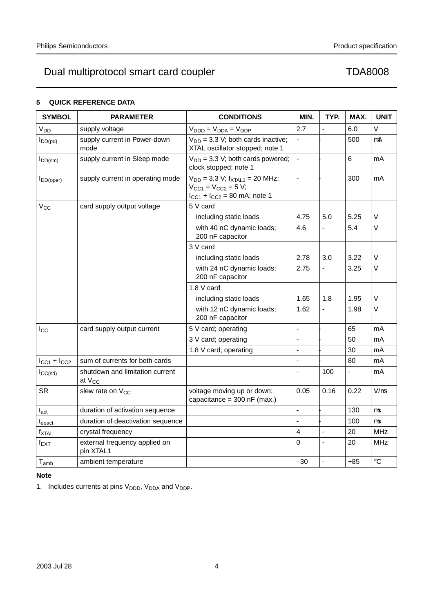# **5 QUICK REFERENCE DATA**

| <b>SYMBOL</b>               | <b>PARAMETER</b>                                      | <b>CONDITIONS</b>                                                                                              | MIN.                     | TYP.                     | MAX.                     | <b>UNIT</b> |
|-----------------------------|-------------------------------------------------------|----------------------------------------------------------------------------------------------------------------|--------------------------|--------------------------|--------------------------|-------------|
| V <sub>DD</sub>             | supply voltage                                        | $V_{\text{DDD}} = V_{\text{DDR}} = V_{\text{DDP}}$                                                             | 2.7                      | $\overline{\phantom{0}}$ | 6.0                      | $\vee$      |
| $I_{DD(pd)}$                | supply current in Power-down<br>mode                  | $V_{DD}$ = 3.3 V; both cards inactive;<br>XTAL oscillator stopped; note 1                                      | $\equiv$                 | $\equiv$                 | 500                      | $\mu$ A     |
| $I_{DD(sm)}$                | supply current in Sleep mode                          | $V_{DD}$ = 3.3 V; both cards powered;<br>clock stopped; note 1                                                 | $\overline{\phantom{0}}$ | $\overline{\phantom{0}}$ | 6                        | mA          |
| DD(oper)                    | supply current in operating mode                      | $V_{DD} = 3.3 V$ ; $f_{XTAL1} = 20 MHz$ ;<br>$V_{CC1} = V_{CC2} = 5 V;$<br>$I_{CC1} + I_{CC2} = 80$ mA; note 1 | $\overline{\phantom{0}}$ | $\overline{\phantom{0}}$ | 300                      | mA          |
| $V_{CC}$                    | card supply output voltage                            | 5 V card                                                                                                       |                          |                          |                          |             |
|                             |                                                       | including static loads                                                                                         | 4.75                     | 5.0                      | 5.25                     | V           |
|                             |                                                       | with 40 nC dynamic loads;<br>200 nF capacitor                                                                  | 4.6                      |                          | 5.4                      | $\vee$      |
|                             |                                                       | 3 V card                                                                                                       |                          |                          |                          |             |
|                             |                                                       | including static loads                                                                                         | 2.78                     | 3.0                      | 3.22                     | $\vee$      |
|                             |                                                       | with 24 nC dynamic loads;<br>200 nF capacitor                                                                  | 2.75                     | $\qquad \qquad -$        | 3.25                     | V           |
|                             |                                                       | 1.8 V card                                                                                                     |                          |                          |                          |             |
|                             |                                                       | including static loads                                                                                         | 1.65                     | 1.8                      | 1.95                     | V           |
|                             |                                                       | with 12 nC dynamic loads;<br>200 nF capacitor                                                                  | 1.62                     |                          | 1.98                     | V           |
| $I_{\rm CC}$                | card supply output current                            | 5 V card; operating                                                                                            | $\overline{\phantom{0}}$ | $\overline{\phantom{0}}$ | 65                       | mA          |
|                             |                                                       | 3 V card; operating                                                                                            | $\equiv$                 | $\overline{a}$           | 50                       | mA          |
|                             |                                                       | 1.8 V card; operating                                                                                          | $\qquad \qquad -$        | $\overline{\phantom{0}}$ | 30                       | mA          |
| $I_{CC1} + I_{CC2}$         | sum of currents for both cards                        |                                                                                                                | $\overline{\phantom{0}}$ | $\overline{a}$           | 80                       | mA          |
| ICC(sd)                     | shutdown and limitation current<br>at V <sub>CC</sub> |                                                                                                                | $\overline{\phantom{0}}$ | 100                      | $\overline{\phantom{0}}$ | mA          |
| <b>SR</b>                   | slew rate on V <sub>CC</sub>                          | voltage moving up or down;<br>capacitance = $300$ nF (max.)                                                    | 0.05                     | 0.16                     | 0.22                     | $V/\mu s$   |
| $\mathsf{t}_{\mathsf{act}}$ | duration of activation sequence                       |                                                                                                                | $\equiv$                 | $\equiv$                 | 130                      | $\mu s$     |
| $t_{\rm deact}$             | duration of deactivation sequence                     |                                                                                                                | $\equiv$                 |                          | 100                      | $\mu s$     |
| $f_{\text{XTAL}}$           | crystal frequency                                     |                                                                                                                | $\overline{\mathbf{4}}$  | $\overline{\phantom{0}}$ | 20                       | <b>MHz</b>  |
| $f_{\mathsf{EXT}}$          | external frequency applied on<br>pin XTAL1            |                                                                                                                | 0                        | $\overline{\phantom{0}}$ | 20                       | <b>MHz</b>  |
| $T_{\mathsf{amb}}$          | ambient temperature                                   |                                                                                                                | $-30$                    | $\overline{\phantom{0}}$ | $+85$                    | $\circ$ C   |

# **Note**

1. Includes currents at pins  $V_{\text{DDD}}$ ,  $V_{\text{DDA}}$  and  $V_{\text{DDP}}$ .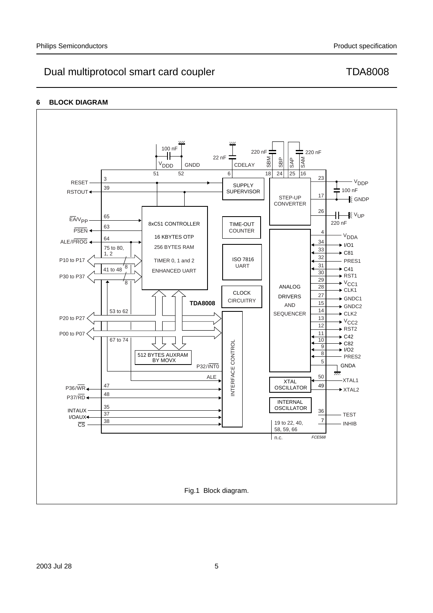# **6 BLOCK DIAGRAM**

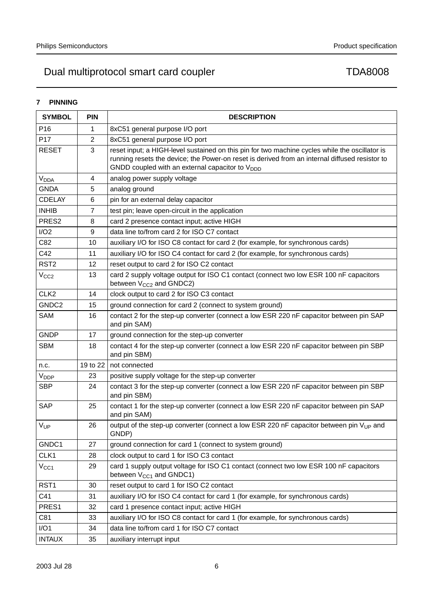# **7 PINNING**

| <b>SYMBOL</b>    | <b>PIN</b>       | <b>DESCRIPTION</b>                                                                                                                                                                                                                                              |
|------------------|------------------|-----------------------------------------------------------------------------------------------------------------------------------------------------------------------------------------------------------------------------------------------------------------|
| P <sub>16</sub>  | 1                | 8xC51 general purpose I/O port                                                                                                                                                                                                                                  |
| P17              | $\overline{2}$   | 8xC51 general purpose I/O port                                                                                                                                                                                                                                  |
| <b>RESET</b>     | 3                | reset input; a HIGH-level sustained on this pin for two machine cycles while the oscillator is<br>running resets the device; the Power-on reset is derived from an internal diffused resistor to<br>GNDD coupled with an external capacitor to V <sub>DDD</sub> |
| V <sub>DDA</sub> | 4                | analog power supply voltage                                                                                                                                                                                                                                     |
| <b>GNDA</b>      | 5                | analog ground                                                                                                                                                                                                                                                   |
| <b>CDELAY</b>    | 6                | pin for an external delay capacitor                                                                                                                                                                                                                             |
| <b>INHIB</b>     | $\overline{7}$   | test pin; leave open-circuit in the application                                                                                                                                                                                                                 |
| PRES2            | 8                | card 2 presence contact input; active HIGH                                                                                                                                                                                                                      |
| I/O2             | $\boldsymbol{9}$ | data line to/from card 2 for ISO C7 contact                                                                                                                                                                                                                     |
| C82              | 10               | auxiliary I/O for ISO C8 contact for card 2 (for example, for synchronous cards)                                                                                                                                                                                |
| C42              | 11               | auxiliary I/O for ISO C4 contact for card 2 (for example, for synchronous cards)                                                                                                                                                                                |
| RST <sub>2</sub> | 12               | reset output to card 2 for ISO C2 contact                                                                                                                                                                                                                       |
| V <sub>CC2</sub> | 13               | card 2 supply voltage output for ISO C1 contact (connect two low ESR 100 nF capacitors<br>between V <sub>CC2</sub> and GNDC2)                                                                                                                                   |
| CLK <sub>2</sub> | 14               | clock output to card 2 for ISO C3 contact                                                                                                                                                                                                                       |
| GNDC2            | 15               | ground connection for card 2 (connect to system ground)                                                                                                                                                                                                         |
| SAM              | 16               | contact 2 for the step-up converter (connect a low ESR 220 nF capacitor between pin SAP<br>and pin SAM)                                                                                                                                                         |
| <b>GNDP</b>      | 17               | ground connection for the step-up converter                                                                                                                                                                                                                     |
| <b>SBM</b>       | 18               | contact 4 for the step-up converter (connect a low ESR 220 nF capacitor between pin SBP<br>and pin SBM)                                                                                                                                                         |
| n.c.             | 19 to 22         | not connected                                                                                                                                                                                                                                                   |
| V <sub>DDP</sub> | 23               | positive supply voltage for the step-up converter                                                                                                                                                                                                               |
| <b>SBP</b>       | 24               | contact 3 for the step-up converter (connect a low ESR 220 nF capacitor between pin SBP<br>and pin SBM)                                                                                                                                                         |
| SAP              | 25               | contact 1 for the step-up converter (connect a low ESR 220 nF capacitor between pin SAP<br>and pin SAM)                                                                                                                                                         |
| $V_{UP}$         | 26               | output of the step-up converter (connect a low ESR 220 nF capacitor between pin $V_{UP}$ and<br>GNDP)                                                                                                                                                           |
| GNDC1            | 27               | ground connection for card 1 (connect to system ground)                                                                                                                                                                                                         |
| CLK1             | 28               | clock output to card 1 for ISO C3 contact                                                                                                                                                                                                                       |
| V <sub>CC1</sub> | 29               | card 1 supply output voltage for ISO C1 contact (connect two low ESR 100 nF capacitors<br>between V <sub>CC1</sub> and GNDC1)                                                                                                                                   |
| RST <sub>1</sub> | 30               | reset output to card 1 for ISO C2 contact                                                                                                                                                                                                                       |
| C41              | 31               | auxiliary I/O for ISO C4 contact for card 1 (for example, for synchronous cards)                                                                                                                                                                                |
| PRES1            | 32               | card 1 presence contact input; active HIGH                                                                                                                                                                                                                      |
| C81              | 33               | auxiliary I/O for ISO C8 contact for card 1 (for example, for synchronous cards)                                                                                                                                                                                |
| I/O1             | 34               | data line to/from card 1 for ISO C7 contact                                                                                                                                                                                                                     |
| <b>INTAUX</b>    | 35               | auxiliary interrupt input                                                                                                                                                                                                                                       |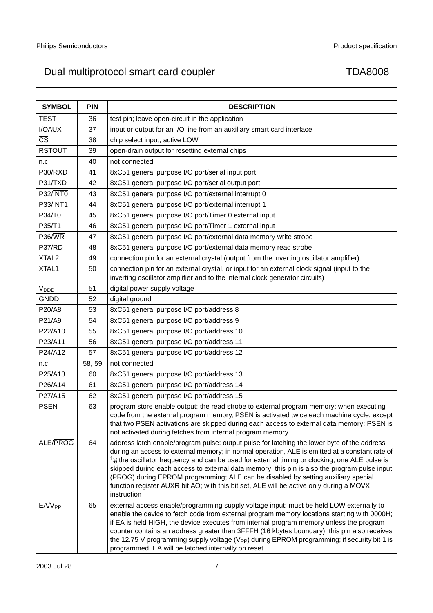| <b>SYMBOL</b>          | <b>PIN</b> |                                                                                                                                                                                                                                                                                                                                                                                                                                                                                                                                                                                                          |
|------------------------|------------|----------------------------------------------------------------------------------------------------------------------------------------------------------------------------------------------------------------------------------------------------------------------------------------------------------------------------------------------------------------------------------------------------------------------------------------------------------------------------------------------------------------------------------------------------------------------------------------------------------|
|                        |            | <b>DESCRIPTION</b>                                                                                                                                                                                                                                                                                                                                                                                                                                                                                                                                                                                       |
| TEST                   | 36         | test pin; leave open-circuit in the application                                                                                                                                                                                                                                                                                                                                                                                                                                                                                                                                                          |
| I/OAUX                 | 37         | input or output for an I/O line from an auxiliary smart card interface                                                                                                                                                                                                                                                                                                                                                                                                                                                                                                                                   |
| $\overline{\text{CS}}$ | 38         | chip select input; active LOW                                                                                                                                                                                                                                                                                                                                                                                                                                                                                                                                                                            |
| <b>RSTOUT</b>          | 39         | open-drain output for resetting external chips                                                                                                                                                                                                                                                                                                                                                                                                                                                                                                                                                           |
| n.c.                   | 40         | not connected                                                                                                                                                                                                                                                                                                                                                                                                                                                                                                                                                                                            |
| P30/RXD                | 41         | 8xC51 general purpose I/O port/serial input port                                                                                                                                                                                                                                                                                                                                                                                                                                                                                                                                                         |
| P31/TXD                | 42         | 8xC51 general purpose I/O port/serial output port                                                                                                                                                                                                                                                                                                                                                                                                                                                                                                                                                        |
| $P32/\overline{INT0}$  | 43         | 8xC51 general purpose I/O port/external interrupt 0                                                                                                                                                                                                                                                                                                                                                                                                                                                                                                                                                      |
| <b>P33/INT1</b>        | 44         | 8xC51 general purpose I/O port/external interrupt 1                                                                                                                                                                                                                                                                                                                                                                                                                                                                                                                                                      |
| P34/T0                 | 45         | 8xC51 general purpose I/O port/Timer 0 external input                                                                                                                                                                                                                                                                                                                                                                                                                                                                                                                                                    |
| P35/T1                 | 46         | 8xC51 general purpose I/O port/Timer 1 external input                                                                                                                                                                                                                                                                                                                                                                                                                                                                                                                                                    |
| $P36/\overline{WR}$    | 47         | 8xC51 general purpose I/O port/external data memory write strobe                                                                                                                                                                                                                                                                                                                                                                                                                                                                                                                                         |
| P37/RD                 | 48         | 8xC51 general purpose I/O port/external data memory read strobe                                                                                                                                                                                                                                                                                                                                                                                                                                                                                                                                          |
| XTAL <sub>2</sub>      | 49         | connection pin for an external crystal (output from the inverting oscillator amplifier)                                                                                                                                                                                                                                                                                                                                                                                                                                                                                                                  |
| XTAL1                  | 50         | connection pin for an external crystal, or input for an external clock signal (input to the<br>inverting oscillator amplifier and to the internal clock generator circuits)                                                                                                                                                                                                                                                                                                                                                                                                                              |
| V <sub>DDD</sub>       | 51         | digital power supply voltage                                                                                                                                                                                                                                                                                                                                                                                                                                                                                                                                                                             |
| <b>GNDD</b>            | 52         | digital ground                                                                                                                                                                                                                                                                                                                                                                                                                                                                                                                                                                                           |
| P20/A8                 | 53         | 8xC51 general purpose I/O port/address 8                                                                                                                                                                                                                                                                                                                                                                                                                                                                                                                                                                 |
| P21/A9                 | 54         | 8xC51 general purpose I/O port/address 9                                                                                                                                                                                                                                                                                                                                                                                                                                                                                                                                                                 |
| P22/A10                | 55         | 8xC51 general purpose I/O port/address 10                                                                                                                                                                                                                                                                                                                                                                                                                                                                                                                                                                |
| P23/A11                | 56         | 8xC51 general purpose I/O port/address 11                                                                                                                                                                                                                                                                                                                                                                                                                                                                                                                                                                |
| P24/A12                | 57         | 8xC51 general purpose I/O port/address 12                                                                                                                                                                                                                                                                                                                                                                                                                                                                                                                                                                |
| n.c.                   | 58, 59     | not connected                                                                                                                                                                                                                                                                                                                                                                                                                                                                                                                                                                                            |
| P25/A13                | 60         | 8xC51 general purpose I/O port/address 13                                                                                                                                                                                                                                                                                                                                                                                                                                                                                                                                                                |
| P26/A14                | 61         | 8xC51 general purpose I/O port/address 14                                                                                                                                                                                                                                                                                                                                                                                                                                                                                                                                                                |
| P27/A15                | 62         | 8xC51 general purpose I/O port/address 15                                                                                                                                                                                                                                                                                                                                                                                                                                                                                                                                                                |
| <b>PSEN</b>            | 63         | program store enable output: the read strobe to external program memory; when executing<br>code from the external program memory, PSEN is activated twice each machine cycle, except<br>that two PSEN activations are skipped during each access to external data memory; PSEN is<br>not activated during fetches from internal program memory                                                                                                                                                                                                                                                           |
| ALE/PROG               | 64         | address latch enable/program pulse: output pulse for latching the lower byte of the address<br>during an access to external memory; in normal operation, ALE is emitted at a constant rate of<br>$\frac{1}{6}$ the oscillator frequency and can be used for external timing or clocking; one ALE pulse is<br>skipped during each access to external data memory; this pin is also the program pulse input<br>(PROG) during EPROM programming; ALE can be disabled by setting auxiliary special<br>function register AUXR bit AO; with this bit set, ALE will be active only during a MOVX<br>instruction |
| $EAVV_{PP}$            | 65         | external access enable/programming supply voltage input: must be held LOW externally to<br>enable the device to fetch code from external program memory locations starting with 0000H;<br>if $\overline{\textsf{EA}}$ is held HIGH, the device executes from internal program memory unless the program<br>counter contains an address greater than 3FFFH (16 kbytes boundary); this pin also receives<br>the 12.75 V programming supply voltage ( $V_{PP}$ ) during EPROM programming; if security bit 1 is<br>programmed, $\overline{EA}$ will be latched internally on reset                          |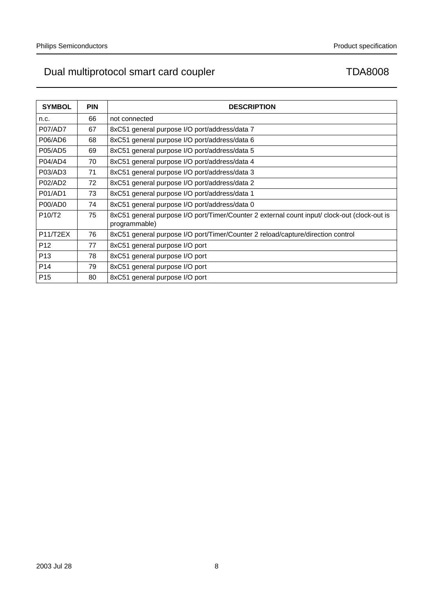| <b>SYMBOL</b>                   | <b>PIN</b> | <b>DESCRIPTION</b>                                                                                            |
|---------------------------------|------------|---------------------------------------------------------------------------------------------------------------|
| n.c.                            | 66         | not connected                                                                                                 |
| <b>P07/AD7</b>                  | 67         | 8xC51 general purpose I/O port/address/data 7                                                                 |
| P06/AD6                         | 68         | 8xC51 general purpose I/O port/address/data 6                                                                 |
| P05/AD5                         | 69         | 8xC51 general purpose I/O port/address/data 5                                                                 |
| P04/AD4                         | 70         | 8xC51 general purpose I/O port/address/data 4                                                                 |
| P03/AD3                         | 71         | 8xC51 general purpose I/O port/address/data 3                                                                 |
| P02/AD2                         | 72         | 8xC51 general purpose I/O port/address/data 2                                                                 |
| P01/AD1                         | 73         | 8xC51 general purpose I/O port/address/data 1                                                                 |
| P00/AD0                         | 74         | 8xC51 general purpose I/O port/address/data 0                                                                 |
| P <sub>10</sub> /T <sub>2</sub> | 75         | 8xC51 general purpose I/O port/Timer/Counter 2 external count input/ clock-out (clock-out is<br>programmable) |
| P11/T2EX                        | 76         | 8xC51 general purpose I/O port/Timer/Counter 2 reload/capture/direction control                               |
| P <sub>12</sub>                 | 77         | 8xC51 general purpose I/O port                                                                                |
| P <sub>13</sub>                 | 78         | 8xC51 general purpose I/O port                                                                                |
| P <sub>14</sub>                 | 79         | 8xC51 general purpose I/O port                                                                                |
| P <sub>15</sub>                 | 80         | 8xC51 general purpose I/O port                                                                                |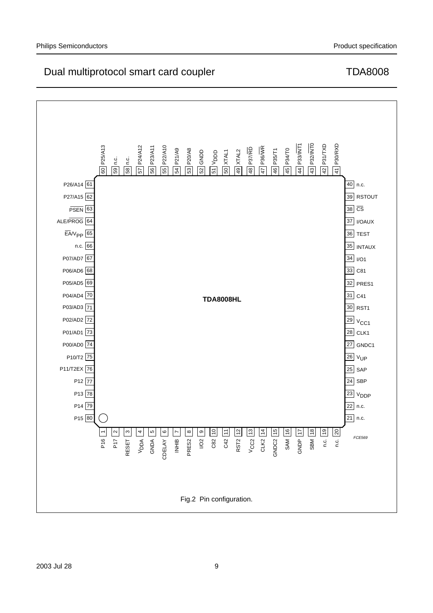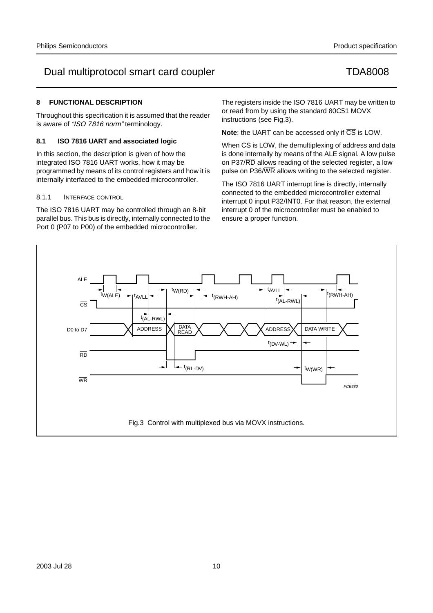# **8 FUNCTIONAL DESCRIPTION**

Throughout this specification it is assumed that the reader is aware of "ISO 7816 norm" terminology.

# **8.1 ISO 7816 UART and associated logic**

In this section, the description is given of how the integrated ISO 7816 UART works, how it may be programmed by means of its control registers and how it is internally interfaced to the embedded microcontroller.

# 8.1.1 INTERFACE CONTROL

The ISO 7816 UART may be controlled through an 8-bit parallel bus. This bus is directly, internally connected to the Port 0 (P07 to P00) of the embedded microcontroller.

The registers inside the ISO 7816 UART may be written to or read from by using the standard 80C51 MOVX instructions (see Fig.3).

**Note:** the UART can be accessed only if  $\overline{CS}$  is LOW.

When  $\overline{\text{CS}}$  is LOW, the demultiplexing of address and data is done internally by means of the ALE signal. A low pulse on P37/RD allows reading of the selected register, a low pulse on P36/WR allows writing to the selected register.

The ISO 7816 UART interrupt line is directly, internally connected to the embedded microcontroller external interrupt 0 input P32/INT0. For that reason, the external interrupt 0 of the microcontroller must be enabled to ensure a proper function.

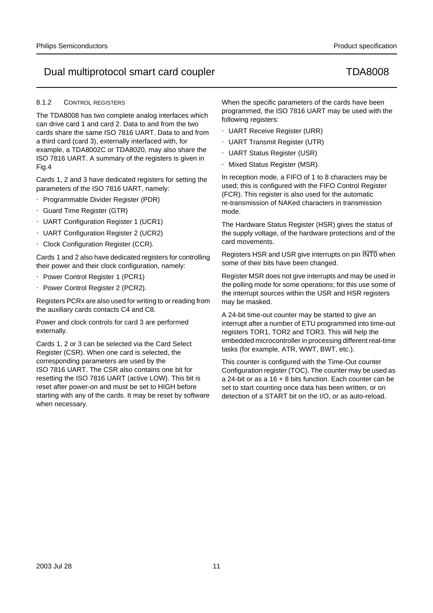# 8.1.2 CONTROL REGISTERS

The TDA8008 has two complete analog interfaces which can drive card 1 and card 2. Data to and from the two cards share the same ISO 7816 UART. Data to and from a third card (card 3), externally interfaced with, for example, a TDA8002C or TDA8020, may also share the ISO 7816 UART. A summary of the registers is given in Fig.4

Cards 1, 2 and 3 have dedicated registers for setting the parameters of the ISO 7816 UART, namely:

- Programmable Divider Register (PDR)
- Guard Time Register (GTR)
- UART Configuration Register 1 (UCR1)
- UART Configuration Register 2 (UCR2)
- Clock Configuration Register (CCR).

Cards 1 and 2 also have dedicated registers for controlling their power and their clock configuration, namely:

- Power Control Register 1 (PCR1)
- Power Control Register 2 (PCR2).

Registers PCRx are also used for writing to or reading from the auxiliary cards contacts C4 and C8.

Power and clock controls for card 3 are performed externally.

Cards 1, 2 or 3 can be selected via the Card Select Register (CSR). When one card is selected, the corresponding parameters are used by the ISO 7816 UART. The CSR also contains one bit for resetting the ISO 7816 UART (active LOW). This bit is reset after power-on and must be set to HIGH before starting with any of the cards. It may be reset by software when necessary.

When the specific parameters of the cards have been programmed, the ISO 7816 UART may be used with the following registers:

- UART Receive Register (URR)
- UART Transmit Register (UTR)
- UART Status Register (USR)
- Mixed Status Register (MSR).

In reception mode, a FIFO of 1 to 8 characters may be used; this is configured with the FIFO Control Register (FCR). This register is also used for the automatic re-transmission of NAKed characters in transmission mode.

The Hardware Status Register (HSR) gives the status of the supply voltage, of the hardware protections and of the card movements.

Registers HSR and USR give interrupts on pin INT0 when some of their bits have been changed.

Register MSR does not give interrupts and may be used in the polling mode for some operations; for this use some of the interrupt sources within the USR and HSR registers may be masked.

A 24-bit time-out counter may be started to give an interrupt after a number of ETU programmed into time-out registers TOR1, TOR2 and TOR3. This will help the embedded microcontroller in processing different real-time tasks (for example, ATR, WWT, BWT, etc.).

This counter is configured with the Time-Out counter Configuration register (TOC). The counter may be used as a 24-bit or as a 16 + 8 bits function. Each counter can be set to start counting once data has been written, or on detection of a START bit on the I/O, or as auto-reload.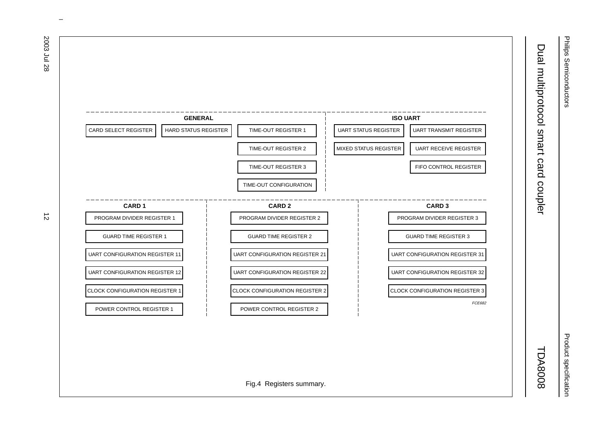

Philips Semiconductors Philips Semiconductors

Dual multiprotocol smart card coupler TDA8008

2003 Jul 28 12  $\vec{D}$ 

> Product specification Product specification

TDA8008

 $\omega$  rotated correctly when browsing through the pdf in the Acrobat reader.This text is here in the pdf in the  $\alpha$ 

2003 Jul 28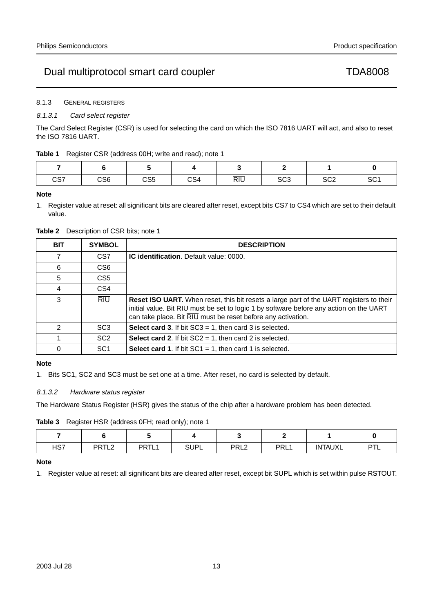8.1.3 GENERAL REGISTERS

# 8.1.3.1 Card select register

The Card Select Register (CSR) is used for selecting the card on which the ISO 7816 UART will act, and also to reset the ISO 7816 UART.

# **Table 1** Register CSR (address 00H; write and read); note 1

| CS7 | CS <sub>6</sub> | <b>OOF</b><br>ႱჂჂ | CS <sub>4</sub> | $\overline{RIU}$ | $\sim$<br>১৮১ | $\sim$<br>১৬∠ | SC <sub>1</sub> |
|-----|-----------------|-------------------|-----------------|------------------|---------------|---------------|-----------------|

## **Note**

1. Register value at reset: all significant bits are cleared after reset, except bits CS7 to CS4 which are set to their default value.

# **Table 2** Description of CSR bits; note 1

| <b>BIT</b> | <b>SYMBOL</b>   | <b>DESCRIPTION</b>                                                                                                                                                                                                                                        |
|------------|-----------------|-----------------------------------------------------------------------------------------------------------------------------------------------------------------------------------------------------------------------------------------------------------|
| 7          | CS <sub>7</sub> | <b>IC identification.</b> Default value: 0000.                                                                                                                                                                                                            |
| 6          | CS <sub>6</sub> |                                                                                                                                                                                                                                                           |
| 5          | CS <sub>5</sub> |                                                                                                                                                                                                                                                           |
| 4          | CS4             |                                                                                                                                                                                                                                                           |
| 3          | <b>RIU</b>      | <b>Reset ISO UART.</b> When reset, this bit resets a large part of the UART registers to their<br>initial value. Bit RIU must be set to logic 1 by software before any action on the UART<br>can take place. Bit RIU must be reset before any activation. |
| 2          | SC <sub>3</sub> | <b>Select card 3.</b> If bit $SC3 = 1$ , then card 3 is selected.                                                                                                                                                                                         |
|            | SC <sub>2</sub> | <b>Select card 2.</b> If bit $SC2 = 1$ , then card 2 is selected.                                                                                                                                                                                         |
| $\Omega$   | SC <sub>1</sub> | <b>Select card 1.</b> If bit $SC1 = 1$ , then card 1 is selected.                                                                                                                                                                                         |

# **Note**

1. Bits SC1, SC2 and SC3 must be set one at a time. After reset, no card is selected by default.

# 8.1.3.2 Hardware status register

The Hardware Status Register (HSR) gives the status of the chip after a hardware problem has been detected.

**Table 3** Register HSR (address 0FH; read only); note 1

| HS7 | DDTI 2<br>└ | <b>PRTL</b> | <b>SUPL</b> | PRL <sub>2</sub> | <b>PRL1</b> | <b>INTAUXL</b> | ידם |
|-----|-------------|-------------|-------------|------------------|-------------|----------------|-----|

# **Note**

1. Register value at reset: all significant bits are cleared after reset, except bit SUPL which is set within pulse RSTOUT.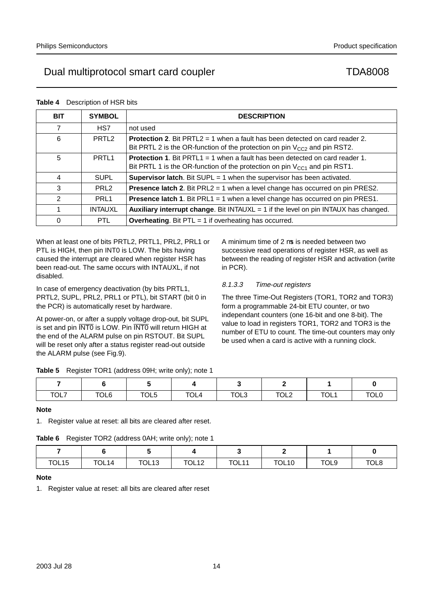| <b>BIT</b>     | <b>SYMBOL</b>     | <b>DESCRIPTION</b>                                                                                                                                                    |
|----------------|-------------------|-----------------------------------------------------------------------------------------------------------------------------------------------------------------------|
| 7              | HS7               | not used                                                                                                                                                              |
| 6              | PRTL <sub>2</sub> | <b>Protection 2.</b> Bit PRTL2 = 1 when a fault has been detected on card reader 2.<br>Bit PRTL 2 is the OR-function of the protection on pin $V_{CC2}$ and pin RST2. |
| 5              | PRTL <sub>1</sub> | <b>Protection 1.</b> Bit PRTL1 = 1 when a fault has been detected on card reader 1.<br>Bit PRTL 1 is the OR-function of the protection on pin $V_{CG1}$ and pin RST1. |
| 4              | <b>SUPL</b>       | <b>Supervisor latch.</b> Bit SUPL = 1 when the supervisor has been activated.                                                                                         |
| 3              | PRL <sub>2</sub>  | <b>Presence latch 2.</b> Bit PRL2 = 1 when a level change has occurred on pin PRES2.                                                                                  |
| $\mathfrak{p}$ | PRL <sub>1</sub>  | <b>Presence latch 1.</b> Bit PRL1 = 1 when a level change has occurred on pin PRES1.                                                                                  |
| 1              | <b>INTAUXL</b>    | <b>Auxiliary interrupt change.</b> Bit INTAUXL $= 1$ if the level on pin INTAUX has changed.                                                                          |
| $\Omega$       | <b>PTL</b>        | <b>Overheating.</b> Bit $PTL = 1$ if overheating has occurred.                                                                                                        |

**Table 4** Description of HSR bits

When at least one of bits PRTL2, PRTL1, PRL2, PRL1 or PTL is HIGH, then pin INT0 is LOW. The bits having caused the interrupt are cleared when register HSR has been read-out. The same occurs with INTAUXL, if not disabled.

In case of emergency deactivation (by bits PRTL1, PRTL2, SUPL, PRL2, PRL1 or PTL), bit START (bit 0 in the PCR) is automatically reset by hardware.

At power-on, or after a supply voltage drop-out, bit SUPL is set and pin INTO is LOW. Pin INTO will return HIGH at the end of the ALARM pulse on pin RSTOUT. Bit SUPL will be reset only after a status register read-out outside the ALARM pulse (see Fig.9).

A minimum time of 2 µs is needed between two successive read operations of register HSR, as well as between the reading of register HSR and activation (write in PCR).

# 8.1.3.3 Time-out registers

The three Time-Out Registers (TOR1, TOR2 and TOR3) form a programmable 24-bit ETU counter, or two independant counters (one 16-bit and one 8-bit). The value to load in registers TOR1, TOR2 and TOR3 is the number of ETU to count. The time-out counters may only be used when a card is active with a running clock.

|  |  | <b>Table 5</b> Register TOR1 (address 09H; write only); note 1 |  |
|--|--|----------------------------------------------------------------|--|
|--|--|----------------------------------------------------------------|--|

| TOL7 | TOL6 | TOL5 | TOL <sub>4</sub> | TOL3 | TOL <sub>2</sub> | <b>TOL1</b> | <b>TOLL</b> |
|------|------|------|------------------|------|------------------|-------------|-------------|

## **Note**

1. Register value at reset: all bits are cleared after reset.

## **Table 6** Register TOR2 (address 0AH; write only); note 1

| TOL <sub>15</sub> | TOL14 | TOL <sub>13</sub> | <b>TOL12</b> | <b>TOL11</b> | TOL <sub>10</sub> | TOL9 | TOL8 |
|-------------------|-------|-------------------|--------------|--------------|-------------------|------|------|

## **Note**

1. Register value at reset: all bits are cleared after reset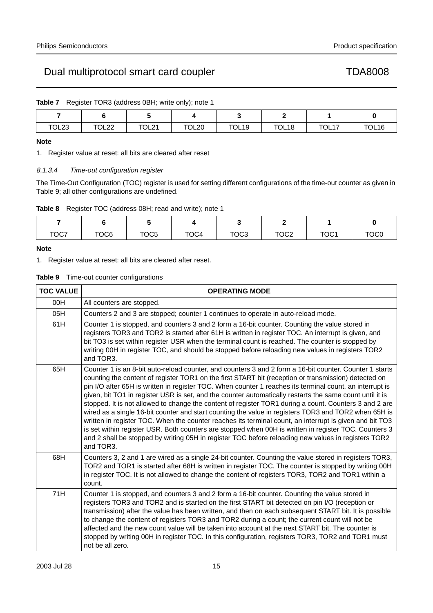|  | <b>Table 7</b> Register TOR3 (address 0BH; write only); note 1 |
|--|----------------------------------------------------------------|
|  |                                                                |

| TOL <sub>23</sub><br>___ | <b>TOL22</b> | TOL21 | TOL20 | <b>TOL19</b> | TOL <sub>18</sub> | TOL17 | TOL <sub>16</sub> |
|--------------------------|--------------|-------|-------|--------------|-------------------|-------|-------------------|

# **Note**

1. Register value at reset: all bits are cleared after reset

# 8.1.3.4 Time-out configuration register

The Time-Out Configuration (TOC) register is used for setting different configurations of the time-out counter as given in Table 9; all other configurations are undefined.

**Table 8** Register TOC (address 08H; read and write); note 1

| TOC7 | TOC6 | TOC <sub>5</sub> | TOC4 | TOC <sub>3</sub> | TOC <sub>2</sub> | TOC <sub>1</sub> | TOC <sub>0</sub> |
|------|------|------------------|------|------------------|------------------|------------------|------------------|

# **Note**

1. Register value at reset: all bits are cleared after reset.

## **Table 9** Time-out counter configurations

| <b>TOC VALUE</b> | <b>OPERATING MODE</b>                                                                                                                                                                                                                                                                                                                                                                                                                                                                                                                                                                                                                                                                                                                                                                                                                                                                                                                                                                             |
|------------------|---------------------------------------------------------------------------------------------------------------------------------------------------------------------------------------------------------------------------------------------------------------------------------------------------------------------------------------------------------------------------------------------------------------------------------------------------------------------------------------------------------------------------------------------------------------------------------------------------------------------------------------------------------------------------------------------------------------------------------------------------------------------------------------------------------------------------------------------------------------------------------------------------------------------------------------------------------------------------------------------------|
| 00H              | All counters are stopped.                                                                                                                                                                                                                                                                                                                                                                                                                                                                                                                                                                                                                                                                                                                                                                                                                                                                                                                                                                         |
| 05H              | Counters 2 and 3 are stopped; counter 1 continues to operate in auto-reload mode.                                                                                                                                                                                                                                                                                                                                                                                                                                                                                                                                                                                                                                                                                                                                                                                                                                                                                                                 |
| 61H              | Counter 1 is stopped, and counters 3 and 2 form a 16-bit counter. Counting the value stored in<br>registers TOR3 and TOR2 is started after 61H is written in register TOC. An interrupt is given, and<br>bit TO3 is set within register USR when the terminal count is reached. The counter is stopped by<br>writing 00H in register TOC, and should be stopped before reloading new values in registers TOR2<br>and TOR3.                                                                                                                                                                                                                                                                                                                                                                                                                                                                                                                                                                        |
| 65H              | Counter 1 is an 8-bit auto-reload counter, and counters 3 and 2 form a 16-bit counter. Counter 1 starts<br>counting the content of register TOR1 on the first START bit (reception or transmission) detected on<br>pin I/O after 65H is written in register TOC. When counter 1 reaches its terminal count, an interrupt is<br>given, bit TO1 in register USR is set, and the counter automatically restarts the same count until it is<br>stopped. It is not allowed to change the content of register TOR1 during a count. Counters 3 and 2 are<br>wired as a single 16-bit counter and start counting the value in registers TOR3 and TOR2 when 65H is<br>written in register TOC. When the counter reaches its terminal count, an interrupt is given and bit TO3<br>is set within register USR. Both counters are stopped when 00H is written in register TOC. Counters 3<br>and 2 shall be stopped by writing 05H in register TOC before reloading new values in registers TOR2<br>and TOR3. |
| 68H              | Counters 3, 2 and 1 are wired as a single 24-bit counter. Counting the value stored in registers TOR3,<br>TOR2 and TOR1 is started after 68H is written in register TOC. The counter is stopped by writing 00H<br>in register TOC. It is not allowed to change the content of registers TOR3, TOR2 and TOR1 within a<br>count.                                                                                                                                                                                                                                                                                                                                                                                                                                                                                                                                                                                                                                                                    |
| 71H              | Counter 1 is stopped, and counters 3 and 2 form a 16-bit counter. Counting the value stored in<br>registers TOR3 and TOR2 and is started on the first START bit detected on pin I/O (reception or<br>transmission) after the value has been written, and then on each subsequent START bit. It is possible<br>to change the content of registers TOR3 and TOR2 during a count; the current count will not be<br>affected and the new count value will be taken into account at the next START bit. The counter is<br>stopped by writing 00H in register TOC. In this configuration, registers TOR3, TOR2 and TOR1 must<br>not be all zero.                                                                                                                                                                                                                                                                                                                                                        |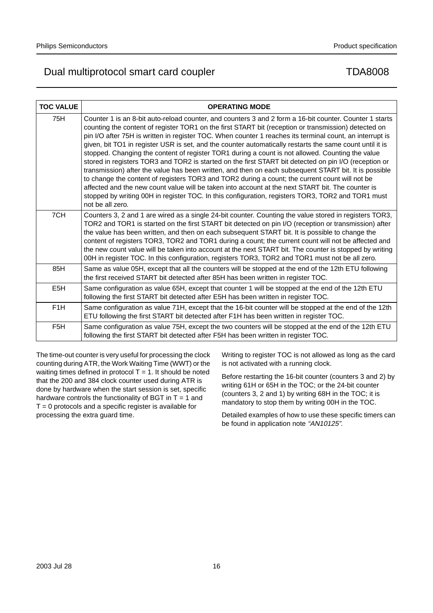| <b>TOC VALUE</b> | <b>OPERATING MODE</b>                                                                                                                                                                                                                                                                                                                                                                                                                                                                                                                                                                                                                                                                                                                                                                                                                                                                                                                                                                                                                                                                         |
|------------------|-----------------------------------------------------------------------------------------------------------------------------------------------------------------------------------------------------------------------------------------------------------------------------------------------------------------------------------------------------------------------------------------------------------------------------------------------------------------------------------------------------------------------------------------------------------------------------------------------------------------------------------------------------------------------------------------------------------------------------------------------------------------------------------------------------------------------------------------------------------------------------------------------------------------------------------------------------------------------------------------------------------------------------------------------------------------------------------------------|
| 75H              | Counter 1 is an 8-bit auto-reload counter, and counters 3 and 2 form a 16-bit counter. Counter 1 starts<br>counting the content of register TOR1 on the first START bit (reception or transmission) detected on<br>pin I/O after 75H is written in register TOC. When counter 1 reaches its terminal count, an interrupt is<br>given, bit TO1 in register USR is set, and the counter automatically restarts the same count until it is<br>stopped. Changing the content of register TOR1 during a count is not allowed. Counting the value<br>stored in registers TOR3 and TOR2 is started on the first START bit detected on pin I/O (reception or<br>transmission) after the value has been written, and then on each subsequent START bit. It is possible<br>to change the content of registers TOR3 and TOR2 during a count; the current count will not be<br>affected and the new count value will be taken into account at the next START bit. The counter is<br>stopped by writing 00H in register TOC. In this configuration, registers TOR3, TOR2 and TOR1 must<br>not be all zero. |
| 7CH              | Counters 3, 2 and 1 are wired as a single 24-bit counter. Counting the value stored in registers TOR3,<br>TOR2 and TOR1 is started on the first START bit detected on pin I/O (reception or transmission) after<br>the value has been written, and then on each subsequent START bit. It is possible to change the<br>content of registers TOR3, TOR2 and TOR1 during a count; the current count will not be affected and<br>the new count value will be taken into account at the next START bit. The counter is stopped by writing<br>00H in register TOC. In this configuration, registers TOR3, TOR2 and TOR1 must not be all zero.                                                                                                                                                                                                                                                                                                                                                                                                                                                       |
| 85H              | Same as value 05H, except that all the counters will be stopped at the end of the 12th ETU following<br>the first received START bit detected after 85H has been written in register TOC.                                                                                                                                                                                                                                                                                                                                                                                                                                                                                                                                                                                                                                                                                                                                                                                                                                                                                                     |
| E <sub>5</sub> H | Same configuration as value 65H, except that counter 1 will be stopped at the end of the 12th ETU<br>following the first START bit detected after E5H has been written in register TOC.                                                                                                                                                                                                                                                                                                                                                                                                                                                                                                                                                                                                                                                                                                                                                                                                                                                                                                       |
| F <sub>1</sub> H | Same configuration as value 71H, except that the 16-bit counter will be stopped at the end of the 12th<br>ETU following the first START bit detected after F1H has been written in register TOC.                                                                                                                                                                                                                                                                                                                                                                                                                                                                                                                                                                                                                                                                                                                                                                                                                                                                                              |
| F <sub>5</sub> H | Same configuration as value 75H, except the two counters will be stopped at the end of the 12th ETU<br>following the first START bit detected after F5H has been written in register TOC.                                                                                                                                                                                                                                                                                                                                                                                                                                                                                                                                                                                                                                                                                                                                                                                                                                                                                                     |

The time-out counter is very useful for processing the clock counting during ATR, the Work Waiting Time (WWT) or the waiting times defined in protocol  $T = 1$ . It should be noted that the 200 and 384 clock counter used during ATR is done by hardware when the start session is set, specific hardware controls the functionality of BGT in  $T = 1$  and  $T = 0$  protocols and a specific register is available for processing the extra guard time.

Writing to register TOC is not allowed as long as the card is not activated with a running clock.

Before restarting the 16-bit counter (counters 3 and 2) by writing 61H or 65H in the TOC; or the 24-bit counter (counters 3, 2 and 1) by writing 68H in the TOC; it is mandatory to stop them by writing 00H in the TOC.

Detailed examples of how to use these specific timers can be found in application note "AN10125".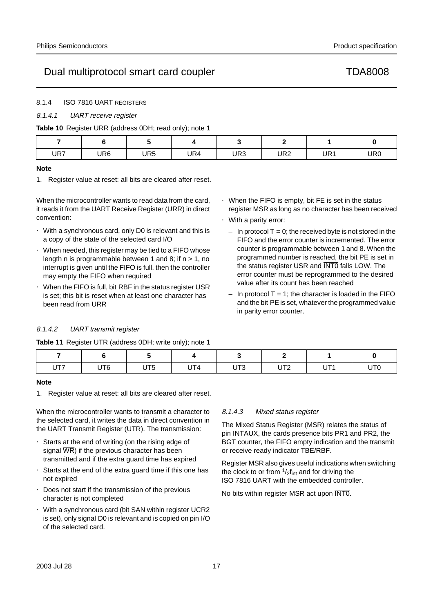# 8.1.4 ISO 7816 UART REGISTERS

# 8.1.4.1 UART receive register

### **Table 10** Register URR (address 0DH; read only); note 1

| UR7 | UR6 | UR5 | UR4 | UR <sub>3</sub> | UR <sub>2</sub> | UR1 | UR0 |
|-----|-----|-----|-----|-----------------|-----------------|-----|-----|

### **Note**

1. Register value at reset: all bits are cleared after reset.

When the microcontroller wants to read data from the card, it reads it from the UART Receive Register (URR) in direct convention:

- With a synchronous card, only D0 is relevant and this is a copy of the state of the selected card I/O
- When needed, this register may be tied to a FIFO whose length n is programmable between 1 and 8; if  $n > 1$ , no interrupt is given until the FIFO is full, then the controller may empty the FIFO when required
- When the FIFO is full, bit RBF in the status register USR is set; this bit is reset when at least one character has been read from URR
- When the FIFO is empty, bit FE is set in the status register MSR as long as no character has been received
- With a parity error:
	- $-$  In protocol T = 0; the received byte is not stored in the FIFO and the error counter is incremented. The error counter is programmable between 1 and 8. When the programmed number is reached, the bit PE is set in the status register USR and INTO falls LOW. The error counter must be reprogrammed to the desired value after its count has been reached
	- In protocol  $T = 1$ ; the character is loaded in the FIFO and the bit PE is set, whatever the programmed value in parity error counter.

# 8.1.4.2 UART transmit register

**Table 11** Register UTR (address 0DH; write only); note 1

| UT7 | UT <sub>6</sub> | $F - F$<br>UIS | UT4 | UT <sub>3</sub> | ◡◝▵ | LIT4 | UT <sub>0</sub> |
|-----|-----------------|----------------|-----|-----------------|-----|------|-----------------|

## **Note**

1. Register value at reset: all bits are cleared after reset.

When the microcontroller wants to transmit a character to the selected card, it writes the data in direct convention in the UART Transmit Register (UTR). The transmission:

- Starts at the end of writing (on the rising edge of signal  $\overline{WR}$ ) if the previous character has been transmitted and if the extra guard time has expired
- Starts at the end of the extra guard time if this one has not expired
- Does not start if the transmission of the previous character is not completed
- With a synchronous card (bit SAN within register UCR2 is set), only signal D0 is relevant and is copied on pin I/O of the selected card.

## 8.1.4.3 Mixed status register

The Mixed Status Register (MSR) relates the status of pin INTAUX, the cards presence bits PR1 and PR2, the BGT counter, the FIFO empty indication and the transmit or receive ready indicator TBE/RBF.

Register MSR also gives useful indications when switching the clock to or from  $\frac{1}{2}f_{int}$  and for driving the ISO 7816 UART with the embedded controller.

No bits within register MSR act upon INT0.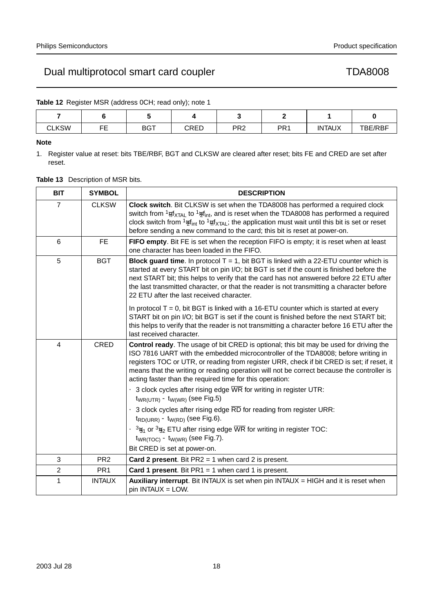**Table 12** Register MSR (address 0CH; read only); note 1

| <b>CLKSW</b> | --<br>--<br>- | <b>BGT</b> | CRED | PR <sub>2</sub> | PR <sub>1</sub> | <b>INTAUX</b> | <b>TBE/RBF</b> |
|--------------|---------------|------------|------|-----------------|-----------------|---------------|----------------|

# **Note**

1. Register value at reset: bits TBE/RBF, BGT and CLKSW are cleared after reset; bits FE and CRED are set after reset.

|  | <b>Table 13</b> Description of MSR bits. |
|--|------------------------------------------|
|--|------------------------------------------|

| <b>BIT</b>     | <b>SYMBOL</b>   | <b>DESCRIPTION</b>                                                                                                                                                                                                                                                                                                                                                                                                                                                                                                                                                                                                                                                                                                                                                                                                                                                         |
|----------------|-----------------|----------------------------------------------------------------------------------------------------------------------------------------------------------------------------------------------------------------------------------------------------------------------------------------------------------------------------------------------------------------------------------------------------------------------------------------------------------------------------------------------------------------------------------------------------------------------------------------------------------------------------------------------------------------------------------------------------------------------------------------------------------------------------------------------------------------------------------------------------------------------------|
| $\overline{7}$ | <b>CLKSW</b>    | Clock switch. Bit CLKSW is set when the TDA8008 has performed a required clock<br>switch from $\frac{1}{10}$ f <sub>XTAL</sub> to $\frac{1}{2}$ f <sub>int</sub> , and is reset when the TDA8008 has performed a required<br>clock switch from $\frac{1}{2}f_{int}$ to $\frac{1}{h}f_{\chi TAL}$ ; the application must wait until this bit is set or reset<br>before sending a new command to the card; this bit is reset at power-on.                                                                                                                                                                                                                                                                                                                                                                                                                                    |
| 6              | FE.             | FIFO empty. Bit FE is set when the reception FIFO is empty; it is reset when at least<br>one character has been loaded in the FIFO.                                                                                                                                                                                                                                                                                                                                                                                                                                                                                                                                                                                                                                                                                                                                        |
| 5              | <b>BGT</b>      | <b>Block guard time.</b> In protocol $T = 1$ , bit BGT is linked with a 22-ETU counter which is<br>started at every START bit on pin I/O; bit BGT is set if the count is finished before the<br>next START bit; this helps to verify that the card has not answered before 22 ETU after<br>the last transmitted character, or that the reader is not transmitting a character before<br>22 ETU after the last received character.                                                                                                                                                                                                                                                                                                                                                                                                                                          |
|                |                 | In protocol $T = 0$ , bit BGT is linked with a 16-ETU counter which is started at every<br>START bit on pin I/O; bit BGT is set if the count is finished before the next START bit;<br>this helps to verify that the reader is not transmitting a character before 16 ETU after the<br>last received character.                                                                                                                                                                                                                                                                                                                                                                                                                                                                                                                                                            |
| 4              | <b>CRED</b>     | Control ready. The usage of bit CRED is optional; this bit may be used for driving the<br>ISO 7816 UART with the embedded microcontroller of the TDA8008; before writing in<br>registers TOC or UTR, or reading from register URR, check if bit CRED is set; if reset, it<br>means that the writing or reading operation will not be correct because the controller is<br>acting faster than the required time for this operation:<br>• 3 clock cycles after rising edge $\overline{WR}$ for writing in register UTR:<br>$t_{WR(UTR)} - t_{W(WR)}$ (see Fig.5)<br>• 3 clock cycles after rising edge RD for reading from register URR:<br>$t_{RD(URR)} - t_{W(RD)}$ (see Fig.6).<br>• $\frac{3}{31}$ or $\frac{3}{32}$ ETU after rising edge $\overline{\text{WR}}$ for writing in register TOC:<br>$t_{WR(TOC)} - t_{W(WR)}$ (see Fig.7).<br>Bit CRED is set at power-on. |
| 3              | PR <sub>2</sub> | <b>Card 2 present.</b> Bit $PR2 = 1$ when card 2 is present.                                                                                                                                                                                                                                                                                                                                                                                                                                                                                                                                                                                                                                                                                                                                                                                                               |
| $\overline{2}$ | PR <sub>1</sub> | Card 1 present. Bit $PR1 = 1$ when card 1 is present.                                                                                                                                                                                                                                                                                                                                                                                                                                                                                                                                                                                                                                                                                                                                                                                                                      |
| 1              | <b>INTAUX</b>   | Auxiliary interrupt. Bit INTAUX is set when pin INTAUX = HIGH and it is reset when<br>$pin INTAUX = LOW.$                                                                                                                                                                                                                                                                                                                                                                                                                                                                                                                                                                                                                                                                                                                                                                  |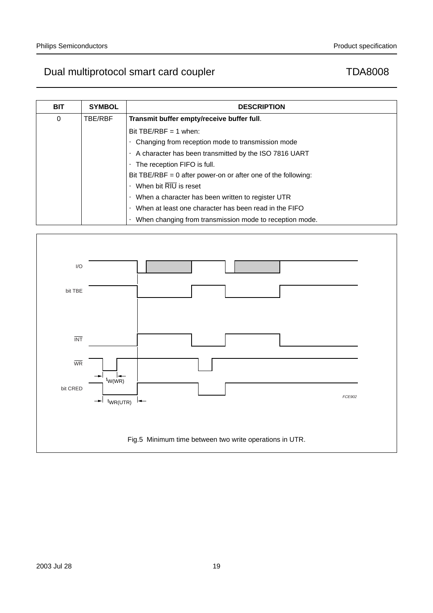| <b>BIT</b> | <b>SYMBOL</b> | <b>DESCRIPTION</b>                                                   |
|------------|---------------|----------------------------------------------------------------------|
| 0          | TBE/RBF       | Transmit buffer empty/receive buffer full.                           |
|            |               | Bit TBE/RBF = 1 when:                                                |
|            |               | • Changing from reception mode to transmission mode                  |
|            |               | • A character has been transmitted by the ISO 7816 UART              |
|            |               | • The reception FIFO is full.                                        |
|            |               | Bit TBE/RBF = 0 after power-on or after one of the following:        |
|            |               | $\bullet$ When bit $\overline{RIU}$ is reset                         |
|            |               | • When a character has been written to register UTR                  |
|            |               | • When at least one character has been read in the FIFO              |
|            |               | When changing from transmission mode to reception mode.<br>$\bullet$ |

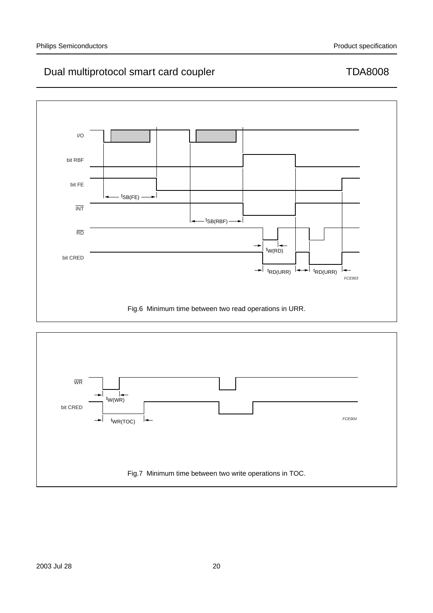

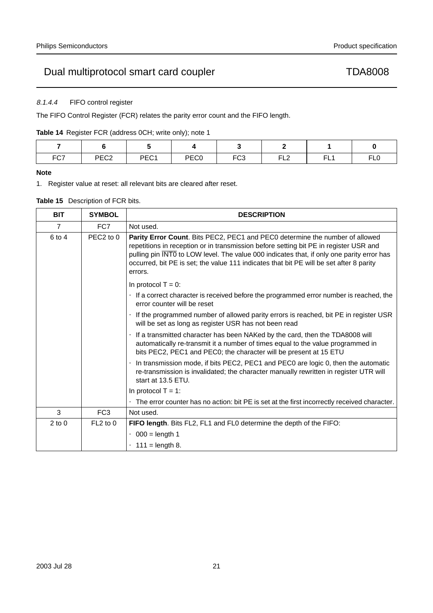# 8.1.4.4 FIFO control register

The FIFO Control Register (FCR) relates the parity error count and the FIFO length.

**Table 14** Register FCR (address 0CH; write only); note 1

| FC7 | PEC <sub>2</sub> | DEC1<br>∼∟ | PEC <sub>0</sub> | FC <sub>3</sub> | EL 2<br>ᄕ | EЦ<br>-- | m.<br>$\sim$<br>∟∪ |  |
|-----|------------------|------------|------------------|-----------------|-----------|----------|--------------------|--|

# **Note**

1. Register value at reset: all relevant bits are cleared after reset.

# **Table 15** Description of FCR bits.

| <b>BIT</b>     | <b>SYMBOL</b>         | <b>DESCRIPTION</b>                                                                                                                                                                                                                                                                                                                                                       |
|----------------|-----------------------|--------------------------------------------------------------------------------------------------------------------------------------------------------------------------------------------------------------------------------------------------------------------------------------------------------------------------------------------------------------------------|
| $\overline{7}$ | FC7                   | Not used.                                                                                                                                                                                                                                                                                                                                                                |
| 6 to 4         | PEC <sub>2</sub> to 0 | Parity Error Count. Bits PEC2, PEC1 and PEC0 determine the number of allowed<br>repetitions in reception or in transmission before setting bit PE in register USR and<br>pulling pin INTO to LOW level. The value 000 indicates that, if only one parity error has<br>occurred, bit PE is set; the value 111 indicates that bit PE will be set after 8 parity<br>errors. |
|                |                       | In protocol $T = 0$ :                                                                                                                                                                                                                                                                                                                                                    |
|                |                       | • If a correct character is received before the programmed error number is reached, the<br>error counter will be reset                                                                                                                                                                                                                                                   |
|                |                       | • If the programmed number of allowed parity errors is reached, bit PE in register USR<br>will be set as long as register USR has not been read                                                                                                                                                                                                                          |
|                |                       | • If a transmitted character has been NAKed by the card, then the TDA8008 will<br>automatically re-transmit it a number of times equal to the value programmed in<br>bits PEC2, PEC1 and PEC0; the character will be present at 15 ETU                                                                                                                                   |
|                |                       | • In transmission mode, if bits PEC2, PEC1 and PEC0 are logic 0, then the automatic<br>re-transmission is invalidated; the character manually rewritten in register UTR will<br>start at 13.5 ETU.                                                                                                                                                                       |
|                |                       | In protocol $T = 1$ :                                                                                                                                                                                                                                                                                                                                                    |
|                |                       | • The error counter has no action: bit PE is set at the first incorrectly received character.                                                                                                                                                                                                                                                                            |
| 3              | FC <sub>3</sub>       | Not used.                                                                                                                                                                                                                                                                                                                                                                |
| $2$ to $0$     | $FL2$ to 0            | FIFO length. Bits FL2, FL1 and FL0 determine the depth of the FIFO:                                                                                                                                                                                                                                                                                                      |
|                |                       | $\bullet$ 000 = length 1                                                                                                                                                                                                                                                                                                                                                 |
|                |                       | • 111 = length 8.                                                                                                                                                                                                                                                                                                                                                        |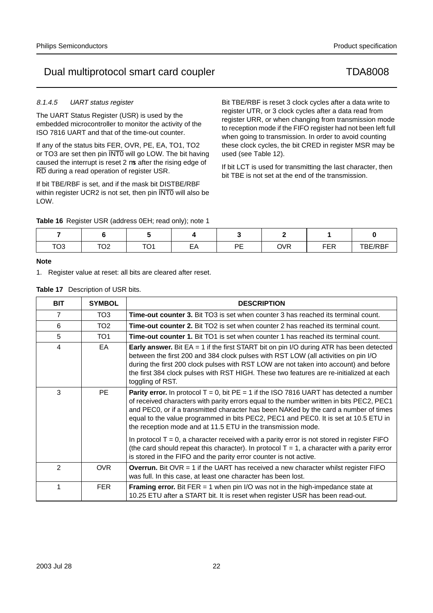# 8.1.4.5 UART status register

The UART Status Register (USR) is used by the embedded microcontroller to monitor the activity of the ISO 7816 UART and that of the time-out counter.

If any of the status bits FER, OVR, PE, EA, TO1, TO2 or TO3 are set then pin INT0 will go LOW. The bit having caused the interrupt is reset 2 µs after the rising edge of RD during a read operation of register USR.

If bit TBE/RBF is set, and if the mask bit DISTBE/RBF within register UCR2 is not set, then pin INTO will also be LOW.

**Table 16** Register USR (address 0EH; read only); note 1

Bit TBE/RBF is reset 3 clock cycles after a data write to register UTR, or 3 clock cycles after a data read from register URR, or when changing from transmission mode to reception mode if the FIFO register had not been left full when going to transmission. In order to avoid counting these clock cycles, the bit CRED in register MSR may be used (see Table 12).

If bit LCT is used for transmitting the last character, then bit TBE is not set at the end of the transmission.

| TO <sub>3</sub> | $T\cap 2$<br>◡∠ | $T^{\wedge}$ | EA | DE<br>. <u>.</u> | <b>OVR</b> | <b>FER</b> | $-$<br><b>BE/RBF</b> |  |
|-----------------|-----------------|--------------|----|------------------|------------|------------|----------------------|--|

# **Note**

1. Register value at reset: all bits are cleared after reset.

|  | <b>Table 17</b> Description of USR bits. |
|--|------------------------------------------|
|--|------------------------------------------|

| <b>BIT</b>     | <b>SYMBOL</b>   | <b>DESCRIPTION</b>                                                                                                                                                                                                                                                                                                                                                                                                                            |
|----------------|-----------------|-----------------------------------------------------------------------------------------------------------------------------------------------------------------------------------------------------------------------------------------------------------------------------------------------------------------------------------------------------------------------------------------------------------------------------------------------|
| 7              | TO <sub>3</sub> | <b>Time-out counter 3.</b> Bit TO3 is set when counter 3 has reached its terminal count.                                                                                                                                                                                                                                                                                                                                                      |
| 6              | TO <sub>2</sub> | <b>Time-out counter 2.</b> Bit TO2 is set when counter 2 has reached its terminal count.                                                                                                                                                                                                                                                                                                                                                      |
| 5              | TO <sub>1</sub> | <b>Time-out counter 1.</b> Bit TO1 is set when counter 1 has reached its terminal count.                                                                                                                                                                                                                                                                                                                                                      |
| 4              | EA.             | <b>Early answer.</b> Bit EA = 1 if the first START bit on pin I/O during ATR has been detected<br>between the first 200 and 384 clock pulses with RST LOW (all activities on pin I/O<br>during the first 200 clock pulses with RST LOW are not taken into account) and before<br>the first 384 clock pulses with RST HIGH. These two features are re-initialized at each<br>toggling of RST.                                                  |
| 3              | PE.             | <b>Parity error.</b> In protocol $T = 0$ , bit $PE = 1$ if the ISO 7816 UART has detected a number<br>of received characters with parity errors equal to the number written in bits PEC2, PEC1<br>and PEC0, or if a transmitted character has been NAKed by the card a number of times<br>equal to the value programmed in bits PEC2, PEC1 and PEC0. It is set at 10.5 ETU in<br>the reception mode and at 11.5 ETU in the transmission mode. |
|                |                 | In protocol $T = 0$ , a character received with a parity error is not stored in register FIFO<br>(the card should repeat this character). In protocol $T = 1$ , a character with a parity error<br>is stored in the FIFO and the parity error counter is not active.                                                                                                                                                                          |
| $\mathfrak{p}$ | <b>OVR</b>      | <b>Overrun.</b> Bit OVR $=$ 1 if the UART has received a new character whilst register FIFO<br>was full. In this case, at least one character has been lost.                                                                                                                                                                                                                                                                                  |
| 1              | <b>FER</b>      | <b>Framing error.</b> Bit FER $=$ 1 when pin I/O was not in the high-impedance state at<br>10.25 ETU after a START bit. It is reset when register USR has been read-out.                                                                                                                                                                                                                                                                      |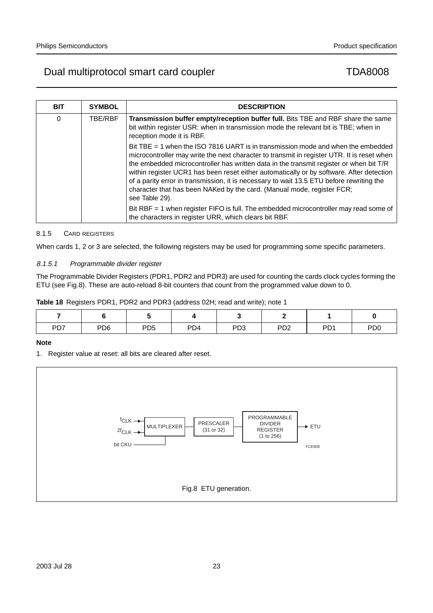| <b>BIT</b> | <b>SYMBOL</b> | <b>DESCRIPTION</b>                                                                                                                                                                                                                                                                                                                                                                                                                                                                                                                                                                                                                                                                                               |
|------------|---------------|------------------------------------------------------------------------------------------------------------------------------------------------------------------------------------------------------------------------------------------------------------------------------------------------------------------------------------------------------------------------------------------------------------------------------------------------------------------------------------------------------------------------------------------------------------------------------------------------------------------------------------------------------------------------------------------------------------------|
| 0          | TBE/RBF       | Transmission buffer empty/reception buffer full. Bits TBE and RBF share the same<br>bit within register USR: when in transmission mode the relevant bit is TBE; when in<br>reception mode it is RBF.                                                                                                                                                                                                                                                                                                                                                                                                                                                                                                             |
|            |               | Bit TBE $=$ 1 when the ISO 7816 UART is in transmission mode and when the embedded<br>microcontroller may write the next character to transmit in register UTR. It is reset when<br>the embedded microcontroller has written data in the transmit register or when bit T/R<br>within register UCR1 has been reset either automatically or by software. After detection<br>of a parity error in transmission, it is necessary to wait 13.5 ETU before rewriting the<br>character that has been NAKed by the card. (Manual mode, register FCR;<br>see Table 29).<br>Bit RBF = 1 when register FIFO is full. The embedded microcontroller may read some of<br>the characters in register URR, which clears bit RBF. |

# 8.1.5 CARD REGISTERS

When cards 1, 2 or 3 are selected, the following registers may be used for programming some specific parameters.

# 8.1.5.1 Programmable divider register

The Programmable Divider Registers (PDR1, PDR2 and PDR3) are used for counting the cards clock cycles forming the ETU (see Fig.8). These are auto-reload 8-bit counters that count from the programmed value down to 0.

| Table 18 Registers PDR1, PDR2 and PDR3 (address 02H; read and write); note 1 |  |  |  |  |
|------------------------------------------------------------------------------|--|--|--|--|

| PD7 | PD <sub>6</sub> | PD <sub>5</sub> | PD <sub>4</sub> | PD <sub>3</sub> | PD <sub>2</sub> | P <sub>D</sub> 1 | PD <sub>0</sub> |
|-----|-----------------|-----------------|-----------------|-----------------|-----------------|------------------|-----------------|

# **Note**

1. Register value at reset: all bits are cleared after reset.

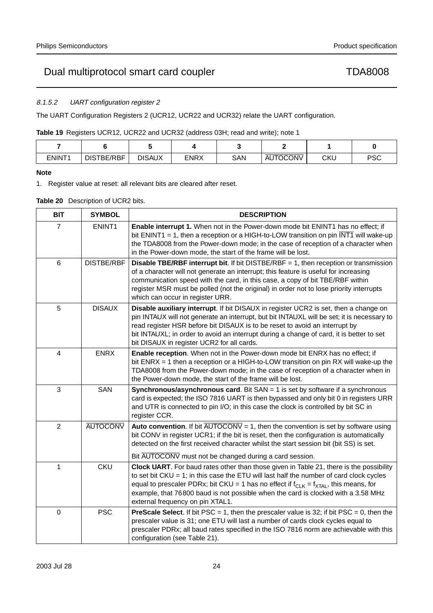# 8.1.5.2 UART configuration register 2

The UART Configuration Registers 2 (UCR12, UCR22 and UCR32) relate the UART configuration.

**Table 19** Registers UCR12, UCR22 and UCR32 (address 03H; read and write); note 1

| ENINT <sub>1</sub> | -TBE/RBF<br>DIS | <b>DISAUX</b><br><b>ENRX</b> |  | SAN | <b>AUTOCONV</b> | CKU | <b>PSC</b> |
|--------------------|-----------------|------------------------------|--|-----|-----------------|-----|------------|

# **Note**

1. Register value at reset: all relevant bits are cleared after reset.

# **Table 20** Description of UCR2 bits.

| <b>BIT</b>  | <b>SYMBOL</b>      | <b>DESCRIPTION</b>                                                                                                                                                                                                                                                                                                                                                                                          |
|-------------|--------------------|-------------------------------------------------------------------------------------------------------------------------------------------------------------------------------------------------------------------------------------------------------------------------------------------------------------------------------------------------------------------------------------------------------------|
| 7           | ENINT <sub>1</sub> | Enable interrupt 1. When not in the Power-down mode bit ENINT1 has no effect; if<br>bit ENINT1 = 1, then a reception or a HIGH-to-LOW transition on pin $\overline{\text{INT1}}$ will wake-up<br>the TDA8008 from the Power-down mode; in the case of reception of a character when<br>in the Power-down mode, the start of the frame will be lost.                                                         |
| 6           | <b>DISTBE/RBF</b>  | <b>Disable TBE/RBF interrupt bit.</b> If bit DISTBE/RBF $= 1$ , then reception or transmission<br>of a character will not generate an interrupt; this feature is useful for increasing<br>communication speed with the card, in this case, a copy of bit TBE/RBF within<br>register MSR must be polled (not the original) in order not to lose priority interrupts<br>which can occur in register URR.      |
| 5           | <b>DISAUX</b>      | Disable auxiliary interrupt. If bit DISAUX in register UCR2 is set, then a change on<br>pin INTAUX will not generate an interrupt, but bit INTAUXL will be set; it is necessary to<br>read register HSR before bit DISAUX is to be reset to avoid an interrupt by<br>bit INTAUXL; in order to avoid an interrupt during a change of card, it is better to set<br>bit DISAUX in register UCR2 for all cards. |
| 4           | <b>ENRX</b>        | Enable reception. When not in the Power-down mode bit ENRX has no effect; if<br>bit ENRX = 1 then a reception or a HIGH-to-LOW transition on pin RX will wake-up the<br>TDA8008 from the Power-down mode; in the case of reception of a character when in<br>the Power-down mode, the start of the frame will be lost.                                                                                      |
| 3           | <b>SAN</b>         | <b>Synchronous/asynchronous card.</b> Bit $SAN = 1$ is set by software if a synchronous<br>card is expected; the ISO 7816 UART is then bypassed and only bit 0 in registers URR<br>and UTR is connected to pin I/O; in this case the clock is controlled by bit SC in<br>register CCR.                                                                                                                      |
| 2           | <b>AUTOCONV</b>    | <b>Auto convention.</b> If bit $\overline{AUTOCONV} = 1$ , then the convention is set by software using<br>bit CONV in register UCR1; if the bit is reset, then the configuration is automatically<br>detected on the first received character whilst the start session bit (bit SS) is set.<br>Bit AUTOCONV must not be changed during a card session.                                                     |
| 1           | <b>CKU</b>         | Clock UART. For baud rates other than those given in Table 21, there is the possibility<br>to set bit CKU = 1; in this case the ETU will last half the number of card clock cycles<br>equal to prescaler PDRx; bit CKU = 1 has no effect if $f_{CLK} = f_{XTAL}$ , this means, for<br>example, that 76800 baud is not possible when the card is clocked with a 3.58 MHz<br>external frequency on pin XTAL1. |
| $\mathbf 0$ | <b>PSC</b>         | <b>PreScale Select.</b> If bit PSC = 1, then the prescaler value is 32; if bit PSC = 0, then the<br>prescaler value is 31; one ETU will last a number of cards clock cycles equal to<br>prescaler PDRx; all baud rates specified in the ISO 7816 norm are achievable with this<br>configuration (see Table 21).                                                                                             |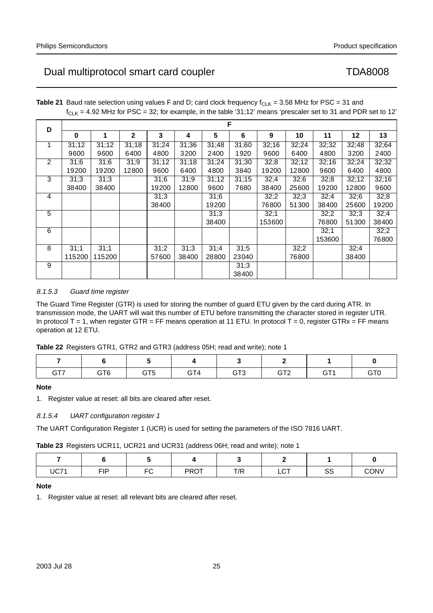| D              |        | F      |              |       |       |       |       |        |       |        |       |       |  |  |  |
|----------------|--------|--------|--------------|-------|-------|-------|-------|--------|-------|--------|-------|-------|--|--|--|
|                | 0      | 1      | $\mathbf{2}$ | 3     | 4     | 5     | 6     | 9      | 10    | 11     | 12    | 13    |  |  |  |
| 1              | 31;12  | 31;12  | 31;18        | 31;24 | 31;36 | 31;48 | 31;60 | 32;16  | 32;24 | 32;32  | 32;48 | 32;64 |  |  |  |
|                | 9600   | 9600   | 6400         | 4800  | 3200  | 2400  | 1920  | 9600   | 6400  | 4800   | 3200  | 2400  |  |  |  |
| 2              | 31;6   | 31;6   | 31;9         | 31;12 | 31:18 | 31;24 | 31;30 | 32;8   | 32;12 | 32;16  | 32;24 | 32;32 |  |  |  |
|                | 19200  | 19200  | 12800        | 9600  | 6400  | 4800  | 3840  | 19200  | 12800 | 9600   | 6400  | 4800  |  |  |  |
| 3              | 31:3   | 31;3   |              | 31:6  | 31;9  | 31:12 | 31;15 | 32;4   | 32;6  | 32;8   | 32;12 | 32;16 |  |  |  |
|                | 38400  | 38400  |              | 19200 | 12800 | 9600  | 7680  | 38400  | 25600 | 19200  | 12800 | 9600  |  |  |  |
| 4              |        |        |              | 31:3  |       | 31;6  |       | 32;2   | 32;3  | 32;4   | 32;6  | 32;8  |  |  |  |
|                |        |        |              | 38400 |       | 19200 |       | 76800  | 51300 | 38400  | 25600 | 19200 |  |  |  |
| $\overline{5}$ |        |        |              |       |       | 31:3  |       | 32;1   |       | 32;2   | 32;3  | 32;4  |  |  |  |
|                |        |        |              |       |       | 38400 |       | 153600 |       | 76800  | 51300 | 38400 |  |  |  |
| 6              |        |        |              |       |       |       |       |        |       | 32;1   |       | 32;2  |  |  |  |
|                |        |        |              |       |       |       |       |        |       | 153600 |       | 76800 |  |  |  |
| 8              | 31;1   | 31;1   |              | 31;2  | 31:3  | 31;4  | 31:5  |        | 32;2  |        | 32;4  |       |  |  |  |
|                | 115200 | 115200 |              | 57600 | 38400 | 28800 | 23040 |        | 76800 |        | 38400 |       |  |  |  |
| 9              |        |        |              |       |       |       | 31:3  |        |       |        |       |       |  |  |  |
|                |        |        |              |       |       |       | 38400 |        |       |        |       |       |  |  |  |

**Table 21** Baud rate selection using values F and D; card clock frequency  $f_{CLK} = 3.58$  MHz for PSC = 31 and  $f_{\text{Cl K}}$  = 4.92 MHz for PSC = 32; for example, in the table '31;12' means 'prescaler set to 31 and PDR set to 12'

# 8.1.5.3 Guard time register

The Guard Time Register (GTR) is used for storing the number of guard ETU given by the card during ATR. In transmission mode, the UART will wait this number of ETU before transmitting the character stored in register UTR. In protocol T = 1, when register GTR = FF means operation at 11 ETU. In protocol T = 0, register GTRx = FF means operation at 12 ETU.

|  |  |  | Table 22 Registers GTR1, GTR2 and GTR3 (address 05H; read and write); note 1 |
|--|--|--|------------------------------------------------------------------------------|
|--|--|--|------------------------------------------------------------------------------|

| GT <sub>7</sub> | GT <sub>6</sub> | $\cap$ TE<br>( – I | GT <sub>3</sub> | $\cap$ To<br>.<br>. . | .<br>п. | GTC |
|-----------------|-----------------|--------------------|-----------------|-----------------------|---------|-----|

# **Note**

1. Register value at reset: all bits are cleared after reset.

# 8.1.5.4 UART configuration register 1

The UART Configuration Register 1 (UCR) is used for setting the parameters of the ISO 7816 UART.

**Table 23** Registers UCR11, UCR21 and UCR31 (address 06H; read and write); note 1

| <b>UC71</b> | <b>FIP</b> | $\Gamma$ | <b>PROT</b> | T/R | $\sim$ $\sim$<br>ᄔ | 0C<br>ഄഄ | CONV |
|-------------|------------|----------|-------------|-----|--------------------|----------|------|

# **Note**

1. Register value at reset: all relevant bits are cleared after reset.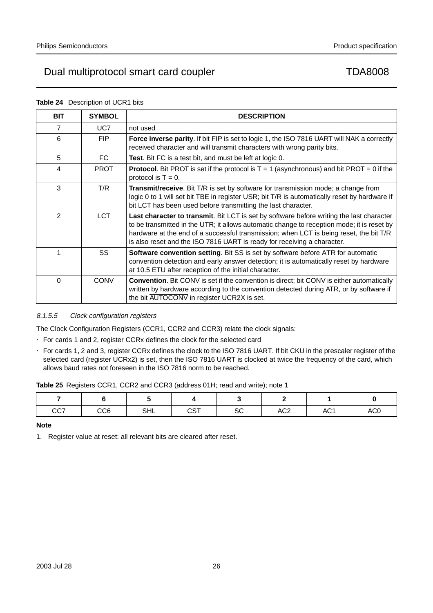| <b>BIT</b>     | <b>SYMBOL</b> | <b>DESCRIPTION</b>                                                                                                                                                                                                                                                                                                                                          |
|----------------|---------------|-------------------------------------------------------------------------------------------------------------------------------------------------------------------------------------------------------------------------------------------------------------------------------------------------------------------------------------------------------------|
| $\overline{7}$ | UC7           | not used                                                                                                                                                                                                                                                                                                                                                    |
| 6              | <b>FIP</b>    | Force inverse parity. If bit FIP is set to logic 1, the ISO 7816 UART will NAK a correctly<br>received character and will transmit characters with wrong parity bits.                                                                                                                                                                                       |
| 5              | FC            | Test. Bit FC is a test bit, and must be left at logic 0.                                                                                                                                                                                                                                                                                                    |
| 4              | <b>PROT</b>   | <b>Protocol.</b> Bit PROT is set if the protocol is $T = 1$ (asynchronous) and bit PROT = 0 if the<br>protocol is $T = 0$ .                                                                                                                                                                                                                                 |
| 3              | T/R           | Transmit/receive. Bit T/R is set by software for transmission mode; a change from<br>logic 0 to 1 will set bit TBE in register USR; bit T/R is automatically reset by hardware if<br>bit LCT has been used before transmitting the last character.                                                                                                          |
| $\mathfrak{p}$ | <b>LCT</b>    | Last character to transmit. Bit LCT is set by software before writing the last character<br>to be transmitted in the UTR; it allows automatic change to reception mode; it is reset by<br>hardware at the end of a successful transmission; when LCT is being reset, the bit T/R<br>is also reset and the ISO 7816 UART is ready for receiving a character. |
| 1              | SS            | Software convention setting. Bit SS is set by software before ATR for automatic<br>convention detection and early answer detection; it is automatically reset by hardware<br>at 10.5 ETU after reception of the initial character.                                                                                                                          |
| $\Omega$       | <b>CONV</b>   | <b>Convention.</b> Bit CONV is set if the convention is direct; bit CONV is either automatically<br>written by hardware according to the convention detected during ATR, or by software if<br>the bit AUTOCONV in register UCR2X is set.                                                                                                                    |

## **Table 24** Description of UCR1 bits

# 8.1.5.5 Clock configuration registers

The Clock Configuration Registers (CCR1, CCR2 and CCR3) relate the clock signals:

- For cards 1 and 2, register CCRx defines the clock for the selected card
- For cards 1, 2 and 3, register CCRx defines the clock to the ISO 7816 UART. If bit CKU in the prescaler register of the selected card (register UCRx2) is set, then the ISO 7816 UART is clocked at twice the frequency of the card, which allows baud rates not foreseen in the ISO 7816 norm to be reached.

**Table 25** Registers CCR1, CCR2 and CCR3 (address 01H; read and write); note 1

| CC7 | CC <sub>6</sub> | oш<br>จ⊓∟ | $\sim$<br>ו ט | $\sim$<br>ںت | AC <sub>2</sub> | AC <sub>1</sub> | AC <sub>0</sub> |
|-----|-----------------|-----------|---------------|--------------|-----------------|-----------------|-----------------|

# **Note**

1. Register value at reset: all relevant bits are cleared after reset.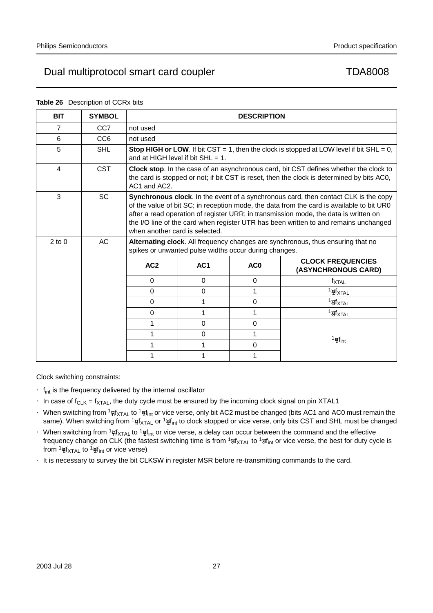|                | <b>Rapie 20</b> Description of CCKX DRS |                                      |                                                       |                    |                                                                                                                                                                                                                                                                                                                                                                  |
|----------------|-----------------------------------------|--------------------------------------|-------------------------------------------------------|--------------------|------------------------------------------------------------------------------------------------------------------------------------------------------------------------------------------------------------------------------------------------------------------------------------------------------------------------------------------------------------------|
| <b>BIT</b>     | <b>SYMBOL</b>                           |                                      |                                                       | <b>DESCRIPTION</b> |                                                                                                                                                                                                                                                                                                                                                                  |
| $\overline{7}$ | CC <sub>7</sub>                         | not used                             |                                                       |                    |                                                                                                                                                                                                                                                                                                                                                                  |
| 6              | CC <sub>6</sub>                         | not used                             |                                                       |                    |                                                                                                                                                                                                                                                                                                                                                                  |
| 5              | <b>SHL</b>                              | and at HIGH level if bit $SHL = 1$ . |                                                       |                    | <b>Stop HIGH or LOW.</b> If bit CST = 1, then the clock is stopped at LOW level if bit SHL = 0,                                                                                                                                                                                                                                                                  |
| 4              | <b>CST</b>                              | AC1 and AC2.                         |                                                       |                    | Clock stop. In the case of an asynchronous card, bit CST defines whether the clock to<br>the card is stopped or not; if bit CST is reset, then the clock is determined by bits AC0,                                                                                                                                                                              |
| 3              | <b>SC</b>                               | when another card is selected.       |                                                       |                    | Synchronous clock. In the event of a synchronous card, then contact CLK is the copy<br>of the value of bit SC; in reception mode, the data from the card is available to bit UR0<br>after a read operation of register URR; in transmission mode, the data is written on<br>the I/O line of the card when register UTR has been written to and remains unchanged |
| $2$ to $0$     | AC                                      |                                      | spikes or unwanted pulse widths occur during changes. |                    | Alternating clock. All frequency changes are synchronous, thus ensuring that no                                                                                                                                                                                                                                                                                  |
|                |                                         | AC <sub>2</sub>                      | AC1                                                   | AC <sub>0</sub>    | <b>CLOCK FREQUENCIES</b><br>(ASYNCHRONOUS CARD)                                                                                                                                                                                                                                                                                                                  |
|                |                                         | $\Omega$                             | $\Omega$                                              | $\Omega$           | $f_{\text{XTAL}}$                                                                                                                                                                                                                                                                                                                                                |
|                |                                         | $\Omega$                             | $\Omega$                                              | 1                  | $\frac{1}{2}f_{\text{XTAL}}$                                                                                                                                                                                                                                                                                                                                     |
|                |                                         | $\Omega$                             | 1                                                     | $\Omega$           | $\frac{1}{4}f_{\text{XTAL}}$                                                                                                                                                                                                                                                                                                                                     |
|                |                                         | 0                                    | 1                                                     | 1                  | $\frac{1}{8}f_{\text{XTAL}}$                                                                                                                                                                                                                                                                                                                                     |
|                |                                         | 1                                    | $\mathbf 0$                                           | $\mathbf 0$        |                                                                                                                                                                                                                                                                                                                                                                  |
|                |                                         | 1                                    | $\Omega$                                              | 1                  |                                                                                                                                                                                                                                                                                                                                                                  |
|                |                                         | 1                                    | 1                                                     | $\mathbf 0$        | $\frac{1}{2}f_{int}$                                                                                                                                                                                                                                                                                                                                             |
|                |                                         | 1                                    | 1                                                     | 1                  |                                                                                                                                                                                                                                                                                                                                                                  |

## **Table 26** Description of CCRx bits

Clock switching constraints:

- $\bullet$   $f_{int}$  is the frequency delivered by the internal oscillator
- In case of  $f_{CLK} = f_{XTAL}$ , the duty cycle must be ensured by the incoming clock signal on pin XTAL1
- When switching from  $1/2$ <sub>n</sub>f<sub>XTAL</sub> to  $1/2$ f<sub>int</sub> or vice verse, only bit AC2 must be changed (bits AC1 and AC0 must remain the same). When switching from  $\frac{1}{n}f_{\rm XTAL}$  or  $\frac{1}{2}f_{\rm int}$  to clock stopped or vice verse, only bits CST and SHL must be changed
- When switching from  $\frac{1}{n}f_{XTAL}$  to  $\frac{1}{2}f_{int}$  or vice verse, a delay can occur between the command and the effective frequency change on CLK (the fastest switching time is from  $^{1}\!/_{2}$ f $_{X}$ TAL to  $^{1}\!/_{2}$ f $_{\rm int}$  or vice verse, the best for duty cycle is from  $\frac{1}{8}f_{\text{XTAL}}$  to  $\frac{1}{2}f_{\text{int}}$  or vice verse)
- It is necessary to survey the bit CLKSW in register MSR before re-transmitting commands to the card.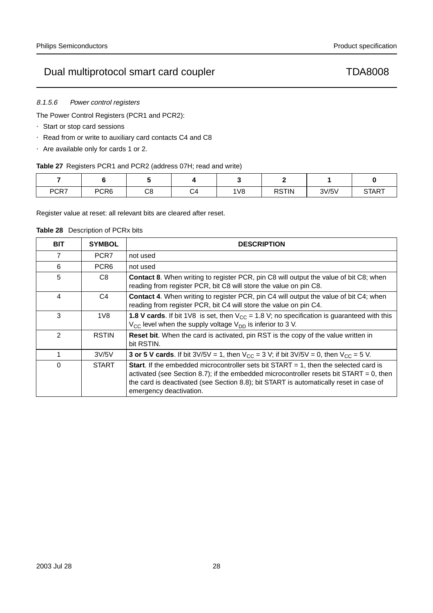# 8.1.5.6 Power control registers

The Power Control Registers (PCR1 and PCR2):

- Start or stop card sessions
- Read from or write to auxiliary card contacts C4 and C8
- Are available only for cards 1 or 2.

# **Table 27** Registers PCR1 and PCR2 (address 07H; read and write)

| PCR7 | PCR <sub>6</sub> | ⌒⌒<br>0o | $\sim$<br>۵ | 1 <sub>V</sub> 8 | <b>RSTIN</b> | 3V/5V | <b>START</b> |
|------|------------------|----------|-------------|------------------|--------------|-------|--------------|

Register value at reset: all relevant bits are cleared after reset.

**Table 28** Description of PCRx bits

| BIT            | <b>SYMBOL</b>    | <b>DESCRIPTION</b>                                                                                                                                                                                                                                                                                             |
|----------------|------------------|----------------------------------------------------------------------------------------------------------------------------------------------------------------------------------------------------------------------------------------------------------------------------------------------------------------|
| 7              | PCR7             | not used                                                                                                                                                                                                                                                                                                       |
| 6              | PCR <sub>6</sub> | not used                                                                                                                                                                                                                                                                                                       |
| 5              | C8               | <b>Contact 8.</b> When writing to register PCR, pin C8 will output the value of bit C8; when<br>reading from register PCR, bit C8 will store the value on pin C8.                                                                                                                                              |
| 4              | C4               | <b>Contact 4.</b> When writing to register PCR, pin C4 will output the value of bit C4; when<br>reading from register PCR, bit C4 will store the value on pin C4.                                                                                                                                              |
| 3              | 1V8              | <b>1.8 V cards.</b> If bit 1V8 is set, then $V_{CC} = 1.8$ V; no specification is guaranteed with this<br>$V_{\rm CC}$ level when the supply voltage $V_{\rm DD}$ is inferior to 3 V.                                                                                                                          |
| $\mathfrak{p}$ | <b>RSTIN</b>     | <b>Reset bit.</b> When the card is activated, pin RST is the copy of the value written in<br>bit RSTIN.                                                                                                                                                                                                        |
| 1              | 3V/5V            | <b>3 or 5 V cards.</b> If bit $3\sqrt{5}V = 1$ , then $V_{CC} = 3 V$ ; if bit $3\sqrt{5}V = 0$ , then $V_{CC} = 5 V$ .                                                                                                                                                                                         |
| $\Omega$       | <b>START</b>     | <b>Start.</b> If the embedded microcontroller sets bit START $= 1$ , then the selected card is<br>activated (see Section 8.7); if the embedded microcontroller resets bit START = 0, then<br>the card is deactivated (see Section 8.8); bit START is automatically reset in case of<br>emergency deactivation. |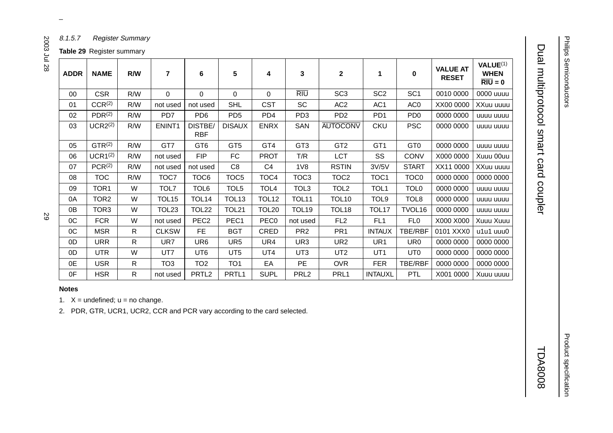Product specification

**Product specification** 

# Dual multiprotocol smart card coupler Dual multiprotocol smart card coupler TDA8008

**TDA8008** 

|             | <b>Table 29</b> Register summary |     |                         |                       |                   |                   |                   |                  |                  |                  |                                 |                                                             |
|-------------|----------------------------------|-----|-------------------------|-----------------------|-------------------|-------------------|-------------------|------------------|------------------|------------------|---------------------------------|-------------------------------------------------------------|
| <b>ADDR</b> | <b>NAME</b>                      | R/W | $\overline{\mathbf{r}}$ | 6                     | 5                 | 4                 | 3                 | $\mathbf 2$      | 1                | 0                | <b>VALUE AT</b><br><b>RESET</b> | VALUE <sup>(1)</sup><br><b>WHEN</b><br>$\overline{RIU} = 0$ |
| 00          | <b>CSR</b>                       | R/W | $\Omega$                | $\mathbf 0$           | $\Omega$          | 0                 | <b>RIU</b>        | SC <sub>3</sub>  | SC <sub>2</sub>  | SC <sub>1</sub>  | 0010 0000                       | 0000 uuuu                                                   |
| 01          | CCR <sup>(2)</sup>               | R/W | not used                | not used              | <b>SHL</b>        | <b>CST</b>        | <b>SC</b>         | AC <sub>2</sub>  | AC <sub>1</sub>  | AC <sub>0</sub>  | XX00 0000                       | XXuu uuuu                                                   |
| 02          | PDR <sup>(2)</sup>               | R/W | PD7                     | PD <sub>6</sub>       | PD <sub>5</sub>   | PD <sub>4</sub>   | PD <sub>3</sub>   | PD <sub>2</sub>  | PD <sub>1</sub>  | PD <sub>0</sub>  | 0000 0000                       | uuuu uuuu                                                   |
| 03          | UCR2 <sup>(2)</sup>              | R/W | ENINT <sub>1</sub>      | DISTBE/<br><b>RBF</b> | <b>DISAUX</b>     | <b>ENRX</b>       | SAN               | <b>AUTOCONV</b>  | <b>CKU</b>       | <b>PSC</b>       | 0000 0000                       | uuuu uuuu                                                   |
| 05          | GTR <sup>(2)</sup>               | R/W | GT7                     | GT <sub>6</sub>       | GT <sub>5</sub>   | GT4               | GT <sub>3</sub>   | GT <sub>2</sub>  | GT <sub>1</sub>  | GT <sub>0</sub>  | 0000 0000                       | uuuu uuuu                                                   |
| 06          | $UCR1^{(2)}$                     | R/W | not used                | <b>FIP</b>            | FC                | <b>PROT</b>       | T/R               | <b>LCT</b>       | <b>SS</b>        | <b>CONV</b>      | X000 0000                       | Xuuu 00uu                                                   |
| 07          | PCR <sup>(2)</sup>               | R/W | not used                | not used              | C <sub>8</sub>    | C <sub>4</sub>    | 1 <sub>V</sub> 8  | <b>RSTIN</b>     | 3V/5V            | <b>START</b>     | XX11 0000                       | XXuu uuuu                                                   |
| 08          | <b>TOC</b>                       | R/W | TOC7                    | TOC6                  | TOC5              | TOC4              | TOC <sub>3</sub>  | TOC <sub>2</sub> | TOC <sub>1</sub> | TOC <sub>0</sub> | 0000 0000                       | 0000 0000                                                   |
| 09          | TOR <sub>1</sub>                 | W   | TOL7                    | TOL6                  | TOL5              | TOL4              | TOL3              | TOL <sub>2</sub> | TOL1             | TOL <sub>0</sub> | 0000 0000                       | uuuu uuuu                                                   |
| 0A          | TOR <sub>2</sub>                 | W   | TOL <sub>15</sub>       | TOL <sub>14</sub>     | TOL <sub>13</sub> | TOL <sub>12</sub> | <b>TOL11</b>      | <b>TOL10</b>     | TOL9             | TOL <sub>8</sub> | 0000 0000                       | uuuu uuuu                                                   |
| 0B          | TOR <sub>3</sub>                 | W   | <b>TOL23</b>            | <b>TOL22</b>          | <b>TOL21</b>      | <b>TOL20</b>      | TOL <sub>19</sub> | <b>TOL18</b>     | <b>TOL17</b>     | TVOL16           | 0000 0000                       | uuuu uuuu                                                   |
| 0C          | <b>FCR</b>                       | W   | not used                | PEC <sub>2</sub>      | PEC1              | PEC <sub>0</sub>  | not used          | FL <sub>2</sub>  | FL <sub>1</sub>  | FL0              | X000 X000                       | Xuuu Xuuu                                                   |
| OC          | <b>MSR</b>                       | R   | <b>CLKSW</b>            | FE.                   | <b>BGT</b>        | CRED              | PR <sub>2</sub>   | PR <sub>1</sub>  | <b>INTAUX</b>    | TBE/RBF          | 0101 XXX0                       | u1u1 uuu0                                                   |
| 0D          | <b>URR</b>                       | R   | UR7                     | UR <sub>6</sub>       | UR5               | UR4               | UR3               | UR <sub>2</sub>  | UR <sub>1</sub>  | UR <sub>0</sub>  | 0000 0000                       | 0000 0000                                                   |
| 0D          | <b>UTR</b>                       | W   | UT7                     | UT6                   | UT <sub>5</sub>   | UT4               | UT3               | UT <sub>2</sub>  | UT <sub>1</sub>  | UT <sub>0</sub>  | 0000 0000                       | 0000 0000                                                   |
| 0E          | <b>USR</b>                       | R   | TO <sub>3</sub>         | TO <sub>2</sub>       | TO <sub>1</sub>   | EA                | PE                | <b>OVR</b>       | <b>FER</b>       | TBE/RBF          | 0000 0000                       | 0000 0000                                                   |
| 0F          | <b>HSR</b>                       | R   | not used                | PRTL <sub>2</sub>     | PRTL <sub>1</sub> | <b>SUPL</b>       | PRL <sub>2</sub>  | PRL1             | <b>INTAUXL</b>   | <b>PTL</b>       | X001 0000                       | Xuuu uuuu                                                   |

# **Notes**

1.  $X =$  undefined;  $u =$  no change.

2. PDR, GTR, UCR1, UCR2, CCR and PCR vary according to the card selected.

 $\omega$  rotated correctly when browsing through the pdf in the Acrobat reader.This text is here in the pdf in the  $\alpha$ 

2003 Jul 28

8.1.5.7 Register Summary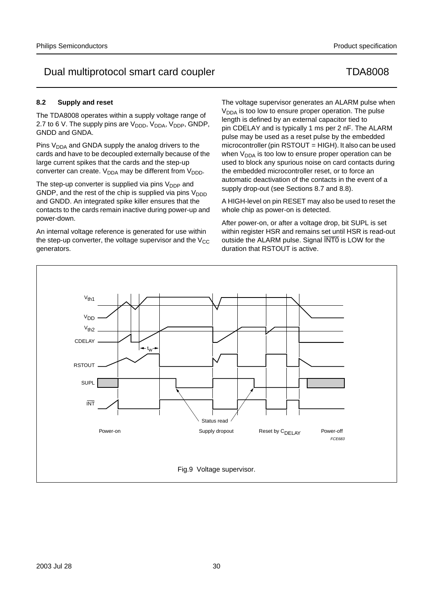# **8.2 Supply and reset**

The TDA8008 operates within a supply voltage range of 2.7 to 6 V. The supply pins are  $V_{\text{DDD}}$ ,  $V_{\text{DDA}}$ ,  $V_{\text{DDP}}$ , GNDP, GNDD and GNDA.

Pins V<sub>DDA</sub> and GNDA supply the analog drivers to the cards and have to be decoupled externally because of the large current spikes that the cards and the step-up converter can create.  $V_{DDA}$  may be different from  $V_{DDD}$ .

The step-up converter is supplied via pins  $V_{\text{DDP}}$  and GNDP, and the rest of the chip is supplied via pins  $V_{\text{DDD}}$ and GNDD. An integrated spike killer ensures that the contacts to the cards remain inactive during power-up and power-down.

An internal voltage reference is generated for use within the step-up converter, the voltage supervisor and the  $V_{CC}$ generators.

The voltage supervisor generates an ALARM pulse when  $V<sub>DDA</sub>$  is too low to ensure proper operation. The pulse length is defined by an external capacitor tied to pin CDELAY and is typically 1 ms per 2 nF. The ALARM pulse may be used as a reset pulse by the embedded microcontroller (pin RSTOUT = HIGH). It also can be used when  $V_{DDA}$  is too low to ensure proper operation can be used to block any spurious noise on card contacts during the embedded microcontroller reset, or to force an automatic deactivation of the contacts in the event of a supply drop-out (see Sections 8.7 and 8.8).

A HIGH-level on pin RESET may also be used to reset the whole chip as power-on is detected.

After power-on, or after a voltage drop, bit SUPL is set within register HSR and remains set until HSR is read-out outside the ALARM pulse. Signal INTO is LOW for the duration that RSTOUT is active.

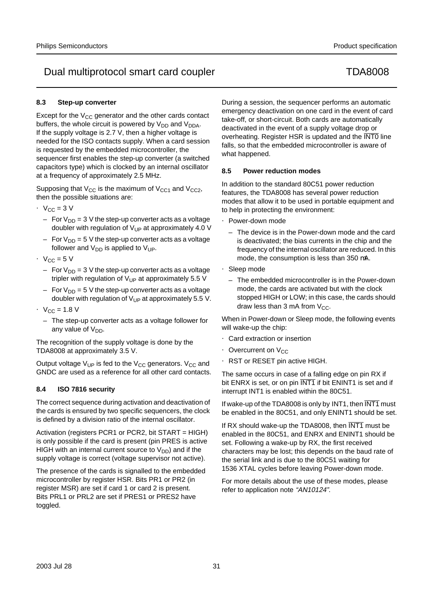# **8.3 Step-up converter**

Except for the  $V_{CC}$  generator and the other cards contact buffers, the whole circuit is powered by  $V_{DD}$  and  $V_{DDA}$ . If the supply voltage is 2.7 V, then a higher voltage is needed for the ISO contacts supply. When a card session is requested by the embedded microcontroller, the sequencer first enables the step-up converter (a switched capacitors type) which is clocked by an internal oscillator at a frequency of approximately 2.5 MHz.

Supposing that  $V_{CC}$  is the maximum of  $V_{CC1}$  and  $V_{CC2}$ , then the possible situations are:

- $V_{CC} = 3 V$ 
	- For  $V_{DD}$  = 3 V the step-up converter acts as a voltage doubler with regulation of  $V_{UP}$  at approximately 4.0 V
	- For  $V_{DD} = 5$  V the step-up converter acts as a voltage follower and  $V_{DD}$  is applied to  $V_{UP}$ .
- $V_{CC} = 5V$ 
	- For  $V_{DD}$  = 3 V the step-up converter acts as a voltage tripler with regulation of  $V_{UP}$  at approximately 5.5 V
	- For  $V_{DD} = 5$  V the step-up converter acts as a voltage doubler with regulation of  $V_{UP}$  at approximately 5.5 V.
- $V_{CC} = 1.8 V$ 
	- The step-up converter acts as a voltage follower for any value of  $V_{DD}$ .

The recognition of the supply voltage is done by the TDA8008 at approximately 3.5 V.

Output voltage  $V_{UP}$  is fed to the  $V_{CC}$  generators.  $V_{CC}$  and GNDC are used as a reference for all other card contacts.

# **8.4 ISO 7816 security**

The correct sequence during activation and deactivation of the cards is ensured by two specific sequencers, the clock is defined by a division ratio of the internal oscillator.

Activation (registers PCR1 or PCR2, bit START = HIGH) is only possible if the card is present (pin PRES is active HIGH with an internal current source to  $V_{DD}$ ) and if the supply voltage is correct (voltage supervisor not active).

The presence of the cards is signalled to the embedded microcontroller by register HSR. Bits PR1 or PR2 (in register MSR) are set if card 1 or card 2 is present. Bits PRL1 or PRL2 are set if PRES1 or PRES2 have toggled.

During a session, the sequencer performs an automatic emergency deactivation on one card in the event of card take-off, or short-circuit. Both cards are automatically deactivated in the event of a supply voltage drop or overheating. Register HSR is updated and the INT0 line falls, so that the embedded microcontroller is aware of what happened.

# **8.5 Power reduction modes**

In addition to the standard 80C51 power reduction features, the TDA8008 has several power reduction modes that allow it to be used in portable equipment and to help in protecting the environment:

- Power-down mode
	- The device is in the Power-down mode and the card is deactivated; the bias currents in the chip and the frequency of the internal oscillator are reduced. In this mode, the consumption is less than 350 µA.
- Sleep mode
	- The embedded microcontroller is in the Power-down mode, the cards are activated but with the clock stopped HIGH or LOW; in this case, the cards should draw less than 3 mA from  $V_{CC}$ .

When in Power-down or Sleep mode, the following events will wake-up the chip:

- Card extraction or insertion
- Overcurrent on  $V_{CC}$
- RST or RESET pin active HIGH.

The same occurs in case of a falling edge on pin RX if bit ENRX is set, or on pin  $\overline{INT1}$  if bit ENINT1 is set and if interrupt INT1 is enabled within the 80C51.

If wake-up of the TDA8008 is only by INT1, then INT1 must be enabled in the 80C51, and only ENINT1 should be set.

If RX should wake-up the TDA8008, then INT1 must be enabled in the 80C51, and ENRX and ENINT1 should be set. Following a wake-up by RX, the first received characters may be lost; this depends on the baud rate of the serial link and is due to the 80C51 waiting for 1536 XTAL cycles before leaving Power-down mode.

For more details about the use of these modes, please refer to application note "AN10124".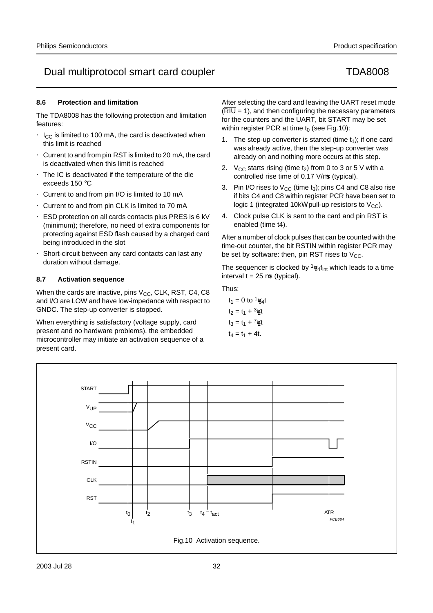# **8.6 Protection and limitation**

The TDA8008 has the following protection and limitation features:

- $I_{CC}$  is limited to 100 mA, the card is deactivated when this limit is reached
- Current to and from pin RST is limited to 20 mA, the card is deactivated when this limit is reached
- The IC is deactivated if the temperature of the die exceeds 150 °C
- Current to and from pin I/O is limited to 10 mA
- Current to and from pin CLK is limited to 70 mA
- ESD protection on all cards contacts plus PRES is 6 kV (minimum); therefore, no need of extra components for protecting against ESD flash caused by a charged card being introduced in the slot
- Short-circuit between any card contacts can last any duration without damage.

# **8.7 Activation sequence**

When the cards are inactive, pins  $V_{CC}$ , CLK, RST, C4, C8 and I/O are LOW and have low-impedance with respect to GNDC. The step-up converter is stopped.

When everything is satisfactory (voltage supply, card present and no hardware problems), the embedded microcontroller may initiate an activation sequence of a present card.

After selecting the card and leaving the UART reset mode  $(\overline{RIO} = 1)$ , and then configuring the necessary parameters for the counters and the UART, bit START may be set within register PCR at time  $t_0$  (see Fig.10):

- 1. The step-up converter is started (time  $t_1$ ); if one card was already active, then the step-up converter was already on and nothing more occurs at this step.
- 2.  $V_{CC}$  starts rising (time t<sub>2</sub>) from 0 to 3 or 5 V with a controlled rise time of 0.17 V/µs (typical).
- 3. Pin I/O rises to  $V_{CC}$  (time  $t_3$ ); pins C4 and C8 also rise if bits C4 and C8 within register PCR have been set to logic 1 (integrated 10k $\Omega$  pull-up resistors to  $V_{\text{CC}}$ ).
- 4. Clock pulse CLK is sent to the card and pin RST is enabled (time t4).

After a number of clock pulses that can be counted with the time-out counter, the bit RSTIN within register PCR may be set by software: then, pin RST rises to  $V_{CC}$ .

The sequencer is clocked by  $\frac{1}{64}$ f<sub>int</sub> which leads to a time interval  $t = 25 \mu s$  (typical).

Thus:

 $t_1 = 0$  to  $\frac{1}{64}$  $t_2 = t_1 + \frac{3}{2}t$  $t_3 = t_1 + \frac{7}{2}t$  $t_4 = t_1 + 4t$ .

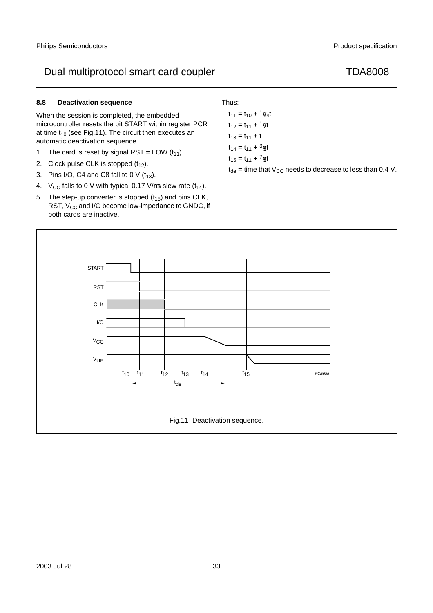# **8.8 Deactivation sequence**

When the session is completed, the embedded microcontroller resets the bit START within register PCR at time  $t_{10}$  (see Fig.11). The circuit then executes an automatic deactivation sequence.

- 1. The card is reset by signal RST = LOW  $(t_{11})$ .
- 2. Clock pulse CLK is stopped  $(t_{12})$ .
- 3. Pins I/O, C4 and C8 fall to 0 V  $(t_{13})$ .
- 4. V<sub>CC</sub> falls to 0 V with typical 0.17 V/ $\mu$ s slew rate (t<sub>14</sub>).
- 5. The step-up converter is stopped  $(t_{15})$  and pins CLK, RST,  $V_{CC}$  and I/O become low-impedance to GNDC, if both cards are inactive.

# Thus:

 $t_{11} = t_{10} + \frac{1}{64}t$  $t_{12} = t_{11} + \frac{1}{2}t$  $t_{13} = t_{11} + t$  $t_{14} = t_{11} + \frac{3}{2}t$  $t_{15} = t_{11} + \frac{7}{2}t$ 

 $t_{de}$  = time that  $V_{CC}$  needs to decrease to less than 0.4 V.

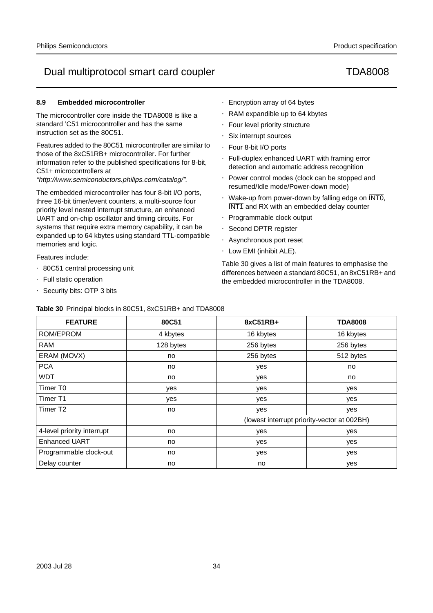# **8.9 Embedded microcontroller**

The microcontroller core inside the TDA8008 is like a standard 'C51 microcontroller and has the same instruction set as the 80C51.

Features added to the 80C51 microcontroller are similar to those of the 8xC51RB+ microcontroller. For further information refer to the published specifications for 8-bit, C51+ microcontrollers at

"http://www.semiconductors.philips.com/catalog/".

The embedded microcontroller has four 8-bit I/O ports, three 16-bit timer/event counters, a multi-source four priority level nested interrupt structure, an enhanced UART and on-chip oscillator and timing circuits. For systems that require extra memory capability, it can be expanded up to 64 kbytes using standard TTL-compatible memories and logic.

Features include:

- 80C51 central processing unit
- Full static operation
- Security bits: OTP 3 bits
- Encryption array of 64 bytes
- RAM expandible up to 64 kbytes
- Four level priority structure
- Six interrupt sources
- Four 8-bit I/O ports
- Full-duplex enhanced UART with framing error detection and automatic address recognition
- Power control modes (clock can be stopped and resumed/Idle mode/Power-down mode)
- Wake-up from power-down by falling edge on  $\overline{\text{INTO}}$ , INT1 and RX with an embedded delay counter
- Programmable clock output
- Second DPTR register
- Asynchronous port reset
- Low EMI (inhibit ALE).

Table 30 gives a list of main features to emphasise the differences between a standard 80C51, an 8xC51RB+ and the embedded microcontroller in the TDA8008.

| <b>FEATURE</b>             | 80C51     | 8xC51RB+  | <b>TDA8008</b>                              |
|----------------------------|-----------|-----------|---------------------------------------------|
| ROM/EPROM                  | 4 kbytes  | 16 kbytes | 16 kbytes                                   |
| <b>RAM</b>                 | 128 bytes | 256 bytes | 256 bytes                                   |
| ERAM (MOVX)                | no        | 256 bytes | 512 bytes                                   |
| <b>PCA</b>                 | no        | yes       | no                                          |
| <b>WDT</b>                 | no        | yes       | no                                          |
| Timer T0                   | yes       | yes       | yes                                         |
| Timer T1                   | yes       | yes       | yes                                         |
| Timer T <sub>2</sub>       | no        | yes       | yes                                         |
|                            |           |           | (lowest interrupt priority-vector at 002BH) |
| 4-level priority interrupt | no        | yes       | yes                                         |
| <b>Enhanced UART</b>       | no        | yes       | yes                                         |
| Programmable clock-out     | no        | yes       | yes                                         |
| Delay counter              | no        | no        | yes                                         |

**Table 30** Principal blocks in 80C51, 8xC51RB+ and TDA8008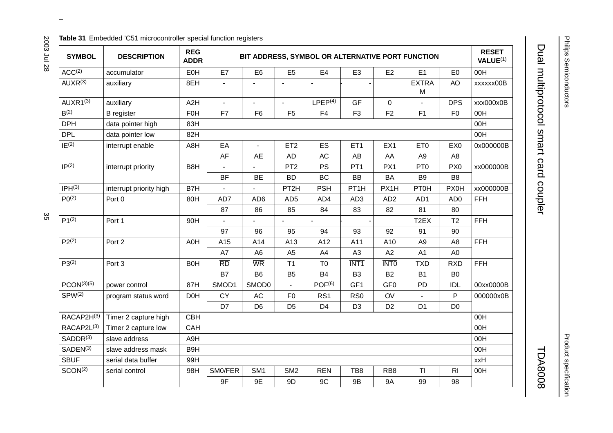## **Table 31** Embedded 'C51 microcontroller special function registers

| <b>SYMBOL</b>                 | <b>DESCRIPTION</b>      | <b>REG</b><br><b>ADDR</b> |                 |                          |                          | BIT ADDRESS, SYMBOL OR ALTERNATIVE PORT FUNCTION |                          |                          |                   |                 | <b>RESET</b><br>VALUE <sup>(1)</sup> |
|-------------------------------|-------------------------|---------------------------|-----------------|--------------------------|--------------------------|--------------------------------------------------|--------------------------|--------------------------|-------------------|-----------------|--------------------------------------|
| ACC <sup>(2)</sup>            | accumulator             | EOH                       | E7              | E <sub>6</sub>           | E <sub>5</sub>           | E <sub>4</sub>                                   | E <sub>3</sub>           | E <sub>2</sub>           | E1                | E <sub>0</sub>  | 00H                                  |
| AUXR <sup>(3)</sup>           | auxiliary               | 8EH                       |                 |                          |                          |                                                  |                          | $\overline{\phantom{0}}$ | <b>EXTRA</b><br>M | AO              | xxxxxx00B                            |
| $AUXR1^{(3)}$                 | auxiliary               | A2H                       |                 |                          |                          | LPEP <sup>(4)</sup>                              | GF                       | 0                        |                   | <b>DPS</b>      | xxx000x0B                            |
| B <sup>(2)</sup>              | <b>B</b> register       | F <sub>0</sub> H          | F7              | F <sub>6</sub>           | F <sub>5</sub>           | F4                                               | F <sub>3</sub>           | F <sub>2</sub>           | F1                | F <sub>0</sub>  | 00H                                  |
| <b>DPH</b>                    | data pointer high       | 83H                       |                 |                          |                          |                                                  |                          |                          |                   |                 | 00H                                  |
| <b>DPL</b>                    | data pointer low        | 82H                       |                 |                          |                          |                                                  |                          |                          |                   |                 | 00H                                  |
| $IE^{(2)}$                    | interrupt enable        | A8H                       | EA              | $\overline{\phantom{0}}$ | ET <sub>2</sub>          | ES                                               | ET <sub>1</sub>          | EX1                      | ET <sub>0</sub>   | EX <sub>0</sub> | 0x000000B                            |
|                               |                         |                           | AF              | AE                       | <b>AD</b>                | AC                                               | AB                       | AA                       | A <sub>9</sub>    | A <sub>8</sub>  |                                      |
| IP <sup>(2)</sup>             | interrupt priority      | B8H                       |                 |                          | PT <sub>2</sub>          | <b>PS</b>                                        | PT <sub>1</sub>          | PX1                      | PT <sub>0</sub>   | PX <sub>0</sub> | xx000000B                            |
|                               |                         |                           | <b>BF</b>       | <b>BE</b>                | <b>BD</b>                | <b>BC</b>                                        | <b>BB</b>                | <b>BA</b>                | B <sub>9</sub>    | B <sub>8</sub>  |                                      |
| IPH <sup>(3)</sup>            | interrupt priority high | B7H                       | $\equiv$        |                          | PT <sub>2</sub> H        | <b>PSH</b>                                       | PT <sub>1</sub> H        | PX1H                     | <b>PT0H</b>       | <b>PX0H</b>     | xx000000B                            |
| P <sub>0</sub> <sup>(2)</sup> | Port 0                  | 80H                       | AD7             | AD <sub>6</sub>          | AD <sub>5</sub>          | AD4                                              | AD <sub>3</sub>          | AD <sub>2</sub>          | AD1               | AD <sub>0</sub> | <b>FFH</b>                           |
|                               |                         |                           | 87              | 86                       | 85                       | 84                                               | 83                       | 82                       | 81                | 80              |                                      |
| $P1^{(2)}$                    | Port 1                  | 90H                       | $\equiv$        | $\overline{\phantom{0}}$ |                          |                                                  | $\overline{\phantom{0}}$ | $\equiv$                 | T <sub>2</sub> EX | T2              | <b>FFH</b>                           |
|                               |                         |                           | 97              | 96                       | 95                       | 94                                               | 93                       | 92                       | 91                | 90              |                                      |
| $P2^{(2)}$                    | Port 2                  | A0H                       | A15             | A14                      | A13                      | A12                                              | A11                      | A10                      | A <sub>9</sub>    | A <sub>8</sub>  | <b>FFH</b>                           |
|                               |                         |                           | A7              | A <sub>6</sub>           | A <sub>5</sub>           | A4                                               | A <sub>3</sub>           | A2                       | A1                | A <sub>0</sub>  |                                      |
| $P3^{(2)}$                    | Port <sub>3</sub>       | <b>B0H</b>                | $\overline{RD}$ | <b>WR</b>                | T <sub>1</sub>           | T <sub>0</sub>                                   | $\overline{INT1}$        | <b>INTO</b>              | <b>TXD</b>        | <b>RXD</b>      | <b>FFH</b>                           |
|                               |                         |                           | <b>B7</b>       | <b>B6</b>                | B <sub>5</sub>           | <b>B4</b>                                        | B <sub>3</sub>           | <b>B2</b>                | <b>B1</b>         | B <sub>0</sub>  |                                      |
| PCON <sup>(3)(5)</sup>        | power control           | 87H                       | SMOD1           | SMOD0                    | $\overline{\phantom{0}}$ | POF <sup>(6)</sup>                               | GF <sub>1</sub>          | GF <sub>0</sub>          | <b>PD</b>         | <b>IDL</b>      | 00xx0000B                            |
| SPW <sup>(2)</sup>            | program status word     | <b>D0H</b>                | <b>CY</b>       | <b>AC</b>                | F <sub>0</sub>           | RS <sub>1</sub>                                  | R <sub>S0</sub>          | OV                       |                   | P               | 000000x0B                            |
|                               |                         |                           | D7              | D <sub>6</sub>           | D <sub>5</sub>           | D <sub>4</sub>                                   | D <sub>3</sub>           | D <sub>2</sub>           | D <sub>1</sub>    | D <sub>0</sub>  |                                      |
| RACAP2H(3)                    | Timer 2 capture high    | <b>CBH</b>                |                 |                          |                          |                                                  |                          |                          |                   |                 | 00H                                  |
| RACAP2L <sup>(3)</sup>        | Timer 2 capture low     | CAH                       |                 |                          |                          |                                                  |                          |                          |                   |                 | 00H                                  |
| SADDR <sup>(3)</sup>          | slave address           | A9H                       |                 |                          |                          |                                                  |                          |                          |                   |                 | 00H                                  |
| SADEN <sup>(3)</sup>          | slave address mask      | B <sub>9</sub> H          |                 |                          |                          |                                                  |                          |                          |                   |                 | 00H                                  |
| <b>SBUF</b>                   | serial data buffer      | 99H                       |                 |                          |                          |                                                  |                          |                          |                   |                 | xxH                                  |
| SCON <sup>(2)</sup>           | serial control          | 98H                       | SM0/FER         | SM <sub>1</sub>          | SM <sub>2</sub>          | <b>REN</b>                                       | TB8                      | RB <sub>8</sub>          | ΤI                | R <sub>l</sub>  | 00H                                  |
|                               |                         |                           | 9F              | 9E                       | 9D                       | 9C                                               | 9B                       | <b>9A</b>                | 99                | 98              |                                      |

 $\omega$  rotated correctly when browsing through the pdf in the Acrobat reader.This text is here in the pdf in the  $\alpha$ 

Dual multiprotocol smart card coupler TDA8008

Dual multiprotocol smart card coupler

2003 Jul 28

Product specification Product specification

**TDA8008**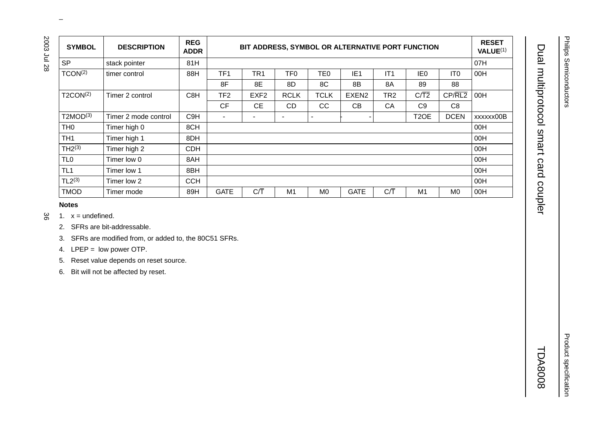| SP<br>81H<br>07H<br>stack pointer<br>TCON <sup>(2)</sup><br>TF1<br>88H<br>TR <sub>1</sub><br>TF <sub>0</sub><br>TE <sub>0</sub><br>IE <sub>1</sub><br>IT1<br><b>IEO</b><br>IT <sub>0</sub><br>00H<br>timer control<br>8F<br>8E<br>8D<br>8C<br>8B<br>8A<br>89<br>88<br>$C/\overline{T2}$<br>CP/RL2<br>T2CON <sup>(2)</sup><br>C8H<br>TF <sub>2</sub><br><b>TCLK</b><br>EXEN <sub>2</sub><br>TR <sub>2</sub><br>00H<br>Timer 2 control<br>EXF <sub>2</sub><br><b>RCLK</b><br>CF<br>$\mathsf{CE}% _{\mathsf{CE}}^{\mathsf{CE}}$<br>CC<br>C9<br>C8<br>CD<br>CB<br>CA<br>T2MOD <sup>(3)</sup><br>Timer 2 mode control<br>C <sub>9</sub> H<br>T <sub>2</sub> OE<br><b>DCEN</b><br>$\overline{\phantom{m}}$<br>$\overline{\phantom{0}}$<br>$\overline{\phantom{0}}$<br>$\overline{\phantom{m}}$<br>$\overline{\phantom{0}}$<br>$\overline{\phantom{m}}$<br>TH <sub>0</sub><br>Timer high 0<br>8CH<br>00H<br>TH <sub>1</sub><br>Timer high 1<br>8DH<br>00H<br>$TH2^{(3)}$<br>Timer high 2<br>CDH<br>00H<br>TL <sub>0</sub><br>Timer low 0<br>8AH<br>00H<br>TL <sub>1</sub><br>Timer low 1<br>8BH<br>00H<br>TL2 <sup>(3)</sup><br>Timer low 2<br><b>CCH</b><br>00H<br>$C/\overline{T}$<br>$C/\overline{T}$<br><b>TMOD</b><br>Timer mode<br>89H<br><b>GATE</b><br>M1<br>M <sub>0</sub><br>GATE<br>M1<br>M <sub>0</sub><br>00H<br><b>Notes</b><br>1. $x =$ undefined.<br>2. SFRs are bit-addressable. | xxxxxx00B | <b>SYMBOL</b> | <b>DESCRIPTION</b> | <b>REG</b><br><b>ADDR</b> |  |  | BIT ADDRESS, SYMBOL OR ALTERNATIVE PORT FUNCTION |  | <b>RESET</b><br>VALUE <sup>(1)</sup> |
|--------------------------------------------------------------------------------------------------------------------------------------------------------------------------------------------------------------------------------------------------------------------------------------------------------------------------------------------------------------------------------------------------------------------------------------------------------------------------------------------------------------------------------------------------------------------------------------------------------------------------------------------------------------------------------------------------------------------------------------------------------------------------------------------------------------------------------------------------------------------------------------------------------------------------------------------------------------------------------------------------------------------------------------------------------------------------------------------------------------------------------------------------------------------------------------------------------------------------------------------------------------------------------------------------------------------------------------------------------------------------------------------|-----------|---------------|--------------------|---------------------------|--|--|--------------------------------------------------|--|--------------------------------------|
|                                                                                                                                                                                                                                                                                                                                                                                                                                                                                                                                                                                                                                                                                                                                                                                                                                                                                                                                                                                                                                                                                                                                                                                                                                                                                                                                                                                            |           |               |                    |                           |  |  |                                                  |  |                                      |
|                                                                                                                                                                                                                                                                                                                                                                                                                                                                                                                                                                                                                                                                                                                                                                                                                                                                                                                                                                                                                                                                                                                                                                                                                                                                                                                                                                                            |           |               |                    |                           |  |  |                                                  |  |                                      |
|                                                                                                                                                                                                                                                                                                                                                                                                                                                                                                                                                                                                                                                                                                                                                                                                                                                                                                                                                                                                                                                                                                                                                                                                                                                                                                                                                                                            |           |               |                    |                           |  |  |                                                  |  |                                      |
|                                                                                                                                                                                                                                                                                                                                                                                                                                                                                                                                                                                                                                                                                                                                                                                                                                                                                                                                                                                                                                                                                                                                                                                                                                                                                                                                                                                            |           |               |                    |                           |  |  |                                                  |  |                                      |
|                                                                                                                                                                                                                                                                                                                                                                                                                                                                                                                                                                                                                                                                                                                                                                                                                                                                                                                                                                                                                                                                                                                                                                                                                                                                                                                                                                                            |           |               |                    |                           |  |  |                                                  |  |                                      |
|                                                                                                                                                                                                                                                                                                                                                                                                                                                                                                                                                                                                                                                                                                                                                                                                                                                                                                                                                                                                                                                                                                                                                                                                                                                                                                                                                                                            |           |               |                    |                           |  |  |                                                  |  |                                      |
|                                                                                                                                                                                                                                                                                                                                                                                                                                                                                                                                                                                                                                                                                                                                                                                                                                                                                                                                                                                                                                                                                                                                                                                                                                                                                                                                                                                            |           |               |                    |                           |  |  |                                                  |  |                                      |
|                                                                                                                                                                                                                                                                                                                                                                                                                                                                                                                                                                                                                                                                                                                                                                                                                                                                                                                                                                                                                                                                                                                                                                                                                                                                                                                                                                                            |           |               |                    |                           |  |  |                                                  |  |                                      |
|                                                                                                                                                                                                                                                                                                                                                                                                                                                                                                                                                                                                                                                                                                                                                                                                                                                                                                                                                                                                                                                                                                                                                                                                                                                                                                                                                                                            |           |               |                    |                           |  |  |                                                  |  |                                      |
|                                                                                                                                                                                                                                                                                                                                                                                                                                                                                                                                                                                                                                                                                                                                                                                                                                                                                                                                                                                                                                                                                                                                                                                                                                                                                                                                                                                            |           |               |                    |                           |  |  |                                                  |  |                                      |
|                                                                                                                                                                                                                                                                                                                                                                                                                                                                                                                                                                                                                                                                                                                                                                                                                                                                                                                                                                                                                                                                                                                                                                                                                                                                                                                                                                                            |           |               |                    |                           |  |  |                                                  |  |                                      |
|                                                                                                                                                                                                                                                                                                                                                                                                                                                                                                                                                                                                                                                                                                                                                                                                                                                                                                                                                                                                                                                                                                                                                                                                                                                                                                                                                                                            |           |               |                    |                           |  |  |                                                  |  |                                      |
|                                                                                                                                                                                                                                                                                                                                                                                                                                                                                                                                                                                                                                                                                                                                                                                                                                                                                                                                                                                                                                                                                                                                                                                                                                                                                                                                                                                            |           |               |                    |                           |  |  |                                                  |  |                                      |
| 3. SFRs are modified from, or added to, the 80C51 SFRs.<br>4. LPEP = low power OTP.<br>5. Reset value depends on reset source.<br>6. Bit will not be affected by reset.                                                                                                                                                                                                                                                                                                                                                                                                                                                                                                                                                                                                                                                                                                                                                                                                                                                                                                                                                                                                                                                                                                                                                                                                                    |           |               |                    |                           |  |  |                                                  |  |                                      |
|                                                                                                                                                                                                                                                                                                                                                                                                                                                                                                                                                                                                                                                                                                                                                                                                                                                                                                                                                                                                                                                                                                                                                                                                                                                                                                                                                                                            |           |               |                    |                           |  |  |                                                  |  |                                      |

 $\omega$  rotated correctly when browsing through the pdf in the Acrobat reader.This text is here in the pdf in the  $\alpha$ 

- မ္တ
	-

Product specification

**Product specification**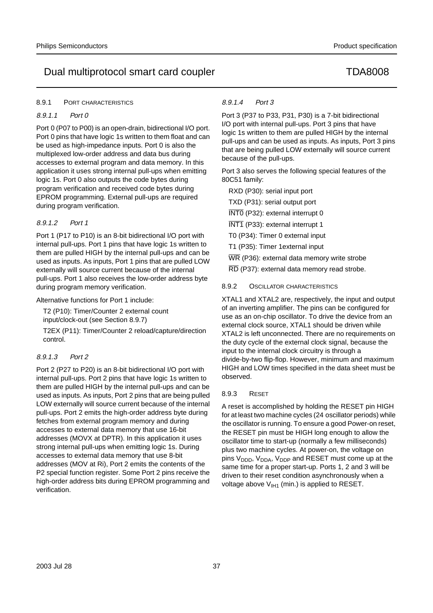# 8.9.1 PORT CHARACTERISTICS

# 8.9.1.1 Port 0

Port 0 (P07 to P00) is an open-drain, bidirectional I/O port. Port 0 pins that have logic 1s written to them float and can be used as high-impedance inputs. Port 0 is also the multiplexed low-order address and data bus during accesses to external program and data memory. In this application it uses strong internal pull-ups when emitting logic 1s. Port 0 also outputs the code bytes during program verification and received code bytes during EPROM programming. External pull-ups are required during program verification.

# 8.9.1.2 Port 1

Port 1 (P17 to P10) is an 8-bit bidirectional I/O port with internal pull-ups. Port 1 pins that have logic 1s written to them are pulled HIGH by the internal pull-ups and can be used as inputs. As inputs, Port 1 pins that are pulled LOW externally will source current because of the internal pull-ups. Port 1 also receives the low-order address byte during program memory verification.

# Alternative functions for Port 1 include:

T2 (P10): Timer/Counter 2 external count input/clock-out (see Section 8.9.7)

T2EX (P11): Timer/Counter 2 reload/capture/direction control.

# 8.9.1.3 Port 2

Port 2 (P27 to P20) is an 8-bit bidirectional I/O port with internal pull-ups. Port 2 pins that have logic 1s written to them are pulled HIGH by the internal pull-ups and can be used as inputs. As inputs, Port 2 pins that are being pulled LOW externally will source current because of the internal pull-ups. Port 2 emits the high-order address byte during fetches from external program memory and during accesses to external data memory that use 16-bit addresses (MOVX at DPTR). In this application it uses strong internal pull-ups when emitting logic 1s. During accesses to external data memory that use 8-bit addresses (MOV at Ri), Port 2 emits the contents of the P2 special function register. Some Port 2 pins receive the high-order address bits during EPROM programming and verification.

# 8.9.1.4 Port 3

Port 3 (P37 to P33, P31, P30) is a 7-bit bidirectional I/O port with internal pull-ups. Port 3 pins that have logic 1s written to them are pulled HIGH by the internal pull-ups and can be used as inputs. As inputs, Port 3 pins that are being pulled LOW externally will source current because of the pull-ups.

Port 3 also serves the following special features of the 80C51 family:

RXD (P30): serial input port

TXD (P31): serial output port

INT0 (P32): external interrupt 0

INT1 (P33): external interrupt 1

T0 (P34): Timer 0 external input

T1 (P35): Timer 1external input

WR (P36): external data memory write strobe

RD (P37): external data memory read strobe.

# 8.9.2 OSCILLATOR CHARACTERISTICS

XTAL1 and XTAL2 are, respectively, the input and output of an inverting amplifier. The pins can be configured for use as an on-chip oscillator. To drive the device from an external clock source, XTAL1 should be driven while XTAL2 is left unconnected. There are no requirements on the duty cycle of the external clock signal, because the input to the internal clock circuitry is through a divide-by-two flip-flop. However, minimum and maximum HIGH and LOW times specified in the data sheet must be observed.

# 8.9.3 RESET

A reset is accomplished by holding the RESET pin HIGH for at least two machine cycles (24 oscillator periods) while the oscillator is running. To ensure a good Power-on reset, the RESET pin must be HIGH long enough to allow the oscillator time to start-up (normally a few milliseconds) plus two machine cycles. At power-on, the voltage on pins  $V_{\text{DDD}}$ ,  $V_{\text{DDR}}$ ,  $V_{\text{DDP}}$  and RESET must come up at the same time for a proper start-up. Ports 1, 2 and 3 will be driven to their reset condition asynchronously when a voltage above  $V_{I+1}$  (min.) is applied to RESET.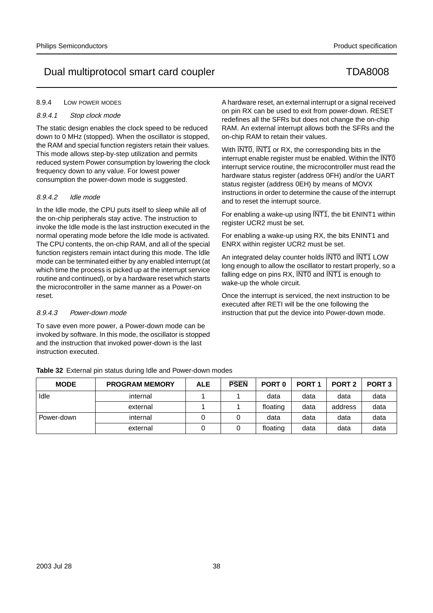# 8.9.4 LOW POWER MODES

# 8.9.4.1 Stop clock mode

The static design enables the clock speed to be reduced down to 0 MHz (stopped). When the oscillator is stopped, the RAM and special function registers retain their values. This mode allows step-by-step utilization and permits reduced system Power consumption by lowering the clock frequency down to any value. For lowest power consumption the power-down mode is suggested.

# 8.9.4.2 Idle mode

In the Idle mode, the CPU puts itself to sleep while all of the on-chip peripherals stay active. The instruction to invoke the Idle mode is the last instruction executed in the normal operating mode before the Idle mode is activated. The CPU contents, the on-chip RAM, and all of the special function registers remain intact during this mode. The Idle mode can be terminated either by any enabled interrupt (at which time the process is picked up at the interrupt service routine and continued), or by a hardware reset which starts the microcontroller in the same manner as a Power-on reset.

# 8.9.4.3 Power-down mode

To save even more power, a Power-down mode can be invoked by software. In this mode, the oscillator is stopped and the instruction that invoked power-down is the last instruction executed.

A hardware reset, an external interrupt or a signal received on pin RX can be used to exit from power-down. RESET redefines all the SFRs but does not change the on-chip RAM. An external interrupt allows both the SFRs and the on-chip RAM to retain their values.

With INTO, INT1 or RX, the corresponding bits in the interrupt enable register must be enabled. Within the INTO interrupt service routine, the microcontroller must read the hardware status register (address 0FH) and/or the UART status register (address 0EH) by means of MOVX instructions in order to determine the cause of the interrupt and to reset the interrupt source.

For enabling a wake-up using  $\overline{INT1}$ , the bit ENINT1 within register UCR2 must be set.

For enabling a wake-up using RX, the bits ENINT1 and ENRX within register UCR2 must be set.

An integrated delay counter holds INT0 and INT1 LOW long enough to allow the oscillator to restart properly, so a falling edge on pins  $RX$ ,  $\overline{INT0}$  and  $\overline{INT1}$  is enough to wake-up the whole circuit.

Once the interrupt is serviced, the next instruction to be executed after RETI will be the one following the instruction that put the device into Power-down mode.

| <b>MODE</b> | <b>PROGRAM MEMORY</b> | <b>ALE</b> | <b>PSEN</b> | PORT <sub>0</sub> | PORT <sub>1</sub> | PORT <sub>2</sub> | PORT <sub>3</sub> |
|-------------|-----------------------|------------|-------------|-------------------|-------------------|-------------------|-------------------|
| Idle        | internal              |            |             | data              | data              | data              | data              |
|             | external              |            |             | floating          | data              | address           | data              |
| Power-down  | internal              |            |             | data              | data              | data              | data              |
|             | external              |            |             | floating          | data              | data              | data              |

**Table 32** External pin status during Idle and Power-down modes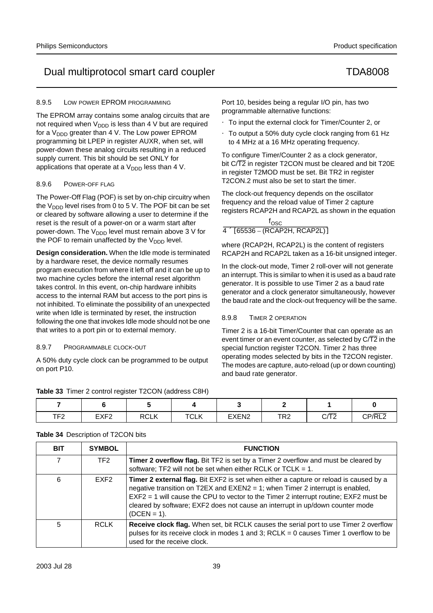# 8.9.5 LOW POWER EPROM PROGRAMMING

The EPROM array contains some analog circuits that are not required when  $V_{DDD}$  is less than 4 V but are required for a  $V_{\text{DDD}}$  greater than 4 V. The Low power EPROM programming bit LPEP in register AUXR, when set, will power-down these analog circuits resulting in a reduced supply current. This bit should be set ONLY for applications that operate at a  $V_{\text{DDD}}$  less than 4 V.

# 8.9.6 POWER-OFF FLAG

The Power-Off Flag (POF) is set by on-chip circuitry when the  $V_{\text{DDD}}$  level rises from 0 to 5 V. The POF bit can be set or cleared by software allowing a user to determine if the reset is the result of a power-on or a warm start after power-down. The  $V_{\text{DDD}}$  level must remain above 3 V for the POF to remain unaffected by the  $V_{\text{DDD}}$  level.

**Design consideration.** When the Idle mode is terminated by a hardware reset, the device normally resumes program execution from where it left off and it can be up to two machine cycles before the internal reset algorithm takes control. In this event, on-chip hardware inhibits access to the internal RAM but access to the port pins is not inhibited. To eliminate the possibility of an unexpected write when Idle is terminated by reset, the instruction following the one that invokes Idle mode should not be one that writes to a port pin or to external memory.

# 8.9.7 PROGRAMMABLE CLOCK-OUT

A 50% duty cycle clock can be programmed to be output on port P10.

**Table 33** Timer 2 control register T2CON (address C8H)

Port 10, besides being a regular I/O pin, has two programmable alternative functions:

- To input the external clock for Timer/Counter 2, or
- To output a 50% duty cycle clock ranging from 61 Hz to 4 MHz at a 16 MHz operating frequency.

To configure Timer/Counter 2 as a clock generator, bit C/T2 in register T2CON must be cleared and bit T20E in register T2MOD must be set. Bit TR2 in register T2CON.2 must also be set to start the timer.

The clock-out frequency depends on the oscillator frequency and the reload value of Timer 2 capture registers RCAP2H and RCAP2L as shown in the equation

| $I_{\text{OSC}}$                      |  |
|---------------------------------------|--|
| $4 \times [65536 - (RCAP2H, RCAP2L)]$ |  |

where (RCAP2H, RCAP2L) is the content of registers RCAP2H and RCAP2L taken as a 16-bit unsigned integer.

In the clock-out mode, Timer 2 roll-over will not generate an interrupt. This is similar to when it is used as a baud rate generator. It is possible to use Timer 2 as a baud rate generator and a clock generator simultaneously, however the baud rate and the clock-out frequency will be the same.

# 8.9.8 TIMER 2 OPERATION

Timer 2 is a 16-bit Timer/Counter that can operate as an event timer or an event counter, as selected by  $C\sqrt{2}$  in the special function register T2CON. Timer 2 has three operating modes selected by bits in the T2CON register. The modes are capture, auto-reload (up or down counting) and baud rate generator.

|               | . .              |             |                    |                   |            |                       |        |
|---------------|------------------|-------------|--------------------|-------------------|------------|-----------------------|--------|
|               |                  |             |                    |                   |            |                       |        |
| ⊤⊏າ<br>$\sim$ | EXF <sub>2</sub> | <b>RCLK</b> | $T$ $N$ $V$<br>◡∟∩ | EXEN <sub>2</sub> | פס⊤<br>ΚZ. | $\sim$ $\sim$<br>◡៸⊥∠ | CP/RL2 |

# **Table 34** Description of T2CON bits

| <b>BIT</b>     | <b>SYMBOL</b>    | <b>FUNCTION</b>                                                                                                                                                                                                                                                                                                                                                    |
|----------------|------------------|--------------------------------------------------------------------------------------------------------------------------------------------------------------------------------------------------------------------------------------------------------------------------------------------------------------------------------------------------------------------|
| $\overline{7}$ | TF <sub>2</sub>  | Timer 2 overflow flag. Bit TF2 is set by a Timer 2 overflow and must be cleared by<br>software; TF2 will not be set when either RCLK or TCLK = $1$ .                                                                                                                                                                                                               |
| 6              | EXF <sub>2</sub> | Timer 2 external flag. Bit EXF2 is set when either a capture or reload is caused by a<br>negative transition on T2EX and EXEN2 = 1; when Timer 2 interrupt is enabled,<br>$EXF2 = 1$ will cause the CPU to vector to the Timer 2 interrupt routine; EXF2 must be<br>cleared by software; EXF2 does not cause an interrupt in up/down counter mode<br>$(DCEN = 1).$ |
| 5              | <b>RCLK</b>      | Receive clock flag. When set, bit RCLK causes the serial port to use Timer 2 overflow<br>pulses for its receive clock in modes 1 and 3; RCLK = 0 causes Timer 1 overflow to be<br>used for the receive clock.                                                                                                                                                      |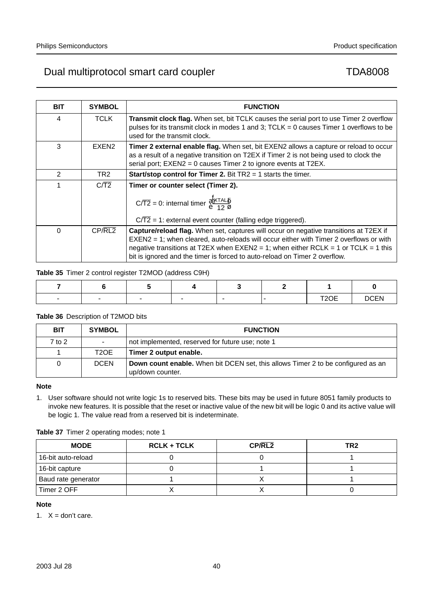| <b>BIT</b> | <b>SYMBOL</b>     | <b>FUNCTION</b>                                                                                                                                                                                                                                                                                                                                            |
|------------|-------------------|------------------------------------------------------------------------------------------------------------------------------------------------------------------------------------------------------------------------------------------------------------------------------------------------------------------------------------------------------------|
|            |                   |                                                                                                                                                                                                                                                                                                                                                            |
| 4          | TCLK              | <b>Transmit clock flag.</b> When set, bit TCLK causes the serial port to use Timer 2 overflow<br>pulses for its transmit clock in modes 1 and 3; TCLK = 0 causes Timer 1 overflows to be<br>used for the transmit clock.                                                                                                                                   |
| 3          | EXEN <sub>2</sub> | <b>Timer 2 external enable flag.</b> When set, bit EXEN2 allows a capture or reload to occur<br>as a result of a negative transition on T2EX if Timer 2 is not being used to clock the<br>serial port; EXEN2 = 0 causes Timer 2 to ignore events at T2EX.                                                                                                  |
| 2          | TR2.              | <b>Start/stop control for Timer 2.</b> Bit $TR2 = 1$ starts the timer.                                                                                                                                                                                                                                                                                     |
|            | C/T2              | Timer or counter select (Timer 2).<br>$C/\overline{T2} = 0$ : internal timer $\left(\frac{f_{\overline{X}TAL1}}{12}\right)$<br>$C/\overline{T2}$ = 1: external event counter (falling edge triggered).                                                                                                                                                     |
| $\Omega$   | CP/RL2            | Capture/reload flag. When set, captures will occur on negative transitions at T2EX if<br>EXEN2 = 1; when cleared, auto-reloads will occur either with Timer 2 overflows or with<br>negative transitions at T2EX when $EXEN2 = 1$ ; when either $RCLK = 1$ or $TCLK = 1$ this<br>bit is ignored and the timer is forced to auto-reload on Timer 2 overflow. |

# **Table 35** Timer 2 control register T2MOD (address C9H)

| $\overline{\phantom{0}}$ | $\overline{\phantom{0}}$ | $\overline{\phantom{0}}$ | $\overline{\phantom{0}}$ | $\overline{\phantom{0}}$ | T20E<br>╹┵┙┶ | <b>DCEN</b> |
|--------------------------|--------------------------|--------------------------|--------------------------|--------------------------|--------------|-------------|

# **Table 36** Description of T2MOD bits

| <b>BIT</b> | <b>SYMBOL</b>     | <b>FUNCTION</b>                                                                                             |
|------------|-------------------|-------------------------------------------------------------------------------------------------------------|
| $7$ to $2$ |                   | not implemented, reserved for future use; note 1                                                            |
|            | T <sub>2</sub> OE | Timer 2 output enable.                                                                                      |
| 0          | <b>DCEN</b>       | <b>Down count enable.</b> When bit DCEN set, this allows Timer 2 to be configured as an<br>up/down counter. |

# **Note**

1. User software should not write logic 1s to reserved bits. These bits may be used in future 8051 family products to invoke new features. It is possible that the reset or inactive value of the new bit will be logic 0 and its active value will be logic 1. The value read from a reserved bit is indeterminate.

# **Table 37** Timer 2 operating modes; note 1

| <b>MODE</b>         | <b>RCLK + TCLK</b> | CP/RL2 | TR2 |
|---------------------|--------------------|--------|-----|
| 16-bit auto-reload  |                    |        |     |
| 16-bit capture      |                    |        |     |
| Baud rate generator |                    |        |     |
| Timer 2 OFF         |                    |        |     |

# **Note**

1.  $X =$  don't care.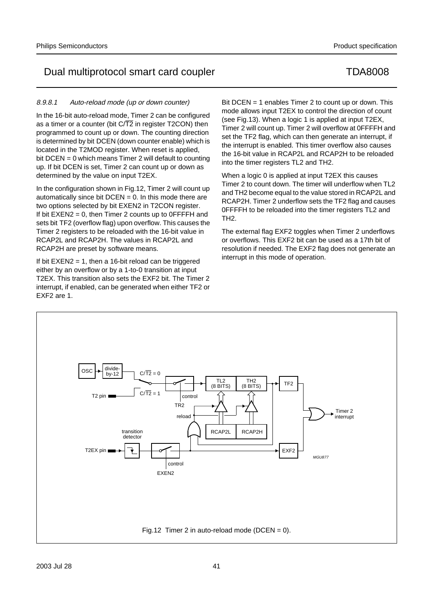2003 Jul 28 41

# Dual multiprotocol smart card coupler TDA8008

## 8.9.8.1 Auto-reload mode (up or down counter)

In the 16-bit auto-reload mode, Timer 2 can be configured as a timer or a counter (bit  $C/T2$  in register T2CON) then programmed to count up or down. The counting direction is determined by bit DCEN (down counter enable) which is located in the T2MOD register. When reset is applied, bit DCEN = 0 which means Timer 2 will default to counting up. If bit DCEN is set, Timer 2 can count up or down as determined by the value on input T2EX.

In the configuration shown in Fig.12, Timer 2 will count up automatically since bit  $DCEN = 0$ . In this mode there are two options selected by bit EXEN2 in T2CON register. If bit  $EXEN2 = 0$ , then Timer 2 counts up to  $0$ FFFFH and sets bit TF2 (overflow flag) upon overflow. This causes the Timer 2 registers to be reloaded with the 16-bit value in RCAP2L and RCAP2H. The values in RCAP2L and RCAP2H are preset by software means.

If bit  $EXEN2 = 1$ , then a 16-bit reload can be triggered either by an overflow or by a 1-to-0 transition at input T2EX. This transition also sets the EXF2 bit. The Timer 2 interrupt, if enabled, can be generated when either TF2 or EXF2 are 1.

Bit DCEN = 1 enables Timer 2 to count up or down. This mode allows input T2EX to control the direction of count (see Fig.13). When a logic 1 is applied at input T2EX, Timer 2 will count up. Timer 2 will overflow at 0FFFFH and set the TF2 flag, which can then generate an interrupt, if the interrupt is enabled. This timer overflow also causes the 16-bit value in RCAP2L and RCAP2H to be reloaded into the timer registers TL2 and TH2.

When a logic 0 is applied at input T2EX this causes Timer 2 to count down. The timer will underflow when TL2 and TH2 become equal to the value stored in RCAP2L and RCAP2H. Timer 2 underflow sets the TF2 flag and causes 0FFFFH to be reloaded into the timer registers TL2 and TH2.

The external flag EXF2 toggles when Timer 2 underflows or overflows. This EXF2 bit can be used as a 17th bit of resolution if needed. The EXF2 flag does not generate an interrupt in this mode of operation.

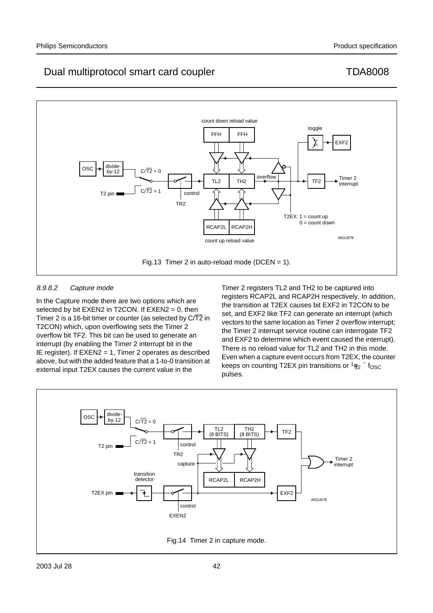

# 8.9.8.2 Capture mode

In the Capture mode there are two options which are selected by bit  $EXEN2$  in T2CON. If  $EXEN2 = 0$ , then Timer 2 is a 16-bit timer or counter (as selected by  $C/\overline{T2}$  in T2CON) which, upon overflowing sets the Timer 2 overflow bit TF2. This bit can be used to generate an interrupt (by enabling the Timer 2 interrupt bit in the IE register). If EXEN2 = 1, Timer 2 operates as described above, but with the added feature that a 1-to-0 transition at external input T2EX causes the current value in the

Timer 2 registers TL2 and TH2 to be captured into registers RCAP2L and RCAP2H respectively. In addition, the transition at T2EX causes bit EXF2 in T2CON to be set, and EXF2 like TF2 can generate an interrupt (which vectors to the same location as Timer 2 overflow interrupt; the Timer 2 interrupt service routine can interrogate TF2 and EXF2 to determine which event caused the interrupt). There is no reload value for TL2 and TH2 in this mode. Even when a capture event occurs from T2EX, the counter keeps on counting T2EX pin transitions or  $\frac{1}{12} \times \mathrm{f_{OSC}}$ pulses.

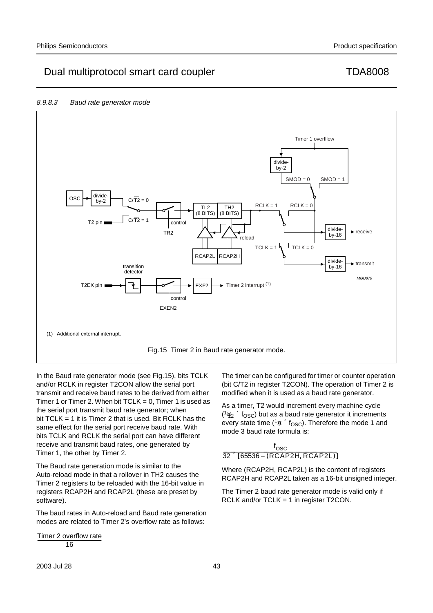## 8.9.8.3 Baud rate generator mode



In the Baud rate generator mode (see Fig.15), bits TCLK and/or RCLK in register T2CON allow the serial port transmit and receive baud rates to be derived from either Timer 1 or Timer 2. When bit  $TCLK = 0$ , Timer 1 is used as the serial port transmit baud rate generator; when bit TCLK = 1 it is Timer 2 that is used. Bit RCLK has the same effect for the serial port receive baud rate. With bits TCLK and RCLK the serial port can have different receive and transmit baud rates, one generated by Timer 1, the other by Timer 2.

The Baud rate generation mode is similar to the Auto-reload mode in that a rollover in TH2 causes the Timer 2 registers to be reloaded with the 16-bit value in registers RCAP2H and RCAP2L (these are preset by software).

The baud rates in Auto-reload and Baud rate generation modes are related to Timer 2's overflow rate as follows:

Timer 2 overflow rate<br>  $\frac{16}{16}$ 

The timer can be configured for timer or counter operation (bit  $C/T2$  in register T2CON). The operation of Timer 2 is modified when it is used as a baud rate generator.

As a timer, T2 would increment every machine cycle  $(1/12 \times f_{\rm OSC})$  but as a baud rate generator it increments every state time ( $\frac{1}{2} \times f_{\text{OSC}}$ ). Therefore the mode 1 and mode 3 baud rate formula is:

$$
\frac{\mathsf{f}_{\text{OSC}}}{32 \times [65536 - (\text{RCAP2H}, \text{RCAP2L})]}
$$

Where (RCAP2H, RCAP2L) is the content of registers RCAP2H and RCAP2L taken as a 16-bit unsigned integer.

The Timer 2 baud rate generator mode is valid only if RCLK and/or TCLK = 1 in register T2CON.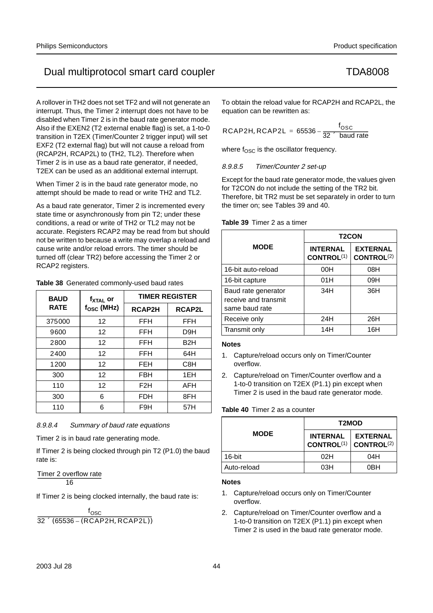A rollover in TH2 does not set TF2 and will not generate an interrupt. Thus, the Timer 2 interrupt does not have to be disabled when Timer 2 is in the baud rate generator mode. Also if the EXEN2 (T2 external enable flag) is set, a 1-to-0 transition in T2EX (Timer/Counter 2 trigger input) will set EXF2 (T2 external flag) but will not cause a reload from (RCAP2H, RCAP2L) to (TH2, TL2). Therefore when Timer 2 is in use as a baud rate generator, if needed, T2EX can be used as an additional external interrupt.

When Timer 2 is in the baud rate generator mode, no attempt should be made to read or write TH2 and TL2.

As a baud rate generator, Timer 2 is incremented every state time or asynchronously from pin T2; under these conditions, a read or write of TH2 or TL2 may not be accurate. Registers RCAP2 may be read from but should not be written to because a write may overlap a reload and cause write and/or reload errors. The timer should be turned off (clear TR2) before accessing the Timer 2 or RCAP2 registers.

| <b>BAUD</b> | f <sub>xtal</sub> or |                  | <b>TIMER REGISTER</b> |  |  |
|-------------|----------------------|------------------|-----------------------|--|--|
| <b>RATE</b> | $f_{\rm OSC}$ (MHz)  | <b>RCAP2H</b>    | <b>RCAP2L</b>         |  |  |
| 375000      | 12                   | <b>FFH</b>       | FFH                   |  |  |
| 9600        | 12                   | FFH              | D9H                   |  |  |
| 2800        | 12                   | FFH              | B <sub>2</sub> H      |  |  |
| 2400        | $12 \overline{ }$    | FFH              | 64H                   |  |  |
| 1200        | 12                   | FEH              | C <sub>8</sub> H      |  |  |
| 300         | 12                   | FBH              | 1EH                   |  |  |
| 110         | $12 \overline{ }$    | F <sub>2</sub> H | AFH                   |  |  |
| 300         | 6                    | <b>FDH</b>       | 8FH                   |  |  |
| 110         | 6                    | F9H              | 57H                   |  |  |

## **Table 38** Generated commonly-used baud rates

8.9.8.4 Summary of baud rate equations

Timer 2 is in baud rate generating mode.

If Timer 2 is being clocked through pin T2 (P1.0) the baud rate is:

Timer 2 overflow rate<br>16

If Timer 2 is being clocked internally, the baud rate is:

 $f_{\rm{OSC}}$  $32 \times (65536 - (RCAP2H, RCAP2L))$  To obtain the reload value for RCAP2H and RCAP2L, the equation can be rewritten as:

$$
RCAP2H, RCAP2L = 65536 - \frac{f_{\text{OSC}}}{32 \times \text{ baud rate}}
$$

where  $f<sub>OSC</sub>$  is the oscillator frequency.

8.9.8.5 Timer/Counter 2 set-up

Except for the baud rate generator mode, the values given for T2CON do not include the setting of the TR2 bit. Therefore, bit TR2 must be set separately in order to turn the timer on; see Tables 39 and 40.

## **Table 39** Timer 2 as a timer

|                                                               | <b>T2CON</b>                  |                                           |  |  |
|---------------------------------------------------------------|-------------------------------|-------------------------------------------|--|--|
| <b>MODE</b>                                                   | <b>INTERNAL</b><br>CONTROL(1) | <b>EXTERNAL</b><br>CONTROL <sup>(2)</sup> |  |  |
| 16-bit auto-reload                                            | 00H                           | 08H                                       |  |  |
| 16-bit capture                                                | 01H                           | 09H                                       |  |  |
| Baud rate generator<br>receive and transmit<br>same baud rate | 34H                           | 36H                                       |  |  |
| Receive only                                                  | 24H                           | 26H                                       |  |  |
| Transmit only                                                 | 14H                           | 16H                                       |  |  |

## **Notes**

- 1. Capture/reload occurs only on Timer/Counter overflow.
- 2. Capture/reload on Timer/Counter overflow and a 1-to-0 transition on T2EX (P1.1) pin except when Timer 2 is used in the baud rate generator mode.

# **Table 40** Timer 2 as a counter

|             | T2MOD                                |                                           |  |  |
|-------------|--------------------------------------|-------------------------------------------|--|--|
| <b>MODE</b> | <b>INTERNAL</b><br><b>CONTROL(1)</b> | <b>EXTERNAL</b><br>CONTROL <sup>(2)</sup> |  |  |
| 16-bit      | 02H                                  | 04H                                       |  |  |
| Auto-reload | 03H                                  | 0BH                                       |  |  |

# **Notes**

- 1. Capture/reload occurs only on Timer/Counter overflow.
- 2. Capture/reload on Timer/Counter overflow and a 1-to-0 transition on T2EX (P1.1) pin except when Timer 2 is used in the baud rate generator mode.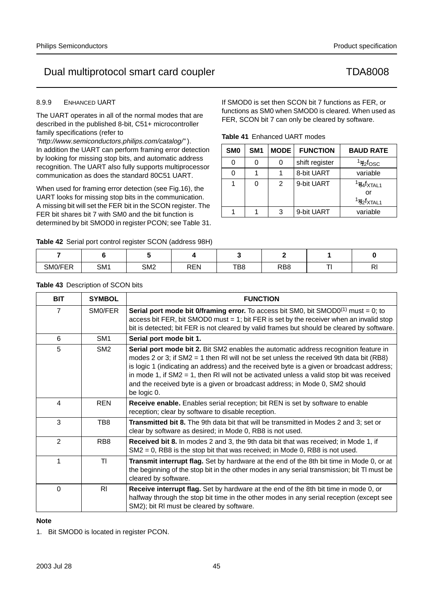# 8.9.9 ENHANCED UART

The UART operates in all of the normal modes that are described in the published 8-bit, C51+ microcontroller family specifications (refer to

"http://www.semiconductors.philips.com/catalog/" ). In addition the UART can perform framing error detection by looking for missing stop bits, and automatic address recognition. The UART also fully supports multiprocessor communication as does the standard 80C51 UART.

When used for framing error detection (see Fig.16), the UART looks for missing stop bits in the communication. A missing bit will set the FER bit in the SCON register. The FER bit shares bit 7 with SM0 and the bit function is determined by bit SMOD0 in register PCON; see Table 31.

**Table 42** Serial port control register SCON (address 98H)

If SMOD0 is set then SCON bit 7 functions as FER, or functions as SM0 when SMOD0 is cleared. When used as FER, SCON bit 7 can only be cleared by software.

| SM <sub>0</sub> | SM <sub>1</sub> | <b>MODE</b> | <b>FUNCTION</b> | <b>BAUD RATE</b>                                     |
|-----------------|-----------------|-------------|-----------------|------------------------------------------------------|
| 0               | 0               | 0           | shift register  | $\frac{1}{12}$ fosc                                  |
| 0               |                 |             | 8-bit UART      | variable                                             |
|                 | 0               | 2           | 9-bit UART      | $\frac{1}{64}$ fxtal1<br>Ωľ<br>$\frac{1}{32}$ fxtal1 |
|                 |                 | 3           | 9-bit UART      | variable                                             |

| SM0/FER | SM <sub>1</sub> | SM <sub>2</sub> | <b>REN</b> | TB8 | RB <sub>8</sub> | $\sim$ | $\sim$<br>ГV |
|---------|-----------------|-----------------|------------|-----|-----------------|--------|--------------|

|  |  | Table 43 Description of SCON bits |
|--|--|-----------------------------------|
|--|--|-----------------------------------|

| <b>BIT</b>     | <b>SYMBOL</b>   | <b>FUNCTION</b>                                                                                                                                                                                                                                                                                                                                                                                                                                                             |
|----------------|-----------------|-----------------------------------------------------------------------------------------------------------------------------------------------------------------------------------------------------------------------------------------------------------------------------------------------------------------------------------------------------------------------------------------------------------------------------------------------------------------------------|
| $\overline{7}$ | SM0/FER         | <b>Serial port mode bit O/framing error.</b> To access bit SM0, bit SMOD0 <sup>(1)</sup> must = 0; to<br>access bit FER, bit SMOD0 must $= 1$ ; bit FER is set by the receiver when an invalid stop<br>bit is detected; bit FER is not cleared by valid frames but should be cleared by software.                                                                                                                                                                           |
| 6              | SM <sub>1</sub> | Serial port mode bit 1.                                                                                                                                                                                                                                                                                                                                                                                                                                                     |
| 5              | SM <sub>2</sub> | Serial port mode bit 2. Bit SM2 enables the automatic address recognition feature in<br>modes 2 or 3; if SM2 = 1 then RI will not be set unless the received 9th data bit (RB8)<br>is logic 1 (indicating an address) and the received byte is a given or broadcast address;<br>in mode 1, if $SM2 = 1$ , then RI will not be activated unless a valid stop bit was received<br>and the received byte is a given or broadcast address; in Mode 0, SM2 should<br>be logic 0. |
| 4              | <b>REN</b>      | Receive enable. Enables serial reception; bit REN is set by software to enable<br>reception; clear by software to disable reception.                                                                                                                                                                                                                                                                                                                                        |
| 3              | TB8             | Transmitted bit 8. The 9th data bit that will be transmitted in Modes 2 and 3; set or<br>clear by software as desired; in Mode 0, RB8 is not used.                                                                                                                                                                                                                                                                                                                          |
| $\mathfrak{p}$ | RB <sub>8</sub> | Received bit 8. In modes 2 and 3, the 9th data bit that was received; in Mode 1, if<br>$SM2 = 0$ , RB8 is the stop bit that was received; in Mode 0, RB8 is not used.                                                                                                                                                                                                                                                                                                       |
| 1              | TI.             | Transmit interrupt flag. Set by hardware at the end of the 8th bit time in Mode 0, or at<br>the beginning of the stop bit in the other modes in any serial transmission; bit TI must be<br>cleared by software.                                                                                                                                                                                                                                                             |
| $\Omega$       | R <sub>l</sub>  | Receive interrupt flag. Set by hardware at the end of the 8th bit time in mode 0, or<br>halfway through the stop bit time in the other modes in any serial reception (except see<br>SM2); bit RI must be cleared by software.                                                                                                                                                                                                                                               |

# **Note**

1. Bit SMOD0 is located in register PCON.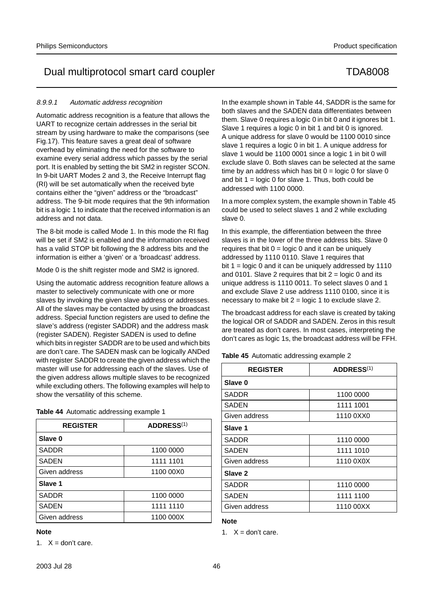## 8.9.9.1 Automatic address recognition

Automatic address recognition is a feature that allows the UART to recognize certain addresses in the serial bit stream by using hardware to make the comparisons (see Fig.17). This feature saves a great deal of software overhead by eliminating the need for the software to examine every serial address which passes by the serial port. It is enabled by setting the bit SM2 in register SCON. In 9-bit UART Modes 2 and 3, the Receive Interrupt flag (RI) will be set automatically when the received byte contains either the "given" address or the "broadcast" address. The 9-bit mode requires that the 9th information bit is a logic 1 to indicate that the received information is an address and not data.

The 8-bit mode is called Mode 1. In this mode the RI flag will be set if SM2 is enabled and the information received has a valid STOP bit following the 8 address bits and the information is either a 'given' or a 'broadcast' address.

Mode 0 is the shift register mode and SM2 is ignored.

Using the automatic address recognition feature allows a master to selectively communicate with one or more slaves by invoking the given slave address or addresses. All of the slaves may be contacted by using the broadcast address. Special function registers are used to define the slave's address (register SADDR) and the address mask (register SADEN). Register SADEN is used to define which bits in register SADDR are to be used and which bits are don't care. The SADEN mask can be logically ANDed with register SADDR to create the given address which the master will use for addressing each of the slaves. Use of the given address allows multiple slaves to be recognized while excluding others. The following examples will help to show the versatility of this scheme.

| Table 44 Automatic addressing example 1 |  |  |  |
|-----------------------------------------|--|--|--|
|-----------------------------------------|--|--|--|

| <b>REGISTER</b> | ADDRESS <sup>(1)</sup> |
|-----------------|------------------------|
| Slave 0         |                        |
| <b>SADDR</b>    | 1100 0000              |
| <b>SADEN</b>    | 1111 1101              |
| Given address   | 1100 00X0              |
| Slave 1         |                        |
| <b>SADDR</b>    | 1100 0000              |
| <b>SADEN</b>    | 1111 1110              |
| Given address   | 1100 000X              |

### **Note**

1.  $X =$  don't care.

In the example shown in Table 44, SADDR is the same for both slaves and the SADEN data differentiates between them. Slave 0 requires a logic 0 in bit 0 and it ignores bit 1. Slave 1 requires a logic 0 in bit 1 and bit 0 is ignored. A unique address for slave 0 would be 1100 0010 since slave 1 requires a logic 0 in bit 1. A unique address for slave 1 would be 1100 0001 since a logic 1 in bit 0 will exclude slave 0. Both slaves can be selected at the same time by an address which has bit  $0 =$  logic 0 for slave 0 and bit  $1 = \text{logic 0}$  for slave 1. Thus, both could be addressed with 1100 0000.

In a more complex system, the example shown in Table 45 could be used to select slaves 1 and 2 while excluding slave 0.

In this example, the differentiation between the three slaves is in the lower of the three address bits. Slave 0 requires that bit  $0 = \text{logic } 0$  and it can be uniquely addressed by 1110 0110. Slave 1 requires that bit 1 = logic 0 and it can be uniquely addressed by 1110 and 0101. Slave 2 requires that bit  $2 =$  logic 0 and its unique address is 1110 0011. To select slaves 0 and 1 and exclude Slave 2 use address 1110 0100, since it is necessary to make bit  $2 = \text{logic 1}$  to exclude slave 2.

The broadcast address for each slave is created by taking the logical OR of SADDR and SADEN. Zeros in this result are treated as don't cares. In most cases, interpreting the don't cares as logic 1s, the broadcast address will be FFH.

**Table 45** Automatic addressing example 2

| <b>REGISTER</b> | <b>ADDRESS(1)</b> |
|-----------------|-------------------|
| Slave 0         |                   |
| SADDR           | 1100 0000         |
| SADEN           | 1111 1001         |
| Given address   | 1110 0XX0         |
| Slave 1         |                   |
| SADDR           | 1110 0000         |
| SADEN           | 1111 1010         |
| Given address   | 1110 0X0X         |
| Slave 2         |                   |
| SADDR           | 1110 0000         |
| <b>SADEN</b>    | 1111 1100         |
| Given address   | 1110 00XX         |

## **Note**

1.  $X =$  don't care.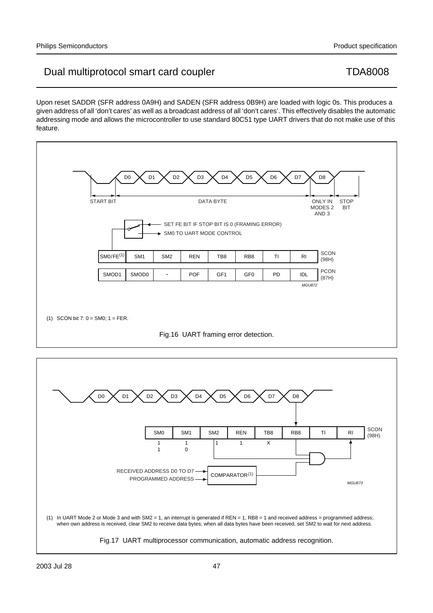

Upon reset SADDR (SFR address 0A9H) and SADEN (SFR address 0B9H) are loaded with logic 0s. This produces a given address of all 'don't cares' as well as a broadcast address of all 'don't cares'. This effectively disables the automatic

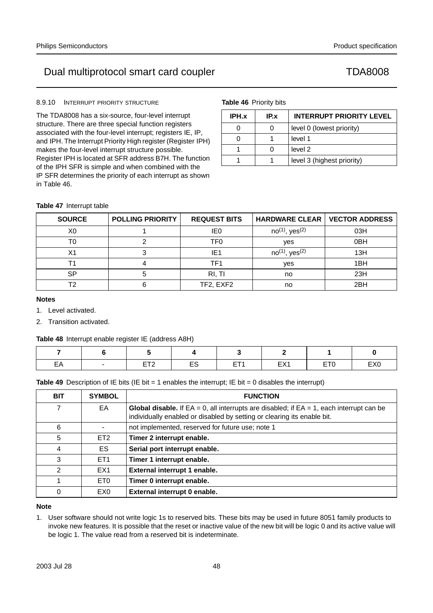# 8.9.10 INTERRUPT PRIORITY STRUCTURE

The TDA8008 has a six-source, four-level interrupt structure. There are three special function registers associated with the four-level interrupt; registers IE, IP, and IPH. The Interrupt Priority High register (Register IPH) makes the four-level interrupt structure possible. Register IPH is located at SFR address B7H. The function of the IPH SFR is simple and when combined with the IP SFR determines the priority of each interrupt as shown in Table 46.

**Table 46** Priority bits

| IPH.x | IP.x | <b>INTERRUPT PRIORITY LEVEL</b> |
|-------|------|---------------------------------|
|       |      | level 0 (lowest priority)       |
|       |      | level 1                         |
|       |      | level 2                         |
|       |      | level 3 (highest priority)      |

# **Table 47** Interrupt table

| <b>SOURCE</b>  | <b>POLLING PRIORITY</b> | <b>REQUEST BITS</b> | <b>HARDWARE CLEAR  </b>         | <b>VECTOR ADDRESS</b> |
|----------------|-------------------------|---------------------|---------------------------------|-----------------------|
| X <sub>0</sub> |                         | IE0                 | $no^{(1)}$ , yes <sup>(2)</sup> | 03H                   |
| тი             |                         | TF0                 | yes                             | 0 <sub>BH</sub>       |
| Х1             |                         | IE1                 | $no^{(1)}$ , yes <sup>(2)</sup> | 13H                   |
|                |                         | TF1                 | yes                             | 1 <sub>BH</sub>       |
| SP             |                         | RI, TI              | no                              | 23H                   |
| т٥             |                         | TF2, EXF2           | no                              | 2BH                   |

## **Notes**

- 1. Level activated.
- 2. Transition activated.

# **Table 48** Interrupt enable register IE (address A8H)

| EA | $\overline{\phantom{0}}$<br>___ | <b>FTO</b> | ES | ET <sub>1</sub><br><u>ь</u> | <b>FV4</b><br>$-$ | ET <sub>0</sub> | EX <sub>0</sub> |
|----|---------------------------------|------------|----|-----------------------------|-------------------|-----------------|-----------------|

**Table 49** Description of IE bits (IE bit = 1 enables the interrupt; IE bit = 0 disables the interrupt)

| <b>BIT</b> | <b>SYMBOL</b>   | <b>FUNCTION</b>                                                                                                                                                                  |
|------------|-----------------|----------------------------------------------------------------------------------------------------------------------------------------------------------------------------------|
| 7          | EA              | <b>Global disable.</b> If $EA = 0$ , all interrupts are disabled; if $EA = 1$ , each interrupt can be<br>individually enabled or disabled by setting or clearing its enable bit. |
| 6          |                 | not implemented, reserved for future use; note 1                                                                                                                                 |
| 5          | ET <sub>2</sub> | Timer 2 interrupt enable.                                                                                                                                                        |
| 4          | ES.             | Serial port interrupt enable.                                                                                                                                                    |
| 3          | ET <sub>1</sub> | Timer 1 interrupt enable.                                                                                                                                                        |
| 2          | EX <sub>1</sub> | External interrupt 1 enable.                                                                                                                                                     |
|            | ET <sub>0</sub> | Timer 0 interrupt enable.                                                                                                                                                        |
| 0          | EX <sub>0</sub> | External interrupt 0 enable.                                                                                                                                                     |

# **Note**

1. User software should not write logic 1s to reserved bits. These bits may be used in future 8051 family products to invoke new features. It is possible that the reset or inactive value of the new bit will be logic 0 and its active value will be logic 1. The value read from a reserved bit is indeterminate.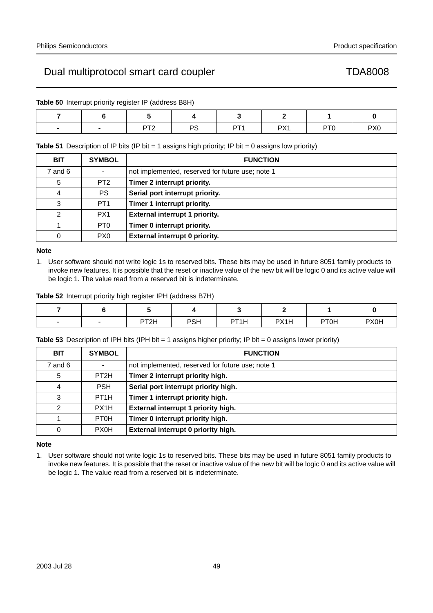**Table 50** Interrupt priority register IP (address B8H)

| $\overline{\phantom{0}}$ | nto<br>. . | DC<br>- v. | DT 1 | DV <sub>1</sub> | 0T <sup>c</sup> | PX <sub>0</sub> |
|--------------------------|------------|------------|------|-----------------|-----------------|-----------------|

**Table 51** Description of IP bits (IP bit = 1 assigns high priority; IP bit = 0 assigns low priority)

| <b>BIT</b>  | <b>SYMBOL</b>   | <b>FUNCTION</b>                                  |
|-------------|-----------------|--------------------------------------------------|
| $7$ and $6$ |                 | not implemented, reserved for future use; note 1 |
| 5           | PT <sub>2</sub> | Timer 2 interrupt priority.                      |
| 4           | PS.             | Serial port interrupt priority.                  |
| 3           | PT <sub>1</sub> | Timer 1 interrupt priority.                      |
| 2           | PX <sub>1</sub> | External interrupt 1 priority.                   |
|             | PT <sub>0</sub> | Timer 0 interrupt priority.                      |
| 0           | PX <sub>0</sub> | External interrupt 0 priority.                   |

## **Note**

1. User software should not write logic 1s to reserved bits. These bits may be used in future 8051 family products to invoke new features. It is possible that the reset or inactive value of the new bit will be logic 0 and its active value will be logic 1. The value read from a reserved bit is indeterminate.

**Table 52** Interrupt priority high register IPH (address B7H)

| $\overline{\phantom{0}}$ | $\overline{\phantom{0}}$ | PT <sub>2</sub> H | <b>PSH</b> | PT <sub>1</sub> H | PX1H | PT0H | <b>PX0H</b> |
|--------------------------|--------------------------|-------------------|------------|-------------------|------|------|-------------|

**Table 53** Description of IPH bits (IPH bit = 1 assigns higher priority; IP bit = 0 assigns lower priority)

| <b>BIT</b>     | <b>SYMBOL</b>     | <b>FUNCTION</b>                                  |
|----------------|-------------------|--------------------------------------------------|
| $7$ and $6$    |                   | not implemented, reserved for future use; note 1 |
| 5              | PT <sub>2</sub> H | Timer 2 interrupt priority high.                 |
| 4              | <b>PSH</b>        | Serial port interrupt priority high.             |
| 3              | PT <sub>1</sub> H | Timer 1 interrupt priority high.                 |
| $\mathfrak{D}$ | PX <sub>1</sub> H | External interrupt 1 priority high.              |
| 1              | PT <sub>0</sub> H | Timer 0 interrupt priority high.                 |
| $\mathbf 0$    | <b>PX0H</b>       | External interrupt 0 priority high.              |

# **Note**

1. User software should not write logic 1s to reserved bits. These bits may be used in future 8051 family products to invoke new features. It is possible that the reset or inactive value of the new bit will be logic 0 and its active value will be logic 1. The value read from a reserved bit is indeterminate.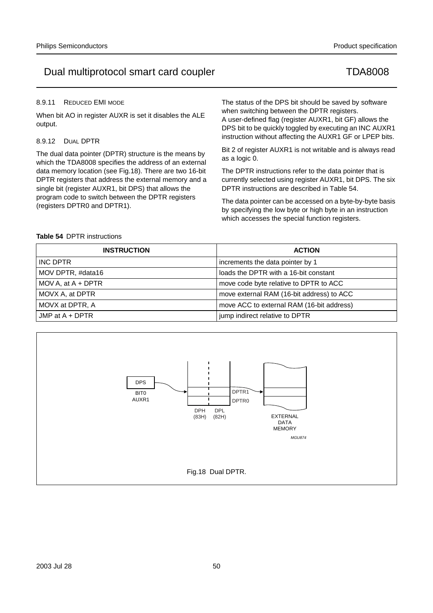## 8.9.11 REDUCED EMI MODE

When bit AO in register AUXR is set it disables the ALE output.

## 8.9.12 DUAL DPTR

The dual data pointer (DPTR) structure is the means by which the TDA8008 specifies the address of an external data memory location (see Fig.18). There are two 16-bit DPTR registers that address the external memory and a single bit (register AUXR1, bit DPS) that allows the program code to switch between the DPTR registers (registers DPTR0 and DPTR1).

The status of the DPS bit should be saved by software when switching between the DPTR registers.

A user-defined flag (register AUXR1, bit GF) allows the DPS bit to be quickly toggled by executing an INC AUXR1 instruction without affecting the AUXR1 GF or LPEP bits.

Bit 2 of register AUXR1 is not writable and is always read as a logic 0.

The DPTR instructions refer to the data pointer that is currently selected using register AUXR1, bit DPS. The six DPTR instructions are described in Table 54.

The data pointer can be accessed on a byte-by-byte basis by specifying the low byte or high byte in an instruction which accesses the special function registers.

## **Table 54** DPTR instructions

| <b>INSTRUCTION</b>   | <b>ACTION</b>                             |
|----------------------|-------------------------------------------|
| INC DPTR             | increments the data pointer by 1          |
| MOV DPTR, #data16    | loads the DPTR with a 16-bit constant     |
| MOV A, at $A + DPTR$ | move code byte relative to DPTR to ACC    |
| MOVX A, at DPTR      | move external RAM (16-bit address) to ACC |
| MOVX at DPTR, A      | move ACC to external RAM (16-bit address) |
| JMP at $A + DPTR$    | jump indirect relative to DPTR            |

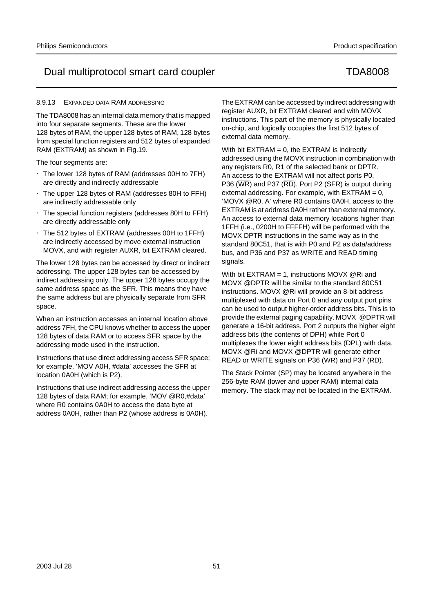## 8.9.13 EXPANDED DATA RAM ADDRESSING

The TDA8008 has an internal data memory that is mapped into four separate segments. These are the lower 128 bytes of RAM, the upper 128 bytes of RAM, 128 bytes from special function registers and 512 bytes of expanded RAM (EXTRAM) as shown in Fig.19.

The four segments are:

- The lower 128 bytes of RAM (addresses 00H to 7FH) are directly and indirectly addressable
- The upper 128 bytes of RAM (addresses 80H to FFH) are indirectly addressable only
- The special function registers (addresses 80H to FFH) are directly addressable only
- The 512 bytes of EXTRAM (addresses 00H to 1FFH) are indirectly accessed by move external instruction MOVX, and with register AUXR, bit EXTRAM cleared.

The lower 128 bytes can be accessed by direct or indirect addressing. The upper 128 bytes can be accessed by indirect addressing only. The upper 128 bytes occupy the same address space as the SFR. This means they have the same address but are physically separate from SFR space.

When an instruction accesses an internal location above address 7FH, the CPU knows whether to access the upper 128 bytes of data RAM or to access SFR space by the addressing mode used in the instruction.

Instructions that use direct addressing access SFR space; for example, 'MOV A0H, #data' accesses the SFR at location 0A0H (which is P2).

Instructions that use indirect addressing access the upper 128 bytes of data RAM; for example, 'MOV @R0,#data' where R0 contains 0A0H to access the data byte at address 0A0H, rather than P2 (whose address is 0A0H).

The EXTRAM can be accessed by indirect addressing with register AUXR, bit EXTRAM cleared and with MOVX instructions. This part of the memory is physically located on-chip, and logically occupies the first 512 bytes of external data memory.

With bit  $EXTRAM = 0$ , the  $EXTRAM$  is indirectly addressed using the MOVX instruction in combination with any registers R0, R1 of the selected bank or DPTR. An access to the EXTRAM will not affect ports P0, P36 (WR) and P37 (RD). Port P2 (SFR) is output during external addressing. For example, with  $EXTRAN = 0$ , 'MOVX @R0, A' where R0 contains 0A0H, access to the EXTRAM is at address 0A0H rather than external memory. An access to external data memory locations higher than 1FFH (i.e., 0200H to FFFFH) will be performed with the MOVX DPTR instructions in the same way as in the standard 80C51, that is with P0 and P2 as data/address bus, and P36 and P37 as WRITE and READ timing signals.

With bit EXTRAM = 1, instructions MOVX @Ri and MOVX @DPTR will be similar to the standard 80C51 instructions. MOVX @Ri will provide an 8-bit address multiplexed with data on Port 0 and any output port pins can be used to output higher-order address bits. This is to provide the external paging capability. MOVX @DPTR will generate a 16-bit address. Port 2 outputs the higher eight address bits (the contents of DPH) while Port 0 multiplexes the lower eight address bits (DPL) with data. MOVX @Ri and MOVX @DPTR will generate either READ or WRITE signals on P36 (WR) and P37 (RD).

The Stack Pointer (SP) may be located anywhere in the 256-byte RAM (lower and upper RAM) internal data memory. The stack may not be located in the EXTRAM.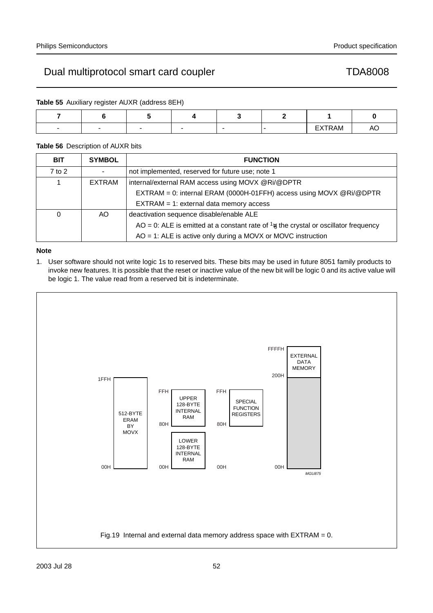**Table 55** Auxiliary register AUXR (address 8EH)

| $\overline{\phantom{0}}$ |  |  | EXTRAM |  |
|--------------------------|--|--|--------|--|

# **Table 56** Description of AUXR bits

| <b>BIT</b> | <b>SYMBOL</b> | <b>FUNCTION</b>                                                                                |
|------------|---------------|------------------------------------------------------------------------------------------------|
| $7$ to $2$ |               | not implemented, reserved for future use; note 1                                               |
| 1          | <b>EXTRAM</b> | internal/external RAM access using MOVX @Ri/@DPTR                                              |
|            |               | EXTRAM = 0: internal ERAM (0000H-01FFH) access using MOVX @Ri/@DPTR                            |
|            |               | $EXTRAM = 1$ : external data memory access                                                     |
| 0          | AO.           | deactivation sequence disable/enable ALE                                                       |
|            |               | AO = 0: ALE is emitted at a constant rate of $\frac{1}{6}$ the crystal or oscillator frequency |
|            |               | $AO = 1$ : ALE is active only during a MOVX or MOVC instruction                                |

# **Note**

1. User software should not write logic 1s to reserved bits. These bits may be used in future 8051 family products to invoke new features. It is possible that the reset or inactive value of the new bit will be logic 0 and its active value will be logic 1. The value read from a reserved bit is indeterminate.

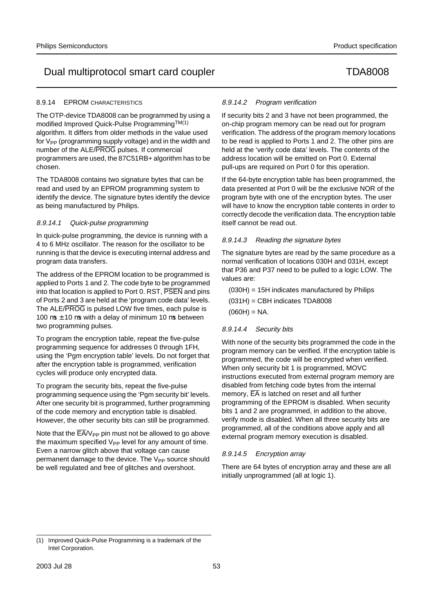# 8.9.14 EPROM CHARACTERISTICS

The OTP-device TDA8008 can be programmed by using a modified Improved Quick-Pulse ProgrammingTM(1) algorithm. It differs from older methods in the value used for  $V_{PP}$  (programming supply voltage) and in the width and number of the ALE/PROG pulses. If commercial programmers are used, the 87C51RB+ algorithm has to be chosen.

The TDA8008 contains two signature bytes that can be read and used by an EPROM programming system to identify the device. The signature bytes identify the device as being manufactured by Philips.

# 8.9.14.1 Quick-pulse programming

In quick-pulse programming, the device is running with a 4 to 6 MHz oscillator. The reason for the oscillator to be running is that the device is executing internal address and program data transfers.

The address of the EPROM location to be programmed is applied to Ports 1 and 2. The code byte to be programmed into that location is applied to Port 0. RST, PSEN and pins of Ports 2 and 3 are held at the 'program code data' levels. The ALE/PROG is pulsed LOW five times, each pulse is 100  $\mu$ s  $\pm$  10  $\mu$ s with a delay of minimum 10  $\mu$ s between two programming pulses.

To program the encryption table, repeat the five-pulse programming sequence for addresses 0 through 1FH, using the 'Pgm encryption table' levels. Do not forget that after the encryption table is programmed, verification cycles will produce only encrypted data.

To program the security bits, repeat the five-pulse programming sequence using the 'Pgm security bit' levels. After one security bit is programmed, further programming of the code memory and encryption table is disabled. However, the other security bits can still be programmed.

Note that the  $\overline{\mathsf{EA}}/\mathsf{V}_{\mathsf{PP}}$  pin must not be allowed to go above the maximum specified  $V_{PP}$  level for any amount of time. Even a narrow glitch above that voltage can cause permanent damage to the device. The V<sub>PP</sub> source should be well regulated and free of glitches and overshoot.

# 8.9.14.2 Program verification

If security bits 2 and 3 have not been programmed, the on-chip program memory can be read out for program verification. The address of the program memory locations to be read is applied to Ports 1 and 2. The other pins are held at the 'verify code data' levels. The contents of the address location will be emitted on Port 0. External pull-ups are required on Port 0 for this operation.

If the 64-byte encryption table has been programmed, the data presented at Port 0 will be the exclusive NOR of the program byte with one of the encryption bytes. The user will have to know the encryption table contents in order to correctly decode the verification data. The encryption table itself cannot be read out.

# 8.9.14.3 Reading the signature bytes

The signature bytes are read by the same procedure as a normal verification of locations 030H and 031H, except that P36 and P37 need to be pulled to a logic LOW. The values are:

(030H) = 15H indicates manufactured by Philips

 $(031H) = CBH$  indicates TDA8008

 $(060H) = NA$ .

# 8.9.14.4 Security bits

With none of the security bits programmed the code in the program memory can be verified. If the encryption table is programmed, the code will be encrypted when verified. When only security bit 1 is programmed, MOVC instructions executed from external program memory are disabled from fetching code bytes from the internal memory,  $\overline{EA}$  is latched on reset and all further programming of the EPROM is disabled. When security bits 1 and 2 are programmed, in addition to the above, verify mode is disabled. When all three security bits are programmed, all of the conditions above apply and all external program memory execution is disabled.

# 8.9.14.5 Encryption array

There are 64 bytes of encryption array and these are all initially unprogrammed (all at logic 1).

<sup>(1)</sup> Improved Quick-Pulse Programming is a trademark of the Intel Corporation.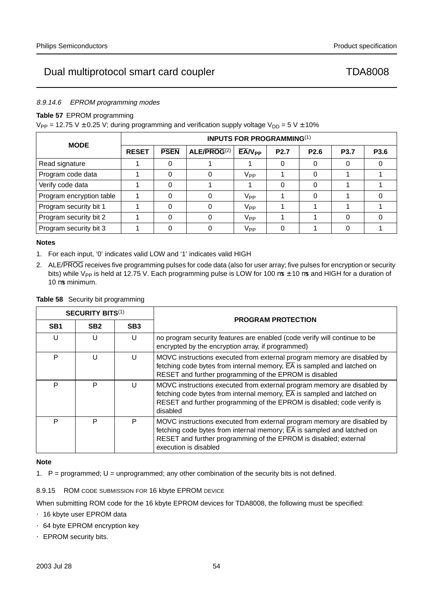# 8.9.14.6 EPROM programming modes

# **Table 57** EPROM programming

 $V_{PP}$  = 12.75 V  $\pm$  0.25 V; during programming and verification supply voltage V<sub>DD</sub> = 5 V  $\pm$  10%

|                                                                                                  | <b>INPUTS FOR PROGRAMMING(1)</b> |             |             |                 |                  |                  |             |             |  |
|--------------------------------------------------------------------------------------------------|----------------------------------|-------------|-------------|-----------------|------------------|------------------|-------------|-------------|--|
| <b>MODE</b><br>Read signature<br>Program code data<br>Verify code data<br>Program security bit 1 | <b>RESET</b>                     | <b>PSEN</b> | ALE/PROG(2) | $EAV_{PP}$      | P <sub>2.7</sub> | P <sub>2.6</sub> | <b>P3.7</b> | <b>P3.6</b> |  |
|                                                                                                  |                                  |             |             |                 |                  |                  |             |             |  |
|                                                                                                  |                                  |             |             | V <sub>PP</sub> |                  |                  |             |             |  |
|                                                                                                  |                                  |             |             |                 |                  |                  |             |             |  |
| Program encryption table                                                                         |                                  |             |             | V <sub>PP</sub> |                  |                  |             |             |  |
|                                                                                                  |                                  |             |             | V <sub>PP</sub> |                  |                  |             |             |  |
| Program security bit 2                                                                           |                                  |             |             | V <sub>PP</sub> |                  |                  |             |             |  |
| Program security bit 3                                                                           |                                  |             |             | V <sub>PP</sub> |                  |                  |             |             |  |

# **Notes**

- 1. For each input, '0' indicates valid LOW and '1' indicates valid HIGH
- 2. ALE/PROG receives five programming pulses for code data (also for user array; five pulses for encryption or security bits) while V<sub>PP</sub> is held at 12.75 V. Each programming pulse is LOW for 100  $\mu$ s ± 10  $\mu$ s and HIGH for a duration of 10 µs minimum.

|                 | <b>SECURITY BITS(1)</b> |                 | <b>PROGRAM PROTECTION</b>                                                                                                                                                                                                                                   |
|-----------------|-------------------------|-----------------|-------------------------------------------------------------------------------------------------------------------------------------------------------------------------------------------------------------------------------------------------------------|
| SB <sub>1</sub> | SB <sub>2</sub>         | SB <sub>3</sub> |                                                                                                                                                                                                                                                             |
| U               | U                       | U               | no program security features are enabled (code verify will continue to be<br>encrypted by the encryption array, if programmed)                                                                                                                              |
| P               | U                       | U               | MOVC instructions executed from external program memory are disabled by<br>fetching code bytes from internal memory, $\overline{EA}$ is sampled and latched on<br>RESET and further programming of the EPROM is disabled                                    |
| P               | P                       | U               | MOVC instructions executed from external program memory are disabled by<br>fetching code bytes from internal memory, $\overline{EA}$ is sampled and latched on<br>RESET and further programming of the EPROM is disabled; code verify is<br>disabled        |
| P               | P                       | P               | MOVC instructions executed from external program memory are disabled by<br>fetching code bytes from internal memory; $\overline{EA}$ is sampled and latched on<br>RESET and further programming of the EPROM is disabled; external<br>execution is disabled |

## **Table 58** Security bit programming

# **Note**

1. P = programmed; U = unprogrammed; any other combination of the security bits is not defined.

8.9.15 ROM CODE SUBMISSION FOR 16 kbyte EPROM DEVICE

When submitting ROM code for the 16 kbyte EPROM devices for TDA8008, the following must be specified:

- 16 kbyte user EPROM data
- 64 byte EPROM encryption key
- EPROM security bits.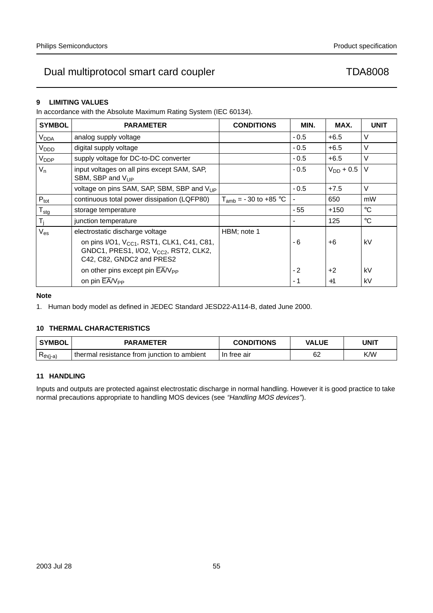# **9 LIMITING VALUES**

In accordance with the Absolute Maximum Rating System (IEC 60134).

| <b>SYMBOL</b>          | <b>PARAMETER</b>                                                                                                                          | <b>CONDITIONS</b>         | MIN.   | MAX.           | <b>UNIT</b> |
|------------------------|-------------------------------------------------------------------------------------------------------------------------------------------|---------------------------|--------|----------------|-------------|
| <b>V<sub>DDA</sub></b> | analog supply voltage                                                                                                                     |                           | $-0.5$ | $+6.5$         | V           |
| V <sub>DDD</sub>       | digital supply voltage                                                                                                                    |                           | $-0.5$ | $+6.5$         | V           |
| V <sub>DDP</sub>       | supply voltage for DC-to-DC converter                                                                                                     |                           | $-0.5$ | $+6.5$         | $\vee$      |
| $V_{n}$                | input voltages on all pins except SAM, SAP,<br>SBM, SBP and $V_{UP}$                                                                      |                           | $-0.5$ | $V_{DD}$ + 0.5 | $\vee$      |
|                        | voltage on pins SAM, SAP, SBM, SBP and V <sub>UP</sub>                                                                                    |                           | $-0.5$ | $+7.5$         | V           |
| $P_{\text{tot}}$       | continuous total power dissipation (LQFP80)                                                                                               | $T_{amb} = -30$ to +85 °C |        | 650            | mW          |
| $T_{\text{stg}}$       | storage temperature                                                                                                                       |                           | $-55$  | $+150$         | $^{\circ}C$ |
| T <sub>j</sub>         | junction temperature                                                                                                                      |                           |        | 125            | $^{\circ}C$ |
| $V_{es}$               | electrostatic discharge voltage                                                                                                           | HBM; note 1               |        |                |             |
|                        | on pins I/O1, V <sub>CC1</sub> , RST1, CLK1, C41, C81,<br>GNDC1, PRES1, I/O2, V <sub>CC2</sub> , RST2, CLK2,<br>C42, C82, GNDC2 and PRES2 |                           | $-6$   | $+6$           | kV          |
|                        | on other pins except pin EA/V <sub>PP</sub>                                                                                               |                           | $-2$   | $+2$           | kV          |
|                        | on pin $\overline{EA}/V_{\text{PP}}$                                                                                                      |                           | $-1$   | $+1$           | kV          |

## **Note**

1. Human body model as defined in JEDEC Standard JESD22-A114-B, dated June 2000.

# **10 THERMAL CHARACTERISTICS**

| <b>SYMBOL</b>   | <b>PARAMETER</b>                               | <b>CONDITIONS</b> | <b>VALUE</b> | UNIT |
|-----------------|------------------------------------------------|-------------------|--------------|------|
| D<br>$Rth(j-a)$ | thermal<br>resistance from junction to ambient | tree air<br>-In   | 62           | K/W  |

# **11 HANDLING**

Inputs and outputs are protected against electrostatic discharge in normal handling. However it is good practice to take normal precautions appropriate to handling MOS devices (see "Handling MOS devices").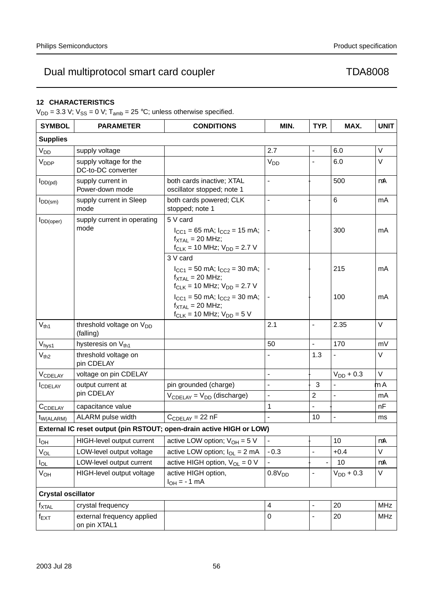# **12 CHARACTERISTICS**

 $V_{DD} = 3.3$  V;  $V_{SS} = 0$  V;  $T_{amb} = 25$  °C; unless otherwise specified.

| <b>SYMBOL</b>             | <b>PARAMETER</b>                                  | <b>CONDITIONS</b>                                                                                                                                        | MIN.                     | TYP.                     | MAX.                     | <b>UNIT</b> |
|---------------------------|---------------------------------------------------|----------------------------------------------------------------------------------------------------------------------------------------------------------|--------------------------|--------------------------|--------------------------|-------------|
| <b>Supplies</b>           |                                                   |                                                                                                                                                          |                          |                          |                          |             |
| $V_{DD}$                  | supply voltage                                    |                                                                                                                                                          | 2.7                      | $\qquad \qquad -$        | 6.0                      | $\vee$      |
| V <sub>DDP</sub>          | supply voltage for the<br>DC-to-DC converter      |                                                                                                                                                          | <b>V<sub>DD</sub></b>    |                          | 6.0                      | V           |
| $I_{DD(pd)}$              | supply current in<br>Power-down mode              | both cards inactive; XTAL<br>oscillator stopped; note 1                                                                                                  | $\overline{\phantom{0}}$ | $\overline{\phantom{0}}$ | 500                      | μA          |
| $I_{DD(sm)}$              | supply current in Sleep<br>mode                   | both cards powered; CLK<br>stopped; note 1                                                                                                               | $\overline{\phantom{0}}$ | $\overline{\phantom{0}}$ | $\,6\,$                  | mA          |
| $I_{DD(open)}$            | supply current in operating<br>mode               | 5 V card<br>$I_{CC1}$ = 65 mA; $I_{CC2}$ = 15 mA;<br>$f_{\text{XTAL}} = 20$ MHz;<br>$f_{CLK}$ = 10 MHz; $V_{DD}$ = 2.7 V                                 |                          | $\qquad \qquad -$        | 300                      | mA          |
|                           |                                                   | 3 V card<br>$I_{CC1}$ = 50 mA; $I_{CC2}$ = 30 mA;<br>$f_{\text{XTAL}}$ = 20 MHz;<br>$f_{\text{CI K}} = 10 \text{ MHz}$ ; $V_{\text{DD}} = 2.7 \text{ V}$ |                          | $\qquad \qquad -$        | 215                      | mA          |
|                           |                                                   | $I_{CC1}$ = 50 mA; $I_{CC2}$ = 30 mA;<br>$f_{\text{XTAL}}$ = 20 MHz;<br>$f_{CLK} = 10$ MHz; $V_{DD} = 5$ V                                               |                          |                          | 100                      | mA          |
| $V_{th1}$                 | threshold voltage on V <sub>DD</sub><br>(falling) |                                                                                                                                                          | 2.1                      | $\overline{\phantom{0}}$ | 2.35                     | V           |
| V <sub>hys1</sub>         | hysteresis on Vth1                                |                                                                                                                                                          | 50                       | $\overline{a}$           | 170                      | mV          |
| $V_{th2}$                 | threshold voltage on<br>pin CDELAY                |                                                                                                                                                          |                          | 1.3                      |                          | V           |
| <b>VCDELAY</b>            | voltage on pin CDELAY                             |                                                                                                                                                          | $\qquad \qquad -$        | $\overline{\phantom{0}}$ | $V_{DD}$ + 0.3           | $\vee$      |
| <b>I</b> CDELAY           | output current at                                 | pin grounded (charge)                                                                                                                                    | $\overline{\phantom{0}}$ | $-3$                     |                          | μA          |
|                           | pin CDELAY                                        | $V_{\text{CDELAY}} = V_{\text{DD}}$ (discharge)                                                                                                          | $\overline{\phantom{0}}$ | $\overline{c}$           | $\overline{\phantom{0}}$ | mA          |
| CCDELAY                   | capacitance value                                 |                                                                                                                                                          | $\mathbf 1$              |                          |                          | nF          |
| $t_{W(ALARM)}$            | ALARM pulse width                                 | $C_{\text{CDELAY}} = 22 \text{ nF}$                                                                                                                      | $\overline{\phantom{0}}$ | 10                       | $\qquad \qquad -$        | ms          |
|                           |                                                   | External IC reset output (pin RSTOUT; open-drain active HIGH or LOW)                                                                                     |                          |                          |                          |             |
| $I_{OH}$                  | HIGH-level output current                         | active LOW option; $V_{OH} = 5 V$                                                                                                                        |                          |                          | 10                       | $\mu$ A     |
| $V_{OL}$                  | LOW-level output voltage                          | active LOW option; $I_{OL} = 2$ mA                                                                                                                       | $-0.3$                   | $\qquad \qquad -$        | $+0.4$                   | $\vee$      |
| $I_{OL}$                  | LOW-level output current                          | active HIGH option, $V_{OL} = 0$ V                                                                                                                       |                          |                          | $-10$                    | μA          |
| $V_{OH}$                  | HIGH-level output voltage                         | active HIGH option,<br>$I_{OH} = -1$ mA                                                                                                                  | 0.8V <sub>DD</sub>       | $\qquad \qquad -$        | $V_{DD}$ + 0.3           | V           |
| <b>Crystal oscillator</b> |                                                   |                                                                                                                                                          |                          |                          |                          |             |
| $f_{\text{XTAL}}$         | crystal frequency                                 |                                                                                                                                                          | 4                        |                          | 20                       | <b>MHz</b>  |
| $f_{EXT}$                 | external frequency applied<br>on pin XTAL1        |                                                                                                                                                          | $\mathbf 0$              |                          | 20                       | <b>MHz</b>  |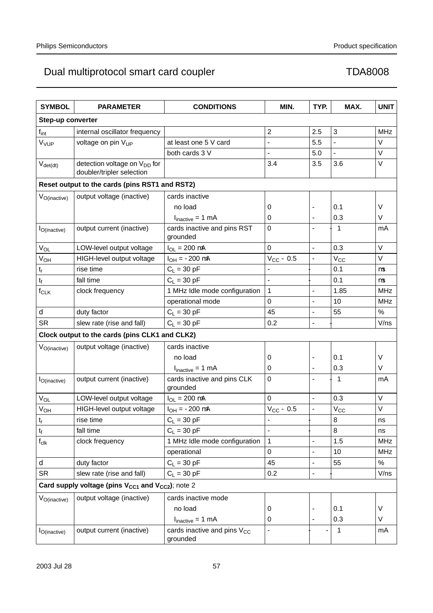| <b>SYMBOL</b>             | <b>PARAMETER</b>                                                      | <b>CONDITIONS</b>                                   | MIN.                     | TYP.                     | MAX.              | <b>UNIT</b> |
|---------------------------|-----------------------------------------------------------------------|-----------------------------------------------------|--------------------------|--------------------------|-------------------|-------------|
| Step-up converter         |                                                                       |                                                     |                          |                          |                   |             |
| $f_{int}$                 | internal oscillator frequency                                         |                                                     | $\overline{2}$           | 2.5                      | $\mathbf{3}$      | <b>MHz</b>  |
| V <sub>VUP</sub>          | voltage on pin V <sub>UP</sub>                                        | at least one 5 V card                               | $\overline{\phantom{0}}$ | 5.5                      | $\qquad \qquad -$ | V           |
|                           |                                                                       | both cards 3 V                                      | $\overline{\phantom{0}}$ | 5.0                      | $\equiv$          | V           |
| $V_{\text{det(dt)}}$      | detection voltage on V <sub>DD</sub> for<br>doubler/tripler selection |                                                     | 3.4                      | 3.5                      | 3.6               | V           |
|                           | Reset output to the cards (pins RST1 and RST2)                        |                                                     |                          |                          |                   |             |
| V <sub>O</sub> (inactive) | output voltage (inactive)                                             | cards inactive                                      |                          |                          |                   |             |
|                           |                                                                       | no load                                             | 0                        |                          | 0.1               | $\vee$      |
|                           |                                                                       | $I_{\text{inactive}} = 1 \text{ mA}$                | 0                        |                          | 0.3               | V           |
| $I_{O(inactive)}$         | output current (inactive)                                             | cards inactive and pins RST<br>grounded             | 0                        |                          | $-1$              | mA          |
| $\rm V_{OL}$              | LOW-level output voltage                                              | $I_{OL} = 200 \mu A$                                | 0                        | $\overline{\phantom{0}}$ | 0.3               | V           |
| $V_{OH}$                  | HIGH-level output voltage                                             | $I_{OH} = -200 \mu A$                               | $V_{CC}$ – 0.5           |                          | $V_{\rm CC}$      | V           |
| $\mathsf{t}_{\mathsf{r}}$ | rise time                                                             | $C_L = 30 pF$                                       | $\overline{\phantom{0}}$ | $\overline{\phantom{0}}$ | 0.1               | μs          |
| $t_f$                     | fall time                                                             | $C_L = 30$ pF                                       | $\overline{\phantom{0}}$ | $\overline{\phantom{0}}$ | 0.1               | $\mu s$     |
| $f_{CLK}$                 | clock frequency                                                       | 1 MHz Idle mode configuration                       | 1                        | $\overline{\phantom{0}}$ | 1.85              | <b>MHz</b>  |
|                           |                                                                       | operational mode                                    | 0                        | $\overline{\phantom{0}}$ | 10                | <b>MHz</b>  |
| $\delta$                  | duty factor                                                           | $C_L = 30$ pF                                       | 45                       | $\overline{\phantom{0}}$ | 55                | %           |
| <b>SR</b>                 | slew rate (rise and fall)                                             | $C_L = 30 pF$                                       | 0.2                      | $\overline{\phantom{0}}$ | $\equiv$          | V/ns        |
|                           | Clock output to the cards (pins CLK1 and CLK2)                        |                                                     |                          |                          |                   |             |
| $V_{O(inactive)}$         | output voltage (inactive)                                             | cards inactive                                      |                          |                          |                   |             |
|                           |                                                                       | no load                                             | 0                        |                          | 0.1               | V           |
|                           |                                                                       | $I_{\text{inactive}} = 1 \text{ mA}$                | 0                        | $\overline{\phantom{0}}$ | 0.3               | V           |
| $I_{O(inactive)}$         | output current (inactive)                                             | cards inactive and pins CLK<br>grounded             | 0                        | $\overline{\phantom{0}}$ | $-1$              | mA          |
| $V_{OL}$                  | LOW-level output voltage                                              | $I_{OL} = 200 \mu A$                                | 0                        |                          | 0.3               | V           |
| <b>V<sub>OH</sub></b>     | HIGH-level output voltage                                             | $I_{OH} = -200 \mu A$                               | $V_{CC}$ – 0.5           | $\overline{\phantom{0}}$ | $V_{CC}$          | V           |
| $t_r$                     | rise time                                                             | $C_L = 30$ pF                                       | —                        | $\overline{\phantom{0}}$ | 8                 | ns          |
| $\mathsf{t}_{\mathsf{f}}$ | fall time                                                             | $C_L$ = 30 pF                                       | $\qquad \qquad -$        | $\overline{\phantom{0}}$ | 8                 | ns          |
| $\mathsf{f}_{\text{clk}}$ | clock frequency                                                       | 1 MHz Idle mode configuration                       | 1                        |                          | 1.5               | <b>MHz</b>  |
|                           |                                                                       | operational                                         | 0                        | $\overline{\phantom{0}}$ | 10                | <b>MHz</b>  |
| $\delta$                  | duty factor                                                           | $C_L = 30 pF$                                       | 45                       | $\overline{\phantom{0}}$ | 55                | $\%$        |
| <b>SR</b>                 | slew rate (rise and fall)                                             | $C_L = 30$ pF                                       | 0.2                      |                          |                   | V/ns        |
|                           | Card supply voltage (pins $V_{CC1}$ and $V_{CC2}$ ); note 2           |                                                     |                          |                          |                   |             |
| $V_{O(inactive)}$         | output voltage (inactive)                                             | cards inactive mode                                 |                          |                          |                   |             |
|                           |                                                                       | no load                                             | 0                        |                          | 0.1               | V           |
|                           |                                                                       | $I_{\text{inactive}} = 1 \text{ mA}$                | 0                        |                          | 0.3               | V           |
| $I_{O(inactive)}$         | output current (inactive)                                             | cards inactive and pins V <sub>CC</sub><br>grounded | —                        |                          | $-1$              | mA          |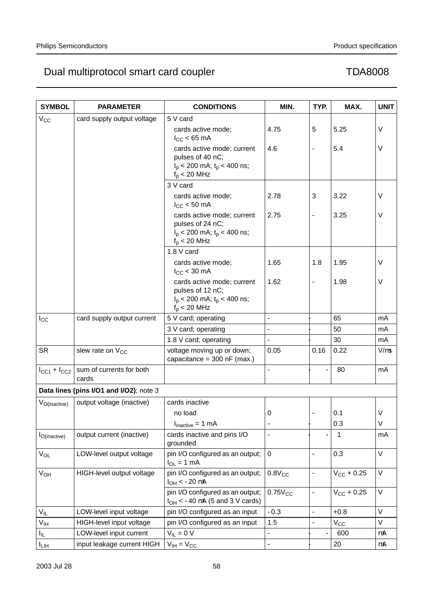| <b>SYMBOL</b>                           | <b>PARAMETER</b>                                      | <b>CONDITIONS</b>                                                                                   | MIN.                     | TYP.                     | MAX.            | <b>UNIT</b> |
|-----------------------------------------|-------------------------------------------------------|-----------------------------------------------------------------------------------------------------|--------------------------|--------------------------|-----------------|-------------|
| $V_{CC}$                                | card supply output voltage                            | 5 V card                                                                                            |                          |                          |                 |             |
|                                         |                                                       | cards active mode;<br>$I_{CC}$ < 65 mA                                                              | 4.75                     | 5                        | 5.25            | V           |
|                                         |                                                       | cards active mode; current<br>pulses of 40 nC;<br>$I_p$ < 200 mA; $t_p$ < 400 ns;<br>$f_p < 20$ MHz | 4.6                      | $\overline{\phantom{0}}$ | 5.4             | V           |
|                                         |                                                       | 3 V card                                                                                            |                          |                          |                 |             |
|                                         |                                                       | cards active mode;<br>$I_{CC}$ < 50 mA                                                              | 2.78                     | 3                        | 3.22            | V           |
|                                         |                                                       | cards active mode; current<br>pulses of 24 nC;<br>$I_p$ < 200 mA; $t_p$ < 400 ns;<br>$f_p < 20$ MHz | 2.75                     | $\overline{\phantom{0}}$ | 3.25            | V           |
|                                         |                                                       | 1.8 V card                                                                                          |                          |                          |                 |             |
|                                         |                                                       | cards active mode;<br>$I_{CC}$ < 30 mA                                                              | 1.65                     | 1.8                      | 1.95            | V           |
|                                         |                                                       | cards active mode; current<br>pulses of 12 nC;<br>$I_p$ < 200 mA; $t_p$ < 400 ns;<br>$f_p < 20$ MHz | 1.62                     | $\overline{\phantom{0}}$ | 1.98            | V           |
| $I_{\rm CC}$                            | card supply output current                            | 5 V card; operating                                                                                 | $\overline{\phantom{0}}$ | $\overline{\phantom{0}}$ | 65              | mA          |
|                                         |                                                       | 3 V card; operating                                                                                 |                          |                          | 50              | mA          |
|                                         |                                                       | 1.8 V card; operating                                                                               | $\overline{\phantom{0}}$ |                          | 30              | mA          |
| <b>SR</b>                               | slew rate on V <sub>CC</sub>                          | voltage moving up or down;<br>capacitance = $300$ nF (max.)                                         | 0.05                     | 0.16                     | 0.22            | $V/\mu s$   |
|                                         | $I_{CC1} + I_{CC2}$ sum of currents for both<br>cards |                                                                                                     | $\overline{\phantom{0}}$ | $\overline{\phantom{0}}$ | $-80$           | mA          |
| Data lines (pins I/O1 and I/O2); note 3 |                                                       |                                                                                                     |                          |                          |                 |             |
| $V_{O(inactive)}$                       | output voltage (inactive)                             | cards inactive                                                                                      |                          |                          |                 |             |
|                                         |                                                       | no load                                                                                             | 0                        | $\overline{\phantom{0}}$ | 0.1             | V           |
|                                         |                                                       | $I_{\text{inactive}} = 1 \text{ mA}$                                                                |                          |                          | 0.3             | V           |
| $I_{O(inactive)}$                       | output current (inactive)                             | cards inactive and pins I/O<br>grounded                                                             | $\overline{\phantom{0}}$ | $\overline{\phantom{0}}$ | -1              | mA          |
| $V_{OL}$                                | LOW-level output voltage                              | pin I/O configured as an output;<br>$I_{OL} = 1$ mA                                                 | $\pmb{0}$                | $\overline{\phantom{0}}$ | 0.3             | V           |
| $V_{OH}$                                | HIGH-level output voltage                             | pin I/O configured as an output;<br>$I_{OH}$ < -20 $\mu$ A                                          | $0.8V_{CC}$              | $\overline{\phantom{0}}$ | $V_{CC}$ + 0.25 | $\vee$      |
|                                         |                                                       | pin I/O configured as an output;<br>$I_{OH}$ < -40 µA (5 and 3 V cards)                             | $0.75V_{CC}$             | $\overline{\phantom{0}}$ | $V_{CC}$ + 0.25 | $\vee$      |
| $V_{IL}$                                | LOW-level input voltage                               | pin I/O configured as an input                                                                      | $-0.3$                   | $\overline{\phantom{0}}$ | $+0.8$          | V           |
| V <sub>IH</sub>                         | HIGH-level input voltage                              | pin I/O configured as an input                                                                      | 1.5                      | $\overline{\phantom{0}}$ | $V_{\rm CC}$    | V           |
| Ιı                                      | LOW-level input current                               | $V_{IL} = 0 V$                                                                                      | $\overline{\phantom{0}}$ | $\overline{\phantom{0}}$ | $-600$          | μA          |
| $I_{LIH}$                               | input leakage current HIGH                            | $V_{IH} = V_{CC}$                                                                                   | —                        | —                        | 20              | μA          |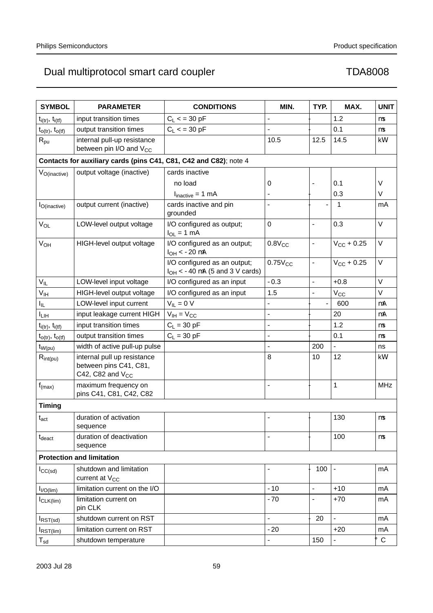| <b>SYMBOL</b>                    | <b>PARAMETER</b>                                                               | <b>CONDITIONS</b>                                                   | MIN.                     | TYP.                     | MAX.                     | <b>UNIT</b>       |
|----------------------------------|--------------------------------------------------------------------------------|---------------------------------------------------------------------|--------------------------|--------------------------|--------------------------|-------------------|
| $t_{i(tr)}$ , $t_{i(tf)}$        | input transition times                                                         | $C_L < 30 pF$                                                       | $\overline{\phantom{0}}$ |                          | 1.2                      | μs                |
| $t_{O(tr)}$ , $t_{O(tf)}$        | output transition times                                                        | $C_L < 30 pF$                                                       |                          | $\overline{\phantom{0}}$ | 0.1                      | $\mu s$           |
| $\mathsf{R}_{\mathsf{pu}}$       | internal pull-up resistance<br>between pin I/O and V <sub>CC</sub>             |                                                                     | 10.5                     | 12.5                     | 14.5                     | k $\Omega$        |
|                                  | Contacts for auxiliary cards (pins C41, C81, C42 and C82); note 4              |                                                                     |                          |                          |                          |                   |
| V <sub>O(inactive)</sub>         | output voltage (inactive)                                                      | cards inactive                                                      |                          |                          |                          |                   |
|                                  |                                                                                | no load                                                             | 0                        | $\overline{\phantom{0}}$ | 0.1                      | V                 |
|                                  |                                                                                | $I_{\text{inactive}} = 1 \text{ mA}$                                |                          | $\overline{\phantom{0}}$ | 0.3                      | V                 |
| $I_{O( \text{inactive})}$        | output current (inactive)                                                      | cards inactive and pin<br>grounded                                  | $\overline{\phantom{0}}$ |                          | $-1$                     | mA                |
| VOL                              | LOW-level output voltage                                                       | I/O configured as output;<br>$I_{OL} = 1$ mA                        | $\boldsymbol{0}$         | $\overline{\phantom{0}}$ | 0.3                      | $\vee$            |
| $V_{OH}$                         | HIGH-level output voltage                                                      | I/O configured as an output;<br>$I_{OH}$ < -20 $\mu$ A              | $0.8V_{CC}$              | $\overline{\phantom{0}}$ | $V_{CC}$ + 0.25          | $\vee$            |
|                                  |                                                                                | I/O configured as an output;<br>$I_{OH}$ < -40 µA (5 and 3 V cards) | $0.75V_{CC}$             | $\overline{\phantom{0}}$ | $V_{CC}$ + 0.25          | $\vee$            |
| $V_{IL}$                         | LOW-level input voltage                                                        | I/O configured as an input                                          | $-0.3$                   | $\overline{\phantom{0}}$ | $+0.8$                   | V                 |
| $V_{IH}$                         | HIGH-level output voltage                                                      | I/O configured as an input                                          | 1.5                      | $\overline{\phantom{0}}$ | $V_{\rm CC}$             | $\vee$            |
| Ιı                               | LOW-level input current                                                        | $V_{IL} = 0 V$                                                      | —                        | $\overline{\phantom{0}}$ | $-600$                   | μA                |
| $I_{LIH}$                        | input leakage current HIGH                                                     | $V_{IH} = V_{CC}$                                                   |                          | $\overline{\phantom{0}}$ | 20                       | μA                |
| $t_{i(tr)}$ , $t_{i(tf)}$        | input transition times                                                         | $C_L$ = 30 pF                                                       | $\overline{\phantom{0}}$ | $\overline{\phantom{0}}$ | 1.2                      | $\mu$ s           |
| $t_{o(tr)}$ , $t_{o(tf)}$        | output transition times                                                        | $C_L = 30$ pF                                                       | —                        |                          | 0.1                      | $\mu$ s           |
| $t_{W(pu)}$                      | width of active pull-up pulse                                                  |                                                                     | $\overline{\phantom{0}}$ | 200                      | $\overline{\phantom{0}}$ | ns                |
| $R_{int(pu)}$                    | internal pull up resistance<br>between pins C41, C81,<br>C42, C82 and $V_{CC}$ |                                                                     | 8                        | 10                       | 12                       | $k\Omega$         |
| $f_{(max)}$                      | maximum frequency on<br>pins C41, C81, C42, C82                                |                                                                     | —                        | $\overline{\phantom{0}}$ | 1                        | <b>MHz</b>        |
| <b>Timing</b>                    |                                                                                |                                                                     |                          |                          |                          |                   |
| $t_{\rm act}$                    | duration of activation<br>sequence                                             |                                                                     |                          | —                        | 130                      | μs                |
| $t_{\text{deact}}$               | duration of deactivation<br>sequence                                           |                                                                     |                          |                          | 100                      | μs                |
| <b>Protection and limitation</b> |                                                                                |                                                                     |                          |                          |                          |                   |
| $I_{CC(sd)}$                     | shutdown and limitation<br>current at V <sub>CC</sub>                          |                                                                     | —                        | $-100$                   |                          | mA                |
| I <sub>I/O(lim)</sub>            | limitation current on the I/O                                                  |                                                                     | $-10$                    | $\overline{\phantom{0}}$ | $+10$                    | mA                |
| $I_{CLK(lim)}$                   | limitation current on<br>pin CLK                                               |                                                                     | $-70$                    | —                        | $+70$                    | mA                |
| $I_{RST(sd)}$                    | shutdown current on RST                                                        |                                                                     | $\overline{a}$           | $-20$                    | $\overline{a}$           | mA                |
| $I_{RST(lim)}$                   | limitation current on RST                                                      |                                                                     | $-20$                    |                          | $+20$                    | mA                |
| $T_{sd}$                         | shutdown temperature                                                           |                                                                     | $\overline{\phantom{0}}$ | 150                      |                          | $^\circ \text{C}$ |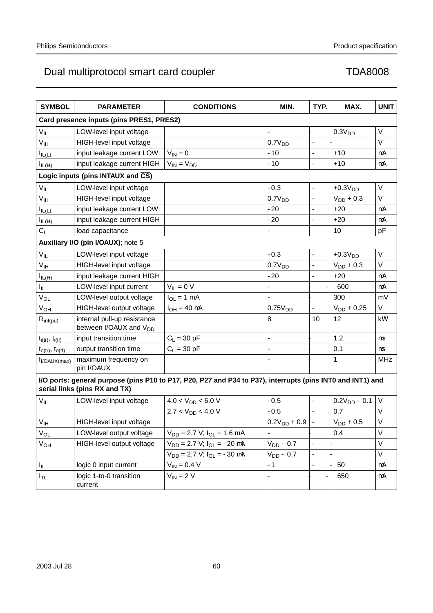| <b>SYMBOL</b>                                                                                                                               | <b>PARAMETER</b>                                                  | <b>CONDITIONS</b>                       | MIN.                     | TYP.                     | MAX.               | <b>UNIT</b> |
|---------------------------------------------------------------------------------------------------------------------------------------------|-------------------------------------------------------------------|-----------------------------------------|--------------------------|--------------------------|--------------------|-------------|
| Card presence inputs (pins PRES1, PRES2)                                                                                                    |                                                                   |                                         |                          |                          |                    |             |
| $\mathsf{V}_{\mathsf{IL}}$                                                                                                                  | LOW-level input voltage<br>$\overline{\phantom{0}}$               |                                         |                          | —                        | 0.3V <sub>DD</sub> | $\vee$      |
| $\mathsf{V}_{\mathsf{IH}}$                                                                                                                  | HIGH-level input voltage                                          |                                         | 0.7V <sub>DD</sub>       |                          |                    | $\vee$      |
| $I_{IL(L)}$                                                                                                                                 | input leakage current LOW                                         | $V_{IN} = 0$                            | $-10$                    | $\overline{\phantom{0}}$ | $+10$              | μA          |
| $I_{IL(H)}$                                                                                                                                 | input leakage current HIGH                                        | $V_{IN} = V_{DD}$                       | $-10$                    | $\overline{\phantom{0}}$ | $+10$              | $\mu$ A     |
|                                                                                                                                             | Logic inputs (pins INTAUX and $\overline{CS}$ )                   |                                         |                          |                          |                    |             |
| $V_{IL}$                                                                                                                                    | LOW-level input voltage                                           |                                         | $-0.3$                   | $\overline{\phantom{0}}$ | $+0.3VDD$          | $\vee$      |
| V <sub>IH</sub>                                                                                                                             | HIGH-level input voltage                                          |                                         | 0.7V <sub>DD</sub>       | $\overline{\phantom{0}}$ | $V_{DD} + 0.3$     | $\vee$      |
| $I_{IL(L)}$                                                                                                                                 | input leakage current LOW                                         |                                         | $-20$                    | $\overline{\phantom{0}}$ | $+20$              | μA          |
| $I_{IL(H)}$                                                                                                                                 | input leakage current HIGH                                        |                                         | $-20$                    | $\overline{\phantom{0}}$ | $+20$              | μA          |
| $C_L$                                                                                                                                       | load capacitance                                                  |                                         | $\overline{\phantom{0}}$ | $\overline{\phantom{0}}$ | 10                 | pF          |
|                                                                                                                                             | Auxiliary I/O (pin I/OAUX); note 5                                |                                         |                          |                          |                    |             |
| $V_{IL}$                                                                                                                                    | LOW-level input voltage                                           |                                         | $-0.3$                   | $\overline{a}$           | $+0.3VDD$          | $\vee$      |
| V <sub>IH</sub>                                                                                                                             | HIGH-level input voltage                                          |                                         | 0.7V <sub>DD</sub>       | $\overline{\phantom{0}}$ | $V_{DD}$ + 0.3     | $\vee$      |
| $I_{IL(H)}$                                                                                                                                 | input leakage current HIGH                                        |                                         | $-20$                    | $\overline{\phantom{0}}$ | $+20$              | μA          |
| $I_{IL}$                                                                                                                                    | LOW-level input current                                           | $V_{IL} = 0 V$                          | $\overline{\phantom{0}}$ | $\overline{\phantom{0}}$ | $-600$             | μA          |
| $V_{OL}$                                                                                                                                    | LOW-level output voltage                                          | $I_{OL} = 1$ mA                         | $\overline{\phantom{0}}$ | —                        | 300                | mV          |
| $V_{OH}$                                                                                                                                    | HIGH-level output voltage                                         | $I_{OH} = 40 \mu A$                     | 0.75V <sub>DD</sub>      |                          | $V_{DD} + 0.25$    | $\vee$      |
| $R_{int(pu)}$                                                                                                                               | internal pull-up resistance<br>between I/OAUX and V <sub>DD</sub> |                                         | 8                        | 10                       | 12                 | $k\Omega$   |
| $t_{i(tr)}$ , $t_{i(tf)}$                                                                                                                   | input transition time                                             | $C_L = 30$ pF                           | $\overline{a}$           | $\overline{\phantom{0}}$ | 1.2                | $\mu s$     |
| $t_{o(tr)}$ , $t_{o(tf)}$                                                                                                                   | output transition time                                            | $C_L$ = 30 pF                           | $\overline{\phantom{0}}$ | $\overline{\phantom{0}}$ | 0.1                | μs          |
| $f_{I/OAUX(max)}$                                                                                                                           | maximum frequency on<br>pin I/OAUX                                |                                         |                          | —                        | 1                  | <b>MHz</b>  |
| I/O ports: general purpose (pins P10 to P17, P20, P27 and P34 to P37), interrupts (pins INTO and INT1) and<br>serial links (pins RX and TX) |                                                                   |                                         |                          |                          |                    |             |
| $V_{IL}$                                                                                                                                    | LOW-level input voltage                                           | $4.0 < V_{DD} < 6.0 V$                  | $-0.5$                   | $\overline{\phantom{0}}$ | $0.2V_{DD} - 0.1$  | $\vee$      |
|                                                                                                                                             |                                                                   | $2.7 < V_{DD} < 4.0 V$                  | $-0.5$                   | $\overline{\phantom{0}}$ | 0.7                | $\vee$      |
| $\mathsf{V}_{\mathsf{IH}}$                                                                                                                  | HIGH-level input voltage                                          |                                         | $0.2V_{DD} + 0.9$        |                          | $\rm V_{DD}$ + 0.5 | $\mathsf V$ |
| $V_{OL}$                                                                                                                                    | LOW-level output voltage                                          | $V_{DD}$ = 2.7 V; $I_{OL}$ = 1.6 mA     | $\overline{\phantom{0}}$ | $\qquad \qquad -$        | 0.4                | V           |
| $V_{OH}$                                                                                                                                    | HIGH-level output voltage                                         | $V_{DD} = 2.7 V$ ; $I_{OL} = -20 \mu A$ | $V_{DD} - 0.7$           |                          |                    | $\vee$      |
|                                                                                                                                             |                                                                   | $V_{DD} = 2.7 V$ ; $I_{OL} = -30 \mu A$ | $V_{DD} - 0.7$           | $\qquad \qquad -$        |                    | V           |
| $I_{\rm IL}$                                                                                                                                | logic 0 input current                                             | $V_{IN} = 0.4 V$                        | $-1$                     |                          | $-50$              | μA          |
| $I_{TL}$                                                                                                                                    | logic 1-to-0 transition<br>current                                | $V_{IN}$ = 2 V                          | $\overline{\phantom{0}}$ | $\overline{\phantom{0}}$ | -650               | μA          |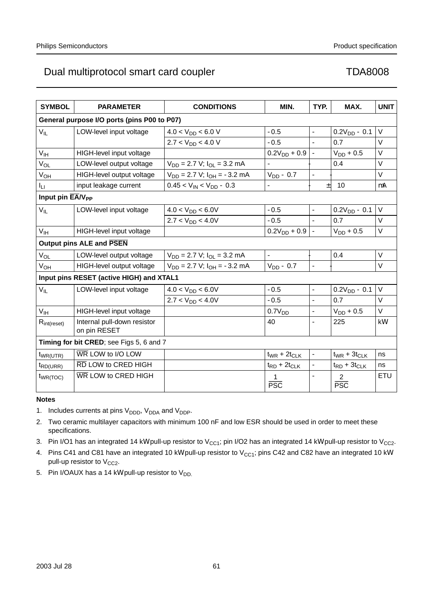| <b>SYMBOL</b>                               | <b>PARAMETER</b>                            | <b>CONDITIONS</b>                     | MIN.                     | TYP.                     | MAX.                     | <b>UNIT</b> |
|---------------------------------------------|---------------------------------------------|---------------------------------------|--------------------------|--------------------------|--------------------------|-------------|
| General purpose I/O ports (pins P00 to P07) |                                             |                                       |                          |                          |                          |             |
| $V_{IL}$                                    | LOW-level input voltage                     | $4.0 < V_{DD} < 6.0 V$                | $-0.5$                   | $\overline{\phantom{0}}$ | $0.2V_{DD} - 0.1$        | $\vee$      |
|                                             |                                             | $2.7 < V_{DD} < 4.0 V$                | $-0.5$                   | $\overline{\phantom{0}}$ | 0.7                      | $\vee$      |
| V <sub>IH</sub>                             | HIGH-level input voltage                    |                                       | $0.2V_{DD} + 0.9$        | $\frac{1}{2}$            | $V_{DD}$ + 0.5           | V           |
| $V_{OL}$                                    | LOW-level output voltage                    | $V_{DD}$ = 2.7 V; $I_{OL}$ = 3.2 mA   |                          | $\overline{\phantom{0}}$ | 0.4                      | $\vee$      |
| $V_{OH}$                                    | HIGH-level output voltage                   | $V_{DD} = 2.7 V$ ; $I_{OH} = -3.2 mA$ | $V_{DD}$ – 0.7           |                          |                          | $\vee$      |
| Iц                                          | input leakage current                       | $0.45 < V_{IN} < V_{DD} - 0.3$        | $\overline{\phantom{0}}$ | $\qquad \qquad -$        | ±10                      | $\mu$ A     |
| Input pin $\overline{EA/V_{PP}}$            |                                             |                                       |                          |                          |                          |             |
| $V_{IL}$                                    | LOW-level input voltage                     | $4.0 < V_{DD} < 6.0V$                 | $-0.5$                   | $\overline{\phantom{0}}$ | $0.2V_{DD} - 0.1$        | $\vee$      |
|                                             |                                             | $2.7 < V_{DD} < 4.0V$                 | $-0.5$                   | $\overline{\phantom{0}}$ | 0.7                      | $\vee$      |
| $V_{IH}$                                    | HIGH-level input voltage                    |                                       | $0.2V_{DD} + 0.9$        | $\overline{\phantom{0}}$ | $V_{DD} + 0.5$           | $\vee$      |
|                                             | <b>Output pins ALE and PSEN</b>             |                                       |                          |                          |                          |             |
| $V_{OL}$                                    | LOW-level output voltage                    | $V_{DD}$ = 2.7 V; $I_{OL}$ = 3.2 mA   |                          | $\overline{\phantom{0}}$ | 0.4                      | $\vee$      |
| $V_{OH}$                                    | HIGH-level output voltage                   | $V_{DD} = 2.7 V$ ; $I_{OH} = -3.2 mA$ | $V_{DD}$ – 0.7           | $\overline{\phantom{0}}$ | $\overline{\phantom{0}}$ | V           |
| Input pins RESET (active HIGH) and XTAL1    |                                             |                                       |                          |                          |                          |             |
| $V_{IL}$                                    | LOW-level input voltage                     | $4.0 < V_{DD} < 6.0V$                 | $-0.5$                   | $\overline{a}$           | $0.2V_{DD} - 0.1$        | $\vee$      |
|                                             |                                             | $2.7 < V_{DD} < 4.0V$                 | $-0.5$                   | $\overline{\phantom{0}}$ | 0.7                      | $\vee$      |
| V <sub>IH</sub>                             | HIGH-level input voltage                    |                                       | 0.7V <sub>DD</sub>       | $\overline{\phantom{0}}$ | $V_{DD}$ + 0.5           | $\vee$      |
| $R_{\text{int}(\text{reset})}$              | Internal pull-down resistor<br>on pin RESET |                                       | 40                       | $\overline{\phantom{0}}$ | 225                      | $k\Omega$   |
| Timing for bit CRED; see Figs 5, 6 and 7    |                                             |                                       |                          |                          |                          |             |
| $t_{WR(UTR)}$                               | WR LOW to I/O LOW                           |                                       | $t_{WR}$ + $2t_{CLK}$    |                          | $t_{WR}$ + $3t_{CLK}$    | ns          |
| $t_{RD(URR)}$                               | RD LOW to CRED HIGH                         |                                       | $t_{RD}$ + $2t_{CLK}$    | $\qquad \qquad -$        | $t_{RD}$ + $3t_{CLK}$    | ns          |
| $t_{WR(TOC)}$                               | WR LOW to CRED HIGH                         |                                       | 1<br><b>PSC</b>          | $\overline{\phantom{0}}$ | 2<br><b>PSC</b>          | ETU         |

# **Notes**

1. Includes currents at pins  $V_{\text{DDD}}$ ,  $V_{\text{DDA}}$  and  $V_{\text{DDP}}$ .

2. Two ceramic multilayer capacitors with minimum 100 nF and low ESR should be used in order to meet these specifications.

3. Pin I/O1 has an integrated 14 kΩ pull-up resistor to V<sub>CC1</sub>; pin I/O2 has an integrated 14 kΩ pull-up resistor to V<sub>CC2</sub>.

4. Pins C41 and C81 have an integrated 10 kΩ pull-up resistor to V<sub>CC1</sub>; pins C42 and C82 have an integrated 10 kΩ pull-up resistor to  $V_{CC2}$ .

5. Pin I/OAUX has a 14 kΩ pull-up resistor to  $V_{DD}$ .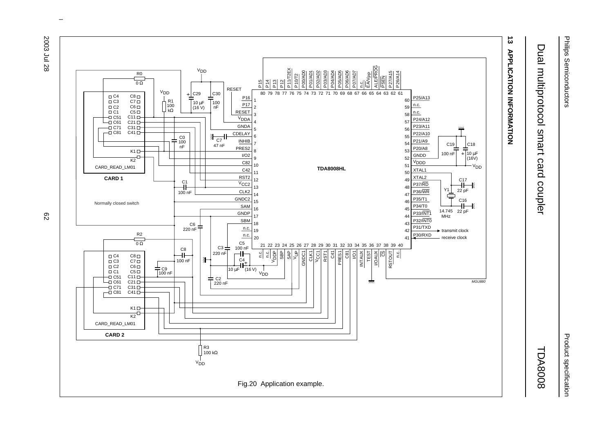

# Product specification Product specification

# Dual multiprotocol smart card coupler Dual multiprotocol smart card coupler TDA8008

# TDA8008



 $\omega$  rotated correctly when browsing through the pdf in the Acrobat reader.This text is here in the pdf in the  $\alpha$ 

ನಿ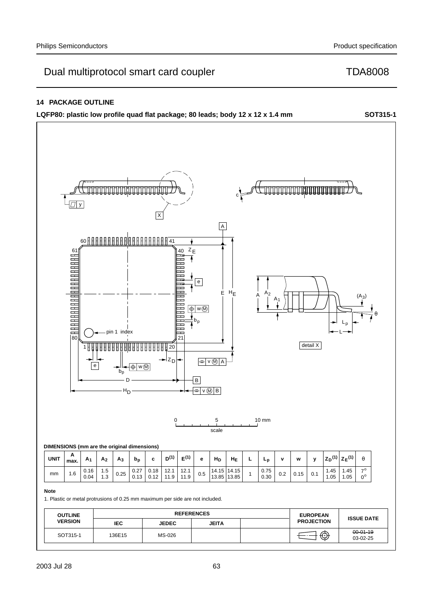# **14 PACKAGE OUTLINE**

**LQFP80: plastic low profile quad flat package; 80 leads; body 12 x 12 x 1.4 mm SOT315-1**

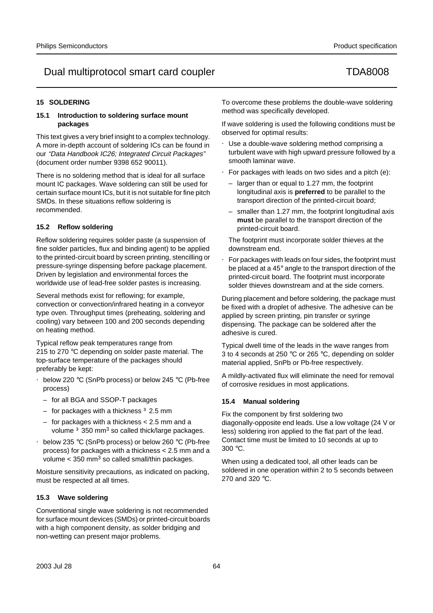# **15 SOLDERING**

# **15.1 Introduction to soldering surface mount packages**

This text gives a very brief insight to a complex technology. A more in-depth account of soldering ICs can be found in our "Data Handbook IC26; Integrated Circuit Packages" (document order number 9398 652 90011).

There is no soldering method that is ideal for all surface mount IC packages. Wave soldering can still be used for certain surface mount ICs, but it is not suitable for fine pitch SMDs. In these situations reflow soldering is recommended.

# **15.2 Reflow soldering**

Reflow soldering requires solder paste (a suspension of fine solder particles, flux and binding agent) to be applied to the printed-circuit board by screen printing, stencilling or pressure-syringe dispensing before package placement. Driven by legislation and environmental forces the worldwide use of lead-free solder pastes is increasing.

Several methods exist for reflowing; for example, convection or convection/infrared heating in a conveyor type oven. Throughput times (preheating, soldering and cooling) vary between 100 and 200 seconds depending on heating method.

Typical reflow peak temperatures range from 215 to 270 °C depending on solder paste material. The top-surface temperature of the packages should preferably be kept:

- below 220 °C (SnPb process) or below 245 °C (Pb-free process)
	- for all BGA and SSOP-T packages
	- for packages with a thickness ≥ 2.5 mm
	- for packages with a thickness < 2.5 mm and a volume  $\geq$  350 mm<sup>3</sup> so called thick/large packages.
- below 235 °C (SnPb process) or below 260 °C (Pb-free process) for packages with a thickness < 2.5 mm and a volume  $<$  350 mm<sup>3</sup> so called small/thin packages.

Moisture sensitivity precautions, as indicated on packing, must be respected at all times.

# **15.3 Wave soldering**

Conventional single wave soldering is not recommended for surface mount devices (SMDs) or printed-circuit boards with a high component density, as solder bridging and non-wetting can present major problems.

To overcome these problems the double-wave soldering method was specifically developed.

If wave soldering is used the following conditions must be observed for optimal results:

- Use a double-wave soldering method comprising a turbulent wave with high upward pressure followed by a smooth laminar wave.
- For packages with leads on two sides and a pitch (e):
	- larger than or equal to 1.27 mm, the footprint longitudinal axis is **preferred** to be parallel to the transport direction of the printed-circuit board;
	- smaller than 1.27 mm, the footprint longitudinal axis **must** be parallel to the transport direction of the printed-circuit board.

The footprint must incorporate solder thieves at the downstream end.

• For packages with leads on four sides, the footprint must be placed at a 45° angle to the transport direction of the printed-circuit board. The footprint must incorporate solder thieves downstream and at the side corners.

During placement and before soldering, the package must be fixed with a droplet of adhesive. The adhesive can be applied by screen printing, pin transfer or syringe dispensing. The package can be soldered after the adhesive is cured.

Typical dwell time of the leads in the wave ranges from 3 to 4 seconds at 250 °C or 265 °C, depending on solder material applied, SnPb or Pb-free respectively.

A mildly-activated flux will eliminate the need for removal of corrosive residues in most applications.

# **15.4 Manual soldering**

Fix the component by first soldering two diagonally-opposite end leads. Use a low voltage (24 V or less) soldering iron applied to the flat part of the lead. Contact time must be limited to 10 seconds at up to 300 °C.

When using a dedicated tool, all other leads can be soldered in one operation within 2 to 5 seconds between 270 and 320 °C.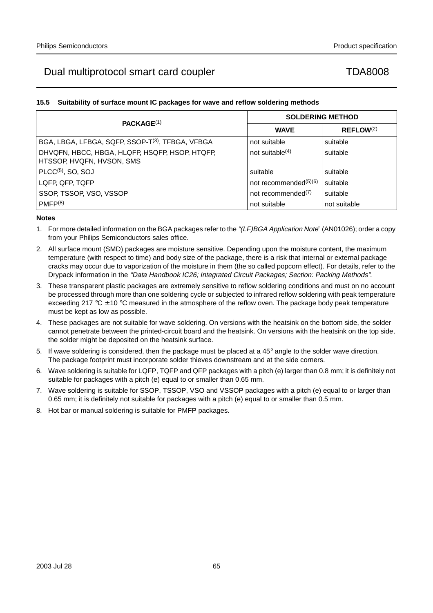# **15.5 Suitability of surface mount IC packages for wave and reflow soldering methods**

| PACKAGE <sup>(1)</sup>                                                      | <b>SOLDERING METHOD</b>  |                |  |
|-----------------------------------------------------------------------------|--------------------------|----------------|--|
|                                                                             | <b>WAVE</b>              | $REFLOW^{(2)}$ |  |
| BGA, LBGA, LFBGA, SQFP, SSOP-T <sup>(3)</sup> , TFBGA, VFBGA                | not suitable             | suitable       |  |
| DHVQFN, HBCC, HBGA, HLQFP, HSQFP, HSOP, HTQFP,<br>HTSSOP, HVQFN, HVSON, SMS | not suitable $(4)$       | suitable       |  |
| PLCC <sup>(5)</sup> , SO, SOJ                                               | suitable                 | suitable       |  |
| LQFP, QFP, TQFP                                                             | not recommended $(5)(6)$ | suitable       |  |
| SSOP, TSSOP, VSO, VSSOP                                                     | not recommended $(7)$    | suitable       |  |
| PMFP(8)                                                                     | not suitable             | not suitable   |  |

# **Notes**

- 1. For more detailed information on the BGA packages refer to the "(LF)BGA Application Note" (AN01026); order a copy from your Philips Semiconductors sales office.
- 2. All surface mount (SMD) packages are moisture sensitive. Depending upon the moisture content, the maximum temperature (with respect to time) and body size of the package, there is a risk that internal or external package cracks may occur due to vaporization of the moisture in them (the so called popcorn effect). For details, refer to the Drypack information in the "Data Handbook IC26; Integrated Circuit Packages; Section: Packing Methods".
- 3. These transparent plastic packages are extremely sensitive to reflow soldering conditions and must on no account be processed through more than one soldering cycle or subjected to infrared reflow soldering with peak temperature exceeding 217 °C  $\pm$  10 °C measured in the atmosphere of the reflow oven. The package body peak temperature must be kept as low as possible.
- 4. These packages are not suitable for wave soldering. On versions with the heatsink on the bottom side, the solder cannot penetrate between the printed-circuit board and the heatsink. On versions with the heatsink on the top side, the solder might be deposited on the heatsink surface.
- 5. If wave soldering is considered, then the package must be placed at a  $45^\circ$  angle to the solder wave direction. The package footprint must incorporate solder thieves downstream and at the side corners.
- 6. Wave soldering is suitable for LQFP, TQFP and QFP packages with a pitch (e) larger than 0.8 mm; it is definitely not suitable for packages with a pitch (e) equal to or smaller than 0.65 mm.
- 7. Wave soldering is suitable for SSOP, TSSOP, VSO and VSSOP packages with a pitch (e) equal to or larger than 0.65 mm; it is definitely not suitable for packages with a pitch (e) equal to or smaller than 0.5 mm.
- 8. Hot bar or manual soldering is suitable for PMFP packages.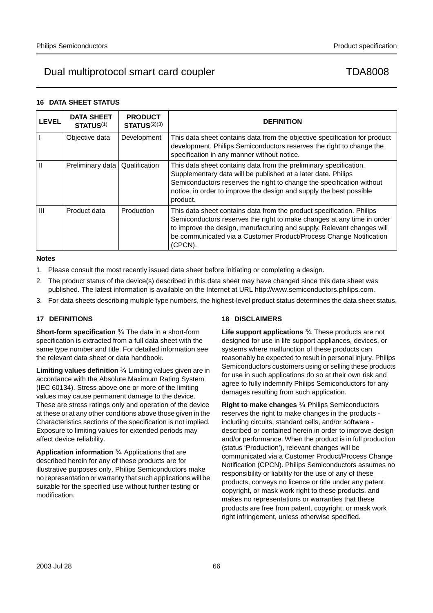# **16 DATA SHEET STATUS**

| <b>LEVEL</b>   | <b>DATA SHEET</b><br><b>STATUS(1)</b> | <b>PRODUCT</b><br>STATUS <sup>(2)(3)</sup> | <b>DEFINITION</b>                                                                                                                                                                                                                                                                                          |
|----------------|---------------------------------------|--------------------------------------------|------------------------------------------------------------------------------------------------------------------------------------------------------------------------------------------------------------------------------------------------------------------------------------------------------------|
|                | Objective data                        | Development                                | This data sheet contains data from the objective specification for product<br>development. Philips Semiconductors reserves the right to change the<br>specification in any manner without notice.                                                                                                          |
|                | Preliminary data                      | Qualification                              | This data sheet contains data from the preliminary specification.<br>Supplementary data will be published at a later date. Philips<br>Semiconductors reserves the right to change the specification without<br>notice, in order to improve the design and supply the best possible<br>product.             |
| $\mathbf{III}$ | Product data                          | Production                                 | This data sheet contains data from the product specification. Philips<br>Semiconductors reserves the right to make changes at any time in order<br>to improve the design, manufacturing and supply. Relevant changes will<br>be communicated via a Customer Product/Process Change Notification<br>(CPCN). |

## **Notes**

- 1. Please consult the most recently issued data sheet before initiating or completing a design.
- 2. The product status of the device(s) described in this data sheet may have changed since this data sheet was published. The latest information is available on the Internet at URL http://www.semiconductors.philips.com.
- 3. For data sheets describing multiple type numbers, the highest-level product status determines the data sheet status.

# **17 DEFINITIONS**

**Short-form specification** — The data in a short-form specification is extracted from a full data sheet with the same type number and title. For detailed information see the relevant data sheet or data handbook.

**Limiting values definition** - Limiting values given are in accordance with the Absolute Maximum Rating System (IEC 60134). Stress above one or more of the limiting values may cause permanent damage to the device. These are stress ratings only and operation of the device at these or at any other conditions above those given in the Characteristics sections of the specification is not implied. Exposure to limiting values for extended periods may affect device reliability.

Application information Applications that are described herein for any of these products are for illustrative purposes only. Philips Semiconductors make no representation or warranty that such applications will be suitable for the specified use without further testing or modification.

# **18 DISCLAIMERS**

**Life support applications** — These products are not designed for use in life support appliances, devices, or systems where malfunction of these products can reasonably be expected to result in personal injury. Philips Semiconductors customers using or selling these products for use in such applications do so at their own risk and agree to fully indemnify Philips Semiconductors for any damages resulting from such application.

**Right to make changes** - Philips Semiconductors reserves the right to make changes in the products including circuits, standard cells, and/or software described or contained herein in order to improve design and/or performance. When the product is in full production (status 'Production'), relevant changes will be communicated via a Customer Product/Process Change Notification (CPCN). Philips Semiconductors assumes no responsibility or liability for the use of any of these products, conveys no licence or title under any patent, copyright, or mask work right to these products, and makes no representations or warranties that these products are free from patent, copyright, or mask work right infringement, unless otherwise specified.